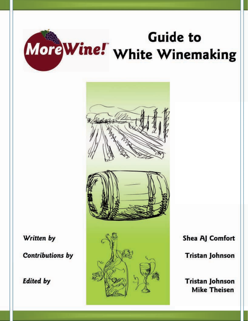



Written by

**Contributions by** 

**Edited by** 



Shea AJ Comfort

**Tristan Johnson** 

**Tristan Johnson Mike Theisen**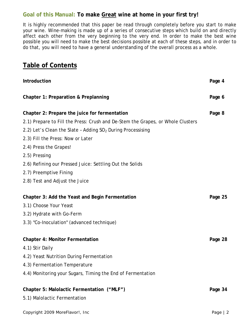# **Goal of this Manual: To make Great wine at home in your first try!**

It is highly recommended that this paper be read through completely before you start to make your wine. Wine-making is made up of a series of consecutive steps which build on and directly affect each other from the very beginning to the very end. In order to make the best wine possible you will need to make the best decisions possible at each of these steps, and in order to do that, you will need to have a general understanding of the overall process as a whole.

# **Table of Contents**

| Introduction                                                                    | Page 4  |
|---------------------------------------------------------------------------------|---------|
| <b>Chapter 1: Preparation &amp; Preplanning</b>                                 | Page 6  |
| Chapter 2: Prepare the juice for fermentation                                   | Page 8  |
| 2.1) Prepare to Fill the Press: Crush and De-Stem the Grapes, or Whole Clusters |         |
| 2.2) Let's Clean the Slate - Adding $SO2$ During Processising                   |         |
| 2.3) Fill the Press: Now or Later                                               |         |
| 2.4) Press the Grapes!                                                          |         |
| 2.5) Pressing                                                                   |         |
| 2.6) Refining our Pressed Juice: Settling Out the Solids                        |         |
| 2.7) Preemptive Fining                                                          |         |
| 2.8) Test and Adjust the Juice                                                  |         |
| Chapter 3: Add the Yeast and Begin Fermentation                                 | Page 25 |
| 3.1) Choose Your Yeast                                                          |         |
| 3.2) Hydrate with Go-Ferm                                                       |         |
| 3.3) "Co-Inoculation" (advanced technique)                                      |         |
| <b>Chapter 4: Monitor Fermentation</b>                                          | Page 28 |
| 4.1) Stir Daily                                                                 |         |
| 4.2) Yeast Nutrition During Fermentation                                        |         |
| 4.3) Fermentation Temperature                                                   |         |
| 4.4) Monitoring your Sugars, Timing the End of Fermentation                     |         |
| Chapter 5: Malolactic Fermentation ("MLF")                                      | Page 34 |
| 5.1) Malolactic Fermentation                                                    |         |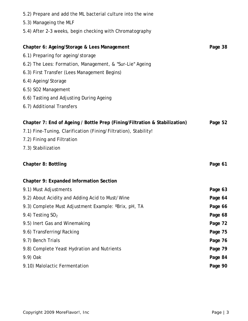| 5.2) Prepare and add the ML bacterial culture into the wine                |         |
|----------------------------------------------------------------------------|---------|
| 5.3) Manageing the MLF                                                     |         |
| 5.4) After 2-3 weeks, begin checking with Chromatography                   |         |
|                                                                            |         |
| Chapter 6: Ageing/Storage & Lees Management                                | Page 38 |
| 6.1) Preparing for ageing/storage                                          |         |
| 6.2) The Lees: Formation, Management, & "Sur-Lie" Ageing                   |         |
| 6.3) First Transfer (Lees Management Begins)                               |         |
| 6.4) Ageing/Storage                                                        |         |
| 6.5) SO2 Management                                                        |         |
| 6.6) Tasting and Adjusting During Ageing                                   |         |
| 6.7) Additional Transfers                                                  |         |
| Chapter 7: End of Ageing / Bottle Prep (Fining/Filtration & Stabilization) | Page 52 |
| 7.1) Fine-Tuning, Clarification (Fining/Filtration), Stability!            |         |
| 7.2) Fining and Filtration                                                 |         |
| 7.3) Stabilization                                                         |         |
|                                                                            |         |
| <b>Chapter 8: Bottling</b>                                                 | Page 61 |
|                                                                            |         |
| <b>Chapter 9: Expanded Information Section</b>                             |         |
| 9.1) Must Adjustments                                                      | Page 63 |
| 9.2) About Acidity and Adding Acid to Must/Wine                            | Page 64 |
| 9.3) Complete Must Adjustment Example: °Brix, pH, TA                       | Page 66 |
| 9.4) Testing $SO2$                                                         | Page 68 |
| 9.5) Inert Gas and Winemaking                                              | Page 72 |
| 9.6) Transferring/Racking                                                  | Page 75 |
| 9.7) Bench Trials                                                          | Page 76 |
| 9.8) Complete Yeast Hydration and Nutrients                                | Page 79 |
| 9.9) Oak                                                                   | Page 84 |
| 9.10) Malolactic Fermentation                                              | Page 90 |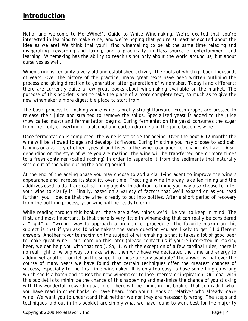# **Introduction**

Hello, and welcome to *MoreWine!*'s Guide to White Winemaking. We're excited that you're interested in learning to make wine, and we're hoping that you're at least as excited about the idea as we are! We think that you'll find winemaking to be at the same time relaxing and invigorating, rewarding and taxing, and a practically limitless source of entertainment and learning. Winemaking has the ability to teach us not only about the world around us, but about ourselves as well.

Winemaking is certainly a very old and established activity, the roots of which go back thousands of years. Over the history of the practice, many great texts have been written outlining the process and giving direction to generation after generation of winemaker. Today is no different; there are currently quite a few great books about winemaking available on the market. The purpose of this booklet is not to take the place of a more complete text, so much as to give the new winemaker a more digestible place to start from.

The basic process for making white wine is pretty straightforward. Fresh grapes are pressed to release their juice and strained to remove the solids. Specialized yeast is added to the juice (now called *must*) and fermentation begins. During fermentation the yeast consumes the sugar from the fruit, converting it to alcohol and carbon dioxide and the juice becomes wine.

Once fermentation is completed, the wine is set aside for ageing. Over the next 6-12 months the wine will be allowed to age and develop its flavors. During this time you may choose to add oak, tannins or a variety of other types of additives to the wine to augment or change its flavor. Also, depending on the style of wine you are making, the wine will be transferred one or more times to a fresh container (called *racking*) in order to separate it from the sediments that naturally settle out of the wine during the ageing period.

At the end of the ageing phase you may choose to add a clarifying agent to improve the wine's appearance and increase its stability over time. Treating a wine this way is called *fining* and the additives used to do it are called *fining agents*. In addition to fining you may also choose to filter your wine to clarify it. Finally, based on a variety of factors that we'll expand on as you read further, you'll decide that the wine is ready to put into bottles. After a short period of recovery from the bottling process, your wine will be ready to drink!

While reading through this booklet, there are a few things we'd like you to keep in mind. The first, and most important, is that there is very little in winemaking that can really be considered a "right" or "wrong" way to approach a problem or procedure. The favorite maxim on this subject is that if you ask 10 winemakers the same question you are likely to get 11 different answers. Another favorite maxim on the subject of winemaking is that it takes a lot of good beer to make great wine – but more on this later (please contact us if you're interested in making beer, we can help you with that too!). So, if, with the exception of a few cardinal rules, there is no real right or wrong way to make wine, then why have we dedicated the time and energy to adding yet another booklet on the subject to those already available? The answer is that over the course of many years we have found that certain techniques offer the greatest chances of success, especially to the first-time winemaker. It is only too easy to have something go wrong which spoils a batch and causes the new winemaker to lose interest or inspiration. Our goal with this booklet is to minimize the chance of this happening and maximize the chance of you sticking with this wonderful, rewarding pastime. There will be things in this booklet that contradict what you have read in other books, or have heard from your friends or relatives who already make wine. We want you to understand that neither we nor they are necessarily wrong. The steps and techniques laid out in this booklet are simply what we have found to work best for the majority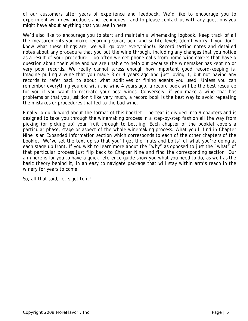of our customers after years of experience and feedback. We'd like to encourage you to experiment with new products and techniques - and to please contact us with any questions you might have about anything that you see in here.

We'd also like to encourage you to start and maintain a winemaking logbook. Keep track of all the measurements you make regarding sugar, acid and sulfite levels (don't worry if you don't know what these things are, we will go over everything!). Record tasting notes and detailed notes about any procedure that you put the wine through, including any changes that you notice as a result of your procedure. Too often we get phone calls from home winemakers that have a question about their wine and we are unable to help out because the winemaker has kept no or very poor records. We really cannot stress enough how important good record-keeping is. Imagine pulling a wine that you made 3 or 4 years ago and just loving it, but not having any records to refer back to about what additives or fining agents you used. Unless you can remember everything you did with the wine 4 years ago, a record book will be the best resource for you if you want to recreate your best wines. Conversely, if you make a wine that has problems or that you just don't like very much, a record book is the best way to avoid repeating the mistakes or procedures that led to the bad wine.

Finally, a quick word about the format of this booklet: The text is divided into 9 chapters and is designed to take you through the winemaking process in a step-by-step fashion all the way from picking (or picking up) your fruit through to bottling. Each chapter of the booklet covers a particular phase, stage or aspect of the whole winemaking process. What you'll find in Chapter Nine is an Expanded Information section which corresponds to each of the other chapters of the booklet. We've set the text up so that you'll get the "nuts and bolts" of what you're doing at each stage up front. If you wish to learn more about the "why" as opposed to just the "what" of that particular process just flip back to Chapter Nine and find the corresponding section. Our aim here is for you to have a quick reference guide show you what you need to do, as well as the basic theory behind it, in an easy to navigate package that will stay within arm's reach in the winery for years to come.

So, all that said, let's get to it!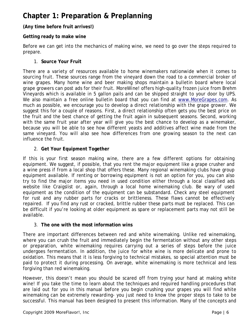# **Chapter 1: Preparation & Preplanning**

# **(Any time before fruit arrives!)**

# **Getting ready to make wine**

Before we can get into the mechanics of making wine, we need to go over the steps required to prepare.

#### 1. **Source Your Fruit**

There are a variety of resources available to home winemakers nationwide when it comes to sourcing fruit. These sources range from the vineyard down the road to a commercial broker of wine grapes. Many home wine and beer making shops maintain a bulletin board where local grape growers can post ads for their fruit. M*oreWine!* offers high-quality frozen juice from Brehm Vineyards which is available in 5 gallon pails and can be shipped straight to your door by UPS. We also maintain a free online bulletin board that you can find at www.MoreGrapes.com. As much as possible, we encourage you to develop a direct relationship with the grape grower. We suggest this for a couple of reasons. First, a direct relationship often gets you the best price on the fruit and the best chance of getting the fruit again in subsequent seasons. Second, working with the same fruit year after year will give you the best chance to develop as a winemaker, because you will be able to see how different yeasts and additives affect wine made from the same vineyard. You will also see how differences from one growing season to the next can influence the fruit.

#### 2. **Get Your Equipment Together**

If this is your first season making wine, there are a few different options for obtaining equipment. We suggest, if possible, that you rent the major equipment like a grape crusher and a wine press if from a local shop that offers these. Many regional winemaking clubs have group equipment available. If renting or borrowing equipment is not an option for you, you can also try to find the major items you need in used condition either through a local classified ads website like Craigslist or, again, through a local home winemaking club. Be wary of used equipment as the condition of the equipment can be substandard. Check any steel equipment for rust and any rubber parts for cracks or brittleness. These flaws cannot be effectively repaired. If you find any rust or cracked, brittle rubber these parts must be replaced. This can be difficult if you're looking at older equipment as spare or replacement parts may not still be available.

#### 3. **The one with the most information wins**

There are important differences between red and white winemaking. Unlike red winemaking, where you can crush the fruit and immediately begin the fermentation without any other steps or preparation, white winemaking requires carrying out a series of steps before the juice undergoes fermentation. In addition, the juice for white wine is more delicate and prone to oxidation. This means that it is less forgiving to technical mistakes, so special attention must be paid to protect it during processing. On average, white winemaking is more technical and less forgiving than red winemaking.

However, this doesn't mean you should be scared off from trying your hand at making white wine! If you take the time to learn about the techniques and required handling procedures that are laid out for you in this manual *before* you begin crushing your grapes you will find white winemaking can be extremely rewarding- you just need to know the proper steps to take to be successful. This manual has been designed to present this information. Many of the concepts and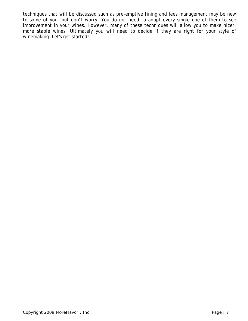techniques that will be discussed such as pre-emptive fining and lees management may be new to some of you, but don't worry. You do not need to adopt every single one of them to see improvement in your wines. However, many of these techniques will allow you to make nicer, more stable wines. Ultimately you will need to decide if they are right for your style of winemaking. Let's get started!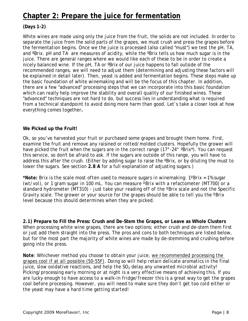# **Chapter 2: Prepare the juice for fermentation**

# **(Days 1-2)**

White wines are made using only the juice from the fruit, the solids are not included. In order to separate the juice from the solid parts of the grapes, we must crush and press the grapes before the fermentation begins. Once we the juice is processed (also called "must") we test the pH, TA, and <sup>o</sup>Brix. pH and TA are measures of acidity, while the <sup>o</sup>Brix tells us how much sugar is in the juice. There are general ranges where we would like each of these to be in order to create a nicely balanced wine. If the pH, TA or ºBrix of our juice happens to fall outside of the recommended ranges, we will need to adjust them (determining and adjusting these factors will be explained in detail later). Then, yeast is added and fermentation begins. These steps make up the basic foundation of white winemaking and will be the focus of this chapter. In addition, there are a few "advanced" processing steps that we can incorporate into this basic foundation which can really help improve the stability and overall quality of our finished wines. These "advanced" techniques are not hard to do, but success lies in understanding what is required from a technical standpoint to avoid doing more harm than good. Let's take a closer look at how everything comes together**.**

#### **We Picked up the Fruit!**

Ok, so you've harvested your fruit or purchased some grapes and brought them home. First, examine the fruit and remove any raisined or rotted/molded clusters. Hopefully the grower will have picked the fruit when the sugars are in the correct range (17°-24° °Brix\*). You can request this service, so don't be afraid to ask. If the sugars are outside of this range, you will have to address this after the crush. (Either by adding sugar to raise the *Parix*, or by diluting the must to lower the sugars. See section **2.8 A** for a full explanation of adjusting sugars.)

*\*Note: Brix is the scale most often used to measure sugars in winemaking: 1ºBrix = 1% sugar (wt/vol), or 1 gram sugar in 100 mL. You can measure ºBrix with a refactometer (MT700) or a standard hydrometer (MT310) - just take your reading off of the ºBrix scale and not the Specific Gravity scale. The grower or your source for the grapes should be able to tell you the ºBrix level because this should determines when they are picked.*

**2.1) Prepare to Fill the Press: Crush and De-Stem the Grapes, or Leave as Whole Clusters** When processing white wine grapes, there are two options; either crush and de-stem them first or just add them straight into the press. The pros and cons to both techniques are listed below, but for the most part the majority of white wines are made by de-stemming and crushing before going into the press.

*Note: Whichever method you choose to obtain your juice, we recommended processing the grapes cool if at all possible (50-55F). Doing so will help retain delicate aromatics in the final juice, slow oxidative reactions, and help the SO<sub>2</sub> delay any unwanted microbial activity! Picking/processing early morning or at night is a very effective means of achieving this. If you are lucky enough to have access to a walk-in fridge/freezer this is a great way to get the grapes cool before processing. However, you will need to make sure they don't get too cold either or the yeast may have a hard time getting started!*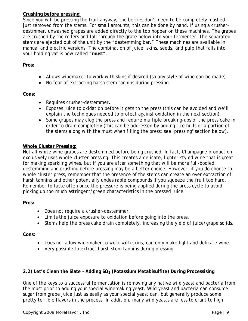# **Crushing before pressing:**

Since you will be pressing the fruit anyway, the berries don't need to be completely mashed – just removed from the stems. For small amounts, this can be done by hand. If using a crusherdestmmer, unwashed grapes are added directly to the top hopper on these machines. The grapes are crushed by the rollers and fall through the grate below into your fermenter. The separated stems are ejected out of the unit by the "destemming bar." These machines are available in manual and electric versions. The combination of juice, skins, seeds, and pulp that falls into your holding vat is now called "**must**".

#### **Pros:**

- Allows winemaker to work with skins if desired (so any style of wine can be made).
- No fear of extracting harsh stem tannins during pressing.

#### **Cons:**

- Requires crusher-destemmer**.**
- Exposes juice to oxidation before it gets to the press (this can be avoided and we'll explain the techniques needed to protect against oxidation in the next section).
- Some grapes may clog the press and require multiple breaking-ups of the press cake in order to drain completely (this can be addressed by adding rice hulls or a portion of the stems along with the must when filling the press; see "pressing" section below).

#### **Whole Cluster Pressing:**

Not all white wine grapes are destemmed before being crushed. In fact, Champagne production exclusively uses *whole-cluster* pressing. This creates a delicate, lighter-styled wine that is great for making sparkling wines, but if you are after something that will be more full-bodied, destemming and crushing before pressing may be a better choice. However, if you do choose to whole cluster press, remember that the presence of the stems can create an over extraction of harsh tannins and other potentially undesirable compounds if you squeeze the fruit too hard. Remember to taste often once the pressure is being applied during the press cycle to avoid picking up too much astringent/green characteristics in the pressed juice.

#### **Pros:**

- Does not require a crusher-destemmer.
- Limits the juice exposure to oxidation before going into the press.
- Stems help the press cake drain completely, increasing the yield of juice/grape solids.

#### **Cons:**

- Does not allow winemaker to work with skins, can only make light and delicate wine.
- Very possible to extract harsh stem tannins during pressing.

# 2.2) Let's Clean the Slate - Adding SO<sub>2</sub> (Potassium Metabisulfite) During Processising

One of the keys to a successful fermentation is removing any native wild yeast and bacteria from the must prior to adding your special winemaking yeast. Wild yeast and bacteria can consume sugar from grape juice just as easily as your special yeast can, but generally produce some pretty terrible flavors in the process. In addition, many wild yeasts are less tolerant to high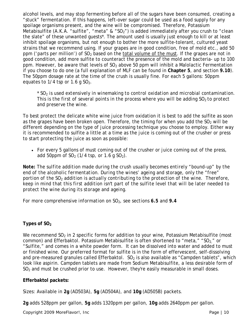alcohol levels, and may stop fermenting before all of the sugars have been consumed, creating a "stuck" fermentation. If this happens, left-over sugar could be used as a food supply for any spoilage organisms present, and the wine will be compromised. Therefore, Potassium Metabisulfite (A.K.A. "sulfite", "meta" & "SO<sub>2</sub>") is added immediately after you crush to "clean the slate" of these unwanted guests\*. The amount used is usually just enough to kill or at least inhibit spoilage organisms, but not enough to bother the more sulfite-tolerant, cultured yeast strains that we recommend using. If your grapes are in good condition, free of mold etc., add 50 ppm ('parts per million') of  $SO<sub>2</sub>$  based on the total volume of the must. If the grapes are not in good condition, add more sulfite to counteract the presence of the mold and bacteria- up to 100 ppm. However, be aware that levels of  $SO<sub>2</sub>$  above 50 ppm will inhibit a Malolactic Fermentation if you choose to do one (a full explanation of MLF can be found in **Chapter 5**, and section **9.10**). The 50ppm dosage rate at the time of the crush is usually fine. For each 5 gallons: 50ppm equates to  $1/4$  tsp or 1.6 g SO<sub>2</sub>.

*\* SO2 is used extensively in winemaking to control oxidation and microbial contamination. This is the first of several points in the process where you will be adding SO<sub>2</sub> to protect and preserve the wine.* 

To best protect the delicate white wine juice from oxidation it is best to add the sulfite as soon as the grapes have been broken open. Therefore, the timing for when you add the  $SO<sub>2</sub>$  will be different depending on the type of juice processing technique you choose to employ. Either way it is recommended to sulfite a little at a time as the juice is coming out of the crusher or press to start protecting the juice as soon as possible:

• For every 5 gallons of must coming out of the crusher or juice coming out of the press, add 50ppm of  $SO<sub>2</sub>$  (1/4 tsp, or 1.6 g  $SO<sub>2</sub>$ ).

*Note: The sulfite addition made during the crush usually becomes entirely "bound-up" by the end of the alcoholic fermentation. During the wines' ageing and storage, only the "free" portion of the SO2 addition is actually contributing to the protection of the wine. Therefore, keep in mind that this first addition isn't part of the sulfite level that will be later needed to protect the wine during its storage and ageing.*

*For more comprehensive information on SO2, see sections 6.5 and 9.4*

# Types of SO<sub>2</sub>

We recommend  $SO<sub>2</sub>$  in 2 specific forms for addition to your wine, Potassium Metabisulfite (most common) and Efferbaktol. Potassium Metabisulfite is often shortened to "meta," "SO<sub>2</sub>" or "Sulfite," and comes in a white powder form. It can be dissolved into water and added to must or finished wine. Our preferred format for sulfite is in the form of effervescent, self-dissolving and pre-measured granules called Efferbaktol.  $SO<sub>2</sub>$  is also available as "Campden tablets", which look like aspirin. Campden tablets are made from Sodium Metabisulfite, a less desirable form of  $SO<sub>2</sub>$  and must be crushed prior to use. However, they're easily measurable in small doses.

# **Efferbaktol packets:**

Sizes: Available in **2g** (AD503A), **5g** (AD504A), and **10g** (AD505B) packets.

**2g** adds 528ppm per gallon, **5g** adds 1320ppm per gallon, **10g** adds 2640ppm per gallon.

Copyright 2009 *MoreFlavor!*, Inc **Page 10** 2009 *MoreFlavor!*, Inc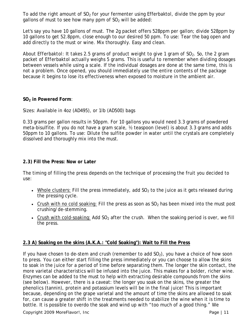To add the right amount of  $SO<sub>2</sub>$  for your fermenter using Efferbaktol, divide the ppm by your gallons of must to see how many ppm of  $SO<sub>2</sub>$  will be added:

Let's say you have 10 gallons of must. The 2g packet offers 528ppm per gallon; divide 528ppm by 10 gallons to get 52.8ppm, close enough to our desired 50 ppm. To use: Tear the bag open and add directly to the must or wine. Mix thoroughly. Easy and clean.

*About Efferbaktol: It takes 2.5 grams of product weight to give 1 gram of SO2. So, the 2 gram packet of Efferbaktol actually weighs 5 grams*. This is useful to remember when dividing dosages between vessels while using a scale. If the individual dosages are done at the same time, this is not a problem. Once opened, you should immediately use the entire contents of the package because it begins to lose its effectiveness when exposed to moisture in the ambient air.

#### **SO2 in Powered Form**:

Sizes: Available in 4oz (AD495), or 1lb (AD500) bags

0.33 grams per gallon results in 50ppm. For 10 gallons you would need 3.3 grams of powdered meta-bisulfite. If you do not have a gram scale, ½ teaspoon (level) is about 3.3 grams and adds 50ppm to 10 gallons. To use: Dilute the sulfite powder in water until the crystals are completely dissolved and thoroughly mix into the must.

#### **2.3) Fill the Press: Now or Later**

The timing of filling the press depends on the technique of processing the fruit you decided to use:

- Whole clusters: Fill the press immediately, add  $SO<sub>2</sub>$  to the juice as it gets released during the pressing cycle.
- Crush with no cold soaking: Fill the press as soon as  $SO<sub>2</sub>$  has been mixed into the must post crushing/de-stemming.
- Crush with cold-soaking: Add  $SO<sub>2</sub>$  after the crush. When the soaking period is over, we fill the press.

# **2.3 A) Soaking on the skins (A.K.A.: "Cold Soaking"): Wait to Fill the Press**

If you have chosen to de-stem and crush (remember to add  $SO<sub>2</sub>$ ), you have a choice of how soon to press. You can either start filling the press immediately or you can choose to allow the skins to soak in the juice for a period of time before separating them. The longer the skin contact, the more varietal characteristics will be infused into the juice. This makes for a bolder, richer wine. Enzymes can be added to the must to help with extracting desirable compounds from the skins (see below). However, there is a caveat: the longer you soak on the skins, the greater the phenolics (tannin), protein and potassium levels will be in the final juice! This is important because, depending on the grape varietal and the amount of time the skins are allowed to soak for, can cause a greater shift in the treatments needed to stabilize the wine when it is time to bottle. It *is* possible to overdo the soak and wind up with "too much of a good thing." We

Copyright 2009 *MoreFlavor!*, Inc **Page 11 Page | 11**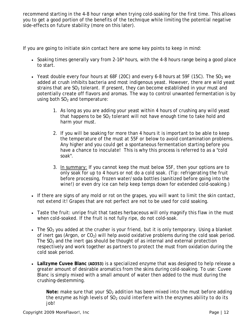recommend starting in the 4-8 hour range when trying cold-soaking for the first time. This allows you to get a good portion of the benefits of the technique while limiting the potential negative side-effects on future stability (more on this later).

If you are going to initiate skin contact here are some key points to keep in mind:

- Soaking times generally vary from 2-16<sup>\*</sup> hours, with the 4-8 hours range being a good place to start.
- Yeast double every four hours at 68F (20C) and every 6-8 hours at 59F (15C). The  $SO<sub>2</sub>$  we added at crush inhibits bacteria and *most* indigenous yeast. However, there are wild yeast strains that are  $SO<sub>2</sub>$  tolerant. If present, they can become established in your must and potentially create off flavors and aromas. The way to control unwanted fermentation is by using both  $SO<sub>2</sub>$  and temperature:
	- 1. As long as you are adding your yeast within 4 hours of crushing any wild yeast that happens to be  $SO<sub>2</sub>$  tolerant will not have enough time to take hold and harm your must.
	- 2. If you will be soaking for more than 4 hours it is important to be able to keep the temperature of the must at 55F or below to avoid contamination problems. Any higher and you could get a spontaneous fermentation starting before you have a chance to inoculate! This is why this process is referred to as a "cold" soak".
	- 3. In summary: If you cannot keep the must below 55F, then your options are to only soak for up to 4 hours or not do a cold soak. (Tip: refrigerating the fruit before processing, frozen water/soda bottles (sanitized before going into the wine!) or even dry ice can help keep temps down for extended cold-soaking.)
- If there are signs of any mold or rot on the grapes, *you will want to limit the skin contact, not extend it!* Grapes that are not perfect are not to be used for cold soaking.
- Taste the fruit: unripe fruit that tastes herbaceous will only magnify this flaw in the must when cold-soaked. If the fruit is not fully ripe, do not cold-soak.
- The  $SO<sub>2</sub>$  you added at the crusher is your friend, but it is only temporary. Using a blanket of inert gas (Argon, or  $CO<sub>2</sub>$ ) will help avoid oxidative problems during the cold soak period. The  $SO<sub>2</sub>$  and the inert gas should be thought of as internal and external protection respectively and work together as partners to protect the must from oxidation during the cold soak period.
- **Lallzyme Cuvee Blanc (AD353)** is a specialized enzyme that was designed to help release a greater amount of desirable aromatics from the skins during cold-soaking. To use: Cuvee Blanc is simply mixed with a small amount of water then added to the must during the crushing-destemming.

*Note: make sure that your SO<sub>2</sub> addition has been mixed into the must before adding the enzyme as high levels of SO<sub>2</sub> could interfere with the enzymes ability to do its job!*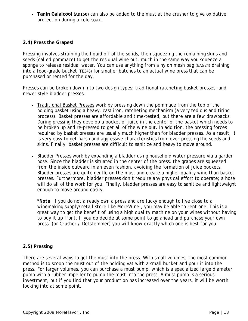• **Tanin Galalcool (AD150)** can also be added to the must at the crusher to give oxidative protection during a cold soak.

#### **2.4) Press the Grapes!**

Pressing involves straining the liquid off of the solids, then squeezing the remaining skins and seeds (called *pommace*) to get the residual wine out, much in the same way you squeeze a sponge to release residual water. You can use anything from a nylon mesh bag (BAG24) draining into a food-grade bucket (FE345) for smaller batches to an actual wine press that can be purchased or rented for the day.

Presses can be broken down into two design types: traditional ratcheting basket presses; and newer style bladder presses:

- Traditional Basket Presses work by pressing down the pommace from the top of the holding basket using a heavy, cast iron, ratcheting mechanism (a very tedious and tiring process). Basket presses are affordable and time-tested, but there are a few drawbacks. During pressing they develop a pocket of juice in the center of the basket which needs to be broken up and re-pressed to get all of the wine out. In addition, the pressing forces required by basket presses are usually much higher than for bladder presses. As a result, it is very easy to get harsh and aggressive characteristics from over-pressing the seeds and skins. Finally, basket presses are difficult to sanitize and heavy to move around.
- Bladder Presses work by expanding a bladder using household water pressure via a garden hose. Since the bladder is situated in the center of the press, the grapes are squeezed from the inside outward in an even fashion, avoiding the formation of juice pockets. Bladder presses are quite gentle on the must and create a higher quality wine than basket presses. Furthermore, bladder presses don't require any physical effort to operate; a hose will do all of the work for you. Finally, bladder presses are easy to sanitize and lightweight enough to move around easily.

*\*Note: If you do not already own a press and are lucky enough to live close to a winemaking supply/retail store like MoreWine!, you may be able to rent one. This is a great way to get the benefit of using a high quality machine on your wines without having to buy it up front. If you do decide at some point to go ahead and purchase your own press, (or Crusher / Detstemmer) you will know exactly which one is best for you*.

# **2.5) Pressing**

There are several ways to get the must into the press. With small volumes, the most common method is to scoop the must out of the holding vat with a small bucket and pour it into the press. For larger volumes, you can purchase a must pump, which is a specialized large diameter pump with a rubber impeller to pump the must into the press. A must pump is a serious investment, but if you find that your production has increased over the years, it will be worth looking into at some point.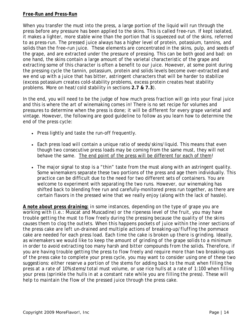# *Free-Run* **and** *Press-Run*

When you transfer the must into the press, a large portion of the liquid will run through the press before any pressure has been applied to the skins. This is called *free-run.* If kept isolated, it makes a lighter, more stable wine than the portion that is squeezed out of the skins, referred to as *press-run*. The pressed juice always has a higher level of protein, potassium, tannins, and solids than the *free-run* juice. These elements are concentrated in the skins, pulp, and seeds of the grape, and are extracted under the pressure of pressing. This can be both good and bad: on one hand, the skins contain a large amount of the varietal characteristic of the grape and extracting some of this character is often a benefit to our juice. However, at some point during the pressing cycle the tannin, potassium, protein and solids levels become over-extracted and we end up with a juice that has bitter, astringent characters that will be harder to stabilize (excess potassium creates cold-stability problems, excess protein creates heat stability problems. More on heat/cold stability in sections **2.7 & 7.3**).

In the end, you will need to be the judge of how much press fraction will go into your final juice and this is where the art of winemaking comes in! There is no set recipe for volumes and pressures to determine when the press is done; it will be different for every grape varietal and vintage. However, the following are good guideline to follow as you learn how to determine the end of the press cycle:

- Press lightly and taste the run-off frequently.
- Each press load will contain a unique ratio of seeds/skins/liquid. This means that even though two consecutive press loads may be coming from the same must, they will not behave the same. The end point of the press will be different for each of them!
- The major signal to stop is a "thin" taste from the must along with an astringent quality. Some winemakers separate these two portions of the press and age them individually. This practice can be difficult due to the need for two different sets of containers. You are welcome to experiment with separating the two runs. However, our winemaking has shifted back to blending free run and carefully-monitored press run together, as there are certain flavors in the pressed wine that we really enjoy (along with the lack of hassle).

*A note about press draining: in some instances, depending on the type of grape you are working with (i.e.: Muscat and Muscadine) or the ripeness level of the fruit, you may have trouble getting the must to flow freely during the pressing because the quality of the skins causes them to clog the outlets. When this happens pockets of juice within the inner sections of the press cake are left un-drained and multiple actions of breaking-up/fluffing the pommace cake are needed for each press load. Each time the cake is broken up there is grinding. Ideally, as winemakers we would like to keep the amount of grinding of the grape solids to a minimum in order to avoid extracting too many harsh and bitter compounds from the solids. Therefore, if you are having trouble getting the press to flow freely and require more than two breaking-ups of the press cake to complete your press cycle, you may want to consider using one of these two suggestions: either reserve a portion of the stems for adding back to the must when filling the press at a rate of 10% stems/total must volume, or use rice hulls at a rate of 1:100 when filling your press (sprinkle the hulls in at a constant rate while you are filling the press). These will help to maintain the flow of the pressed juice through the press cake.*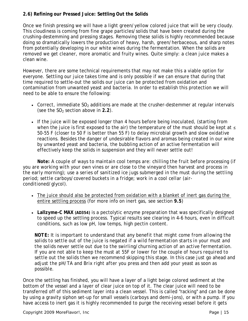# **2.6) Refining our Pressed Juice: Settling Out the Solids**

Once we finish pressing we will have a light green/yellow colored juice that will be very cloudy. This cloudiness is coming from fine grape particles/solids that have been created during the crushing-destemming and pressing stages. Removing these solids is highly recommended because doing so dramatically lowers the production of heavy, harsh, green/herbaceous, and sharp notes from potentially developing in our white wines during the fermentation. When the solids are removed we get cleaner, more aromatic and fruity wines. Quite simply: a clean juice makes a clean wine.

However, there are some technical requirements that may not make this a viable option for everyone. Settling our juice takes time and is only possible if we can ensure that during that time required to settle-out the solids our juice can be protected from oxidation and contamination from unwanted yeast and bacteria. In order to establish this protection we will need to be able to ensure the following:

- Correct, immediate  $SO<sub>2</sub>$  additions are made at the crusher-destemmer at regular intervals (see the  $SO<sub>2</sub>$  section above in 2.2).
- If the juice will be exposed longer than 4 hours before being inoculated, (starting from when the juice is first exposed to the air) the temperature of the must should be kept at  $\leq$ 50-55 F (closer to 50 F is better than 55 F) to delay microbial growth and slow oxidative reactions. Besides the danger of undesirable flavors and aromas being created in our wine by unwanted yeast and bacteria, the bubbling action of an active fermentation will effectively keep the solids in suspension and they will never settle out!

 *Note: A couple of ways to maintain cool temps are: chilling the fruit before processing (if you are working with your own vines or are close to the vineyard then harvest and process in the early morning); use a series of sanitized ice jugs submerged in the must during the settling period; settle carboys/covered buckets in a fridge; work in a cool cellar (airconditioned/glycol).*

- The juice should also be protected from oxidation with a blanket of inert gas during the entire settling process (for more info on inert gas, see section **9.5**)
- **Lallzyme-C MAX (AD354)** is a pectolytic enzyme preparation that was specifically designed to speed up the settling process. Typical results see clearing in 4-6 hours, even in difficult conditions, such as low pH, low temps, high pectin content.

*NOTE: It is important to understand that any benefit that might come from allowing the solids to settle out of the juice is negated if a wild fermentation starts in your must and the solids never settle out due to the swirling/churning action of an active fermentation. If you are not able to keep the must at 55F or lower for the couple of hours required to settle out the solids then we recommend skipping this stage. In this case just go ahead and adjust the pH/TA and Brix right after you press and then add your yeast as soon as possible.*

Once the settling has finished, you will have a layer of a light beige colored sediment at the bottom of the vessel and a layer of clear juice on top of it. The clear juice will need to be transferred off of this sediment layer into a clean vessel. This is called "racking" and can be done by using a gravity siphon set-up for small vessels (carboys and demi-jons), or with a pump. If you have access to inert gas it is highly recommended to purge the receiving vessel before it gets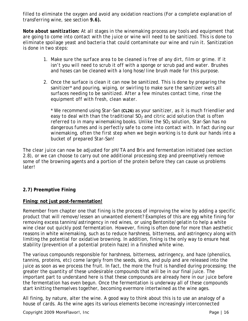filled to eliminate the oxygen and avoid any oxidation reactions (*For a complete explanation of transferring wine, see section 9.6***).**

*Note about sanitization: At all stages in the winemaking process any tools and equipment that are going to come into contact with the juice or wine will need to be sanitized. This is done to eliminate spoilage yeast and bacteria that could contaminate our wine and ruin it. Sanitization is done in two steps:* 

- *1. Make sure the surface area to be cleaned is free of any dirt, film or grime. If it isn't you will need to scrub it off with a sponge or scrub pad and water. Brushes and hoses can be cleaned with a long hose/line brush made for this purpose.*
- *2. Once the surface is clean it can now be sanitized. This is done by preparing the sanitizer\* and pouring, wiping, or swirling to make sure the sanitizer wets all surfaces needing to be sanitized. After a few minutes contact time, rinse the equipment off with fresh, clean water.*

*\* We recommend using Star-San (CL26) as your sanitizer, as it is much friendlier and*  easy to deal with than the traditional SO<sub>2</sub> and citric acid solution that is often referred to in many winemaking books. Unlike the SO<sub>2</sub> solution, Star-San has no *dangerous fumes and is perfectly safe to come into contact with. In fact during our winemaking, often the first step when we begin working is to dunk our hands into a bucket of prepared Star-San!* 

The clear juice can now be adjusted for pH/TA and Brix and fermentation initiated (see section 2.8), or we can choose to carry out one additional processing step and preemptively remove some of the browning agents and a portion of the protein before they can cause us problems later!

# **2.7) Preemptive Fining**

# **Fining: not just post-fermentation!**

Remember from chapter one that *fining* is the process of improving the wine by adding a specific product that will remove/lessen an unwanted element? Examples of this are egg white fining for removing excess tannins/astringency in red wines, or using Bentonite/gelatin to help a white wine clear out quickly post fermentation. However, fining is often done for more than aesthetic reasons in white winemaking, such as to reduce harshness, bitterness, and astringency along with limiting the potential for oxidative browning. In addition, fining is the only way to ensure heat stability (prevention of a potential protein haze) in a finished white wine.

The various compounds responsible for harshness, bitterness, astringency, and haze (phenolics, tannins, proteins, etc) come largely from the seeds, skins, and pulp and are released into the juice as soon as we process the fruit. In fact, the more the fruit is handled during processing; the greater the quantity of these undesirable compounds that will be in our final juice. The important part to understand here is that these compounds are already here in our juice before the fermentation has even begun. Once the fermentation is underway all of these compounds start knitting themselves together, becoming evermore intertwined as the wine ages.

All fining, by nature, alter the wine. A good way to think about this is to use an analogy of a house of cards. As the wine ages its various elements become increasingly interconnected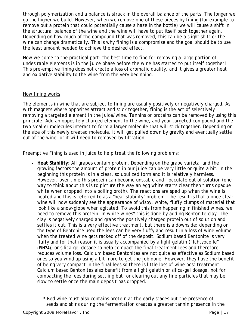through polymerization and a balance is struck in the overall balance of the parts. The longer we go the higher we build. However, when we remove one of these pieces by fining (for example to remove out a protein that could potentially cause a haze in the bottle) we will cause a shift in the structural balance of the wine and the wine will have to put itself back together again. Depending on how much of the compound that was removed, this can be a slight shift or the wine can change dramatically. This is why fining is a compromise and the goal should be to use the least amount needed to achieve the desired effect.

Now we come to the practical part: the best time to fine for removing a large portion of undesirable elements is in the juice phase before the wine has started to put itself together! This pre-emptive fining does not create a loss of aromatic quality, and it gives a greater heat and oxidative stability to the wine from the very beginning.

#### How fining works

The elements in wine that are subject to fining are usually positively or negatively charged. As with magnets where opposites attract and stick together, fining is the act of selectively removing a targeted element in the juice/wine. Tannins or proteins can be removed by using this principle. Add an oppositely charged element to the wine, and your targeted compound and the two smaller molecules interact to form a larger molecule that will stick together. Depending on the size of this newly created molecule, it will get pulled down by gravity and eventually settle out of the wine, or it will need to removed by filtration.

Preemptive Fining is used in juice to help treat the following problems:

• **Heat Stability**: All grapes contain protein. Depending on the grape varietal and the growing factors the amount of protein in our juice can be very little or quite a bit. In the beginning this protein is in a clear, solubulized form and it is relatively harmless. However, over time this protein can become unstable and flocculate out of solution (one way to think about this is to picture the way an egg white starts clear then turns opaque white when dropped into a boiling broth). The reactions are sped up when the wine is heated and this is referred to as a "heat stability" problem. The result is that a once clear wine will now suddenly see the appearance of wispy, white, fluffy clumps of material that look like a snow-globe when agitated. To avoid this from happening in finished wines, we need to remove this protein. In white wines**\*** this is done by adding Bentonite clay. The clay is negatively charged and grabs the positively charged protein out of solution and settles it out. This is a very effective treatment, but there is a downside: depending on the type of Bentonite used the lees can be very fluffy and result in a loss of wine volume when the treated wine gets racked off of the deposit. Sodium based Bentonite is very fluffy and for that reason it is usually accompanied by a light gelatin ("Ichtyocolle" (**FIN74**)) or silica-gel dosage to help compact the final treatment lees and therefore reduces volume loss. Calcium based Bentonites are not quite as effective as Sodium based ones so you wind up using a bit more to get the job done. However, they have the benefit of being very compact in the final lees so there is little loss of wine post treatment. Calcium based Bentonites also benefit from a light gelatin or silica-gel dosage, not for compacting the lees during settling but for clearing out any fine particles that may be slow to settle once the main deposit has dropped.

 *\* Red wine must also contains protein at the early stages but the presence of seeds and skins during the fermentation creates a greater tannin presence in the*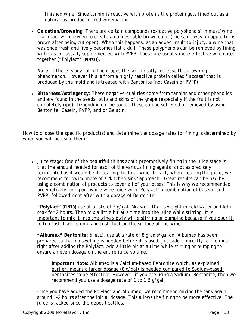*finished wine. Since tannin is reactive with proteins the protein gets fined out as a natural by-product of red winemaking.* 

• **Oxidation/Browning:** There are certain compounds (oxidative polyphenols) in must/wine that react with oxygen to create an undesirable brown color (the same way an apple turns brown after being cut open). When this happens, as an added insult to injury, a wine that was once fresh and lively becomes flat a dull. These polyphenols can be removed by fining with Casein, usually supplemented with PVPP. These are usually more effective when used together ("Polylact" **(FIN73)**).

*Note: If there is any rot in the grapes this will greatly increase the browning phenomenon. However this is from a highly reactive protein called "laccase" that is produced by the mold and is treated with Bentonite (not Casein or PVPP).* 

• **Bitterness/Astringency**: These negative qualities come from tannins and other phenolics and are found in the seeds, pulp and skins of the grape (especially if the fruit is not completely ripe). Depending on the source these can be softened or removed by using Bentonite, Casein, PVPP, and or Gelatin.

How to choose the specific product(s) and determine the dosage rates for fining is determined by when you will be using them:

• Juice stage: One of the beautiful things about preemptively fining in the juice stage is that the amount needed for each of the various fining agents is not as precisely regimented as it would be if treating the final wine. In fact, when treating the juice, we recommend following more of a "kitchen-sink" approach. Great results can be had by using a combination of products to cover all of your bases! This is why we recommended preemptively fining our white wine juice with "Polylact" a combination of Casein, and PVPP, followed right after with a dosage of Bentonite:

**"Polylact" (FIN73)** use at a rate of 2 g/gal. Mix with 10x its weight in cold water and let it soak for 2 hours. Then mix a little bit at a time into the juice while stirring. *It is important to mix it into the wine slowly while stirring or pumping because if you pour it in too fast it will clump and just float on the surface of the wine.*

**"Albumex" Bentonite: (FIN51)**, use at a rate of 8 grams/gallon. Albumex has been prepared so that no swelling is needed before it is used. Just add it directly to the must right after adding the Polylact. Add a little bit at a time while stirring or pumping to ensure an even dosage on the entire juice volume.

*Important Note: Albumex is a Calcium-based Bentonite which, as explained earlier, means a larger dosage (8 g/gal) is needed compared to Sodium–based bentonites to be effective. However, if you are using a Sodium- Bentonite, then we recommend you use a dosage rate of 1 to 1.5 g/gal.*

Once you have added the Polylact and Albumex, we recommend mixing the tank again around 1-2 hours after the initial dosage. This allows the fining to be more effective. The juice is racked once the deposit settles.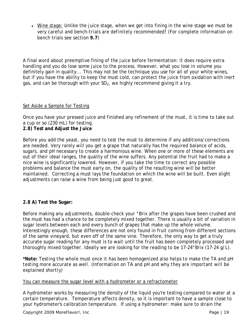• Wine stage: Unlike the juice stage, when we get into fining in the wine stage we must be very careful and *bench-trials are definitely recommended!* (For complete information on bench trials see section **9.7**)

A final word about preemptive fining of the juice before fermentation: it does require extra handling and you do lose some juice to the process. However, what you lose in volume you definitely gain in quality... This may not be the technique you use for all of your white wines, but if you have the ability to keep the must cold, can protect the juice from oxidation with inert gas, and can be thorough with your  $SO<sub>2</sub>$ , we highly recommend giving it a try.

#### Set Aside a Sample for Testing

Once you have your pressed juice and finished any refinement of the must, it is time to take out a cup or so (230 mL) for testing.

**2.8) Test and Adjust the Juice**

Before you add the yeast, you need to test the must to determine if any additions/corrections are needed. Very rarely will you get a grape that naturally has the required balance of acids, sugars, and pH necessary to create a harmonious wine. When one or more of these elements are out of their ideal ranges, the quality of the wine suffers. Any potential the fruit had to make a nice wine is significantly lowered. However, if you take the time to correct any possible problems and balance the must early on, the quality of the resulting wine will be better maintained. Correcting a must lays the foundation on which the wine will be built. Even slight adjustments can raise a wine from being just good to great.

# **2.8 A) Test the Sugar:**

Before making any adjustments, double-check your °Brix after the grapes have been crushed and the must has had a chance to be completely mixed together. There is usually a bit of variation in sugar levels between each and every bunch of grapes that make up the whole volume. Interestingly enough, these differences are not only found in fruit coming from different sections of the same vineyard, but even off of the same vine. Therefore, the only way to get a truly accurate sugar reading for any must is to wait until the fruit has been completely processed and thoroughly mixed together. Ideally we are looking for the reading to be 17-24°Brix (17-24 g/L).

*\*Note: Testing the whole must once it has been homogenized also helps to make the TA and pH testing more accurate as well. (Information on TA and pH and why they are important will be explained shortly)*

#### You can measure the sugar level with a hydrometer or a refractometer

A hydrometer works by measuring the density of the liquid you're testing compared to water at a certain temperature. Temperature affects density, so it is important to have a sample close to your hydrometer's calibration temperature. If using a hydrometer: make sure to strain the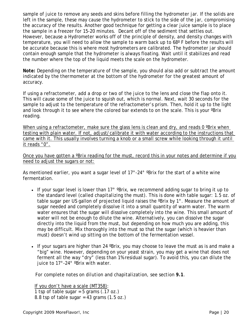sample of juice to remove any seeds and skins before filling the hydrometer jar. If the solids are left in the sample, these may cause the hydrometer to stick to the side of the jar, compromising the accuracy of the results. Another good technique for getting a clear juice sample is to place the sample in a freezer for 15-20 minutes. Decant off of the sediment that settles out. However, because a Hydrometer works off of the principle of density, and density changes with temperature, you will need to allow the sample to warm back up to 68º F before the results will be accurate because this is where most hydrometers are calibrated. The hydrometer jar should contain enough sample that the hydrometer is always floating. Wait until it stabilizes and read the number where the top of the liquid meets the scale on the hydrometer.

*Note: Depending on the temperature of the sample, you should also add or subtract the amount indicated by the thermometer at the bottom of the hydrometer for the greatest amount of accuracy.* 

If using a refractometer, add a drop or two of the juice to the lens and close the flap onto it. This will cause some of the juice to squish out, which is normal. Next, wait 30 seconds for the sample to adjust to the temperature of the refractometer's prism. Then, hold it up to the light and look through it to see where the colored bar extends to on the scale. This is your <sup>o</sup>Brix reading.

When using a refractometer, make sure the glass lens is clean and dry, and reads 0 °Brix when testing with plain water. If not, adjust/calibrate it with water according to the instructions that came with it. This usually involves turning a knob or a small screw while looking through it until it reads "0".

Once you have gotten a ºBrix reading for the must, record this in your notes and determine if you need to adjust the sugars or not:

As mentioned earlier, you want a sugar level of 17°-24° °Brix for the start of a white wine fermentation.

- If your sugar level is lower than  $17^{\circ}$  °Brix, we recommend adding sugar to bring it up to the standard level (called *chapitalizing* the must). This is done with table sugar: 1.5 oz. of table sugar per US gallon of projected liquid raises the ºBrix by 1°. Measure the amount of sugar needed and completely dissolve it into a small quantity of warm water. The warm water ensures that the sugar will dissolve completely into the wine. This small amount of water will not be enough to dilute the wine. Alternatively, you can dissolve the sugar directly into the liquid from the must, but depending on how much you are adding, this may be difficult. Mix thoroughly into the must so that the sugar (which is heavier than must) doesn't wind up sitting on the bottom of the fermentation vessel.
- If your sugars are higher than 24 °Brix, you may choose to leave the must as is and make a "big" wine. However, depending on your yeast strain, you may get a wine that does not ferment all the way "dry" (less than 1% residual sugar). To avoid this, you can dilute the juice to 17°-24° ºBrix with water.

*For complete notes on dilution and chapitalization, see section 9.1.*

If you don't have a scale (MT358): 1 tsp of table sugar =  $5$  grams  $(.17 \text{ oz.})$ 8.8 tsp of table sugar = 43 grams  $(1.5 \text{ oz.})$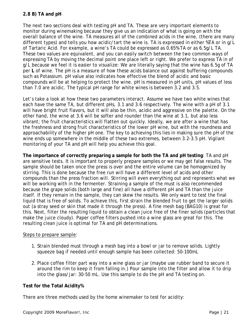# **2.8 B) TA and pH**

The next two sections deal with testing pH and TA. These are very important elements to monitor during winemaking because they give us an indication of what is going on with the overall balance of the wine. TA measures all of the combined acids in the wine, (there are many different types) and tells you how acidic/tart the wine is. TA is expressed in either %TA or in g/L of Tartaric Acid. For example, a wine's TA could be expressed as 0.65% TA or as 6.5g/L TA. These two values are equivalent, and you can easily switch between the two common ways of expressing TA by moving the decimal point one place left or right. We prefer to express TA in of g/L because we feel it is easier to visualize: We are literally saying that the wine has 6.5g of TA per **L** of wine. The pH is a measure of how these acids balance out against buffering compounds such as Potassium. pH value also indicates how effective the blend of acidic and basic compounds will be at helping to protect the wine. pH is measured in pH units, pH values of less than 7.0 are acidic. The typical pH range for white wines is between 3.2 and 3.5.

Let's take a look at how these two parameters interact. Assume we have two white wines that each have the same TA, but different pHs, 3.1 and 3.6 respectively. The wine with a pH of 3.1 will have bright fruit flavors, but it will also be thin, acidic and aggressive on the palette. On the other hand, the wine at 3.6 will be softer and rounder than the wine at 3.1, but also less vibrant; the fruit characteristics will flatten out quickly. Ideally, we are after a wine that has the freshness and strong fruit characteristics of the lower pH wine, but with the roundness and approachability of the higher pH one. The key to achieving this lies in making sure the pH of the wine ends up somewhere in the middle of these two extremes, between 3.2-3.5 pH. Vigilant monitoring of your TA and pH will help you achieve this goal.

**The importance of correctly preparing a sample for both the TA and pH testing**: TA and pH are sensitive tests. It is important to properly prepare samples or we may get false results. The sample should be taken once the press is over and the entire volume can be homogenized by stirring. This is done because the free run will have a different level of acids and other compounds than the press fraction will. Stirring will even everything out and represents what we will be working with in the fermenter. Straining a sample of the must is also recommended because the grape solids (both large and fine) all have a different pH and TA than the juice itself. If they remain in the sample, they can skew the results. We only want to test the final liquid that is free of solids. To achieve this, first strain the blended fruit to get the larger solids out (a stray seed or skin that made it through the press). A fine mesh bag (*BAG10)* is great for this. Next, filter the resulting liquid to obtain a clean juice free of the finer solids (particles that make the juice cloudy). Paper coffee filters pushed into a wine glass are great for this. The resulting clean juice is optimal for TA and pH determinations.

#### Steps to prepare sample:

- 1. Strain blended must through a mesh bag into a bowl or jar to remove solids. Lightly squeeze bag if needed until enough sample has been collected: 50-100mL
- 2. Place coffee filter part way into a wine glass or jar (maybe use rubber band to secure it around the rim to keep it from falling in.) Pour sample into the filter and allow it to drip into the glass/jar: 30-50 mL. Use this sample to do the pH and TA testing on.

# **Test for the Total Acidity%**

There are three methods used by the home winemaker to test for acidity: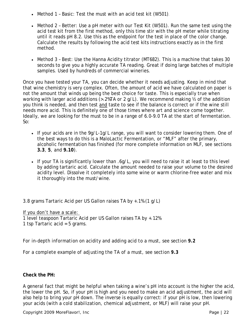- Method 1 Basic: Test the must with an acid test kit (W501).
- Method 2 Better: Use a pH meter with our Test Kit (W501). Run the same test using the acid test kit from the first method, only this time stir with the pH meter while titrating until it reads pH 8.2. Use this as the endpoint for the test in place of the color change. Calculate the results by following the acid test kits instructions exactly as in the first method.
- Method 3 Best: Use the Hanna Acidity titrator (MT682). This is a machine that takes 30 seconds to give you a highly accurate TA reading. Great if doing large batches of multiple samples. Used by hundreds of commercial wineries.

Once you have tested your TA, you can decide whether it needs adjusting. Keep in mind that that wine chemistry is very complex. Often, the amount of acid we have calculated on paper is not the amount that winds up being the best choice for taste. This is especially true when working with larger acid additions (>.2%TA or 2 g/L). We recommend making ½ of the addition you think is needed, and then test and taste to see if the balance is correct or if the wine still needs more acid. This is definitely one of those times where art and science come together. Ideally, we are looking for the must to be in a range of 6.0-9.0 TA at the start of fermentation. So:

- If your acids are in the 9g/L-1g/L range, you will want to consider lowering them. One of the best ways to do this is a MaloLactic Fermentation, or "MLF" after the primary, alcoholic fermentation has finished (for more complete information on MLF, see sections **3.3**, **5**, and **9.10**).
- If your TA is significantly lower than .6g/L, you will need to raise it at least to this level by adding tartaric acid. Calculate the amount needed to raise your volume to the desired acidity level. Dissolve it completely into some wine or warm chlorine-free water and mix it thoroughly into the must/wine.

3.8 grams Tartaric Acid per US Gallon raises TA by +.1% (1 g/L)

If you don't have a scale: 1 level teaspoon Tartaric Acid per US Gallon raises TA by +.12% 1 tsp Tartaric acid = 5 grams.

*For in-depth information on acidity and adding acid to a must, see section 9.2* 

*For a complete example of adjusting the TA of a must, see section 9.3* 

# **Check the PH:**

A general fact that might be helpful when taking a wine's pH into account is the higher the acid, the lower the pH. So, if your pH is high and you need to make an acid adjustment, the acid will also help to bring your pH down. The inverse is equally correct: if your pH is low, then lowering your acids (with a cold stabilization, chemical adjustment, or MLF) will raise your pH.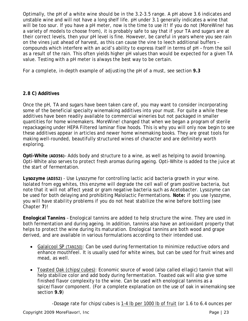Optimally, the pH of a white wine should be in the 3.2-3.5 range. A pH above 3.6 indicates and unstable wine and will not have a long shelf life. pH under 3.1 generally indicates a wine that will be too sour. If you have a pH meter, now is the time to use it! If you do not (*MoreWine!* has a variety of models to choose from), it is probably safe to say that if your TA and sugars are at their correct levels, then your pH level is fine. However, be careful in years where you see rain on the vines just ahead of harvest, as this can cause the vine to leech additional buffers – compounds which interfere with an acid's ability to express itself in terms of pH – from the soil as a result of the rain. This often yields higher pH values than would be expected for a given TA value. Testing with a pH meter is always the best way to be certain.

*For a complete, in-depth example of adjusting the pH of a must, see section 9.3* 

# **2.8 C) Additives**

Once the pH, TA and sugars have been taken care of, you may want to consider incorporating some of the beneficial specialty winemaking additives into your must. For quite a while these additives have been readily available to commercial wineries but not packaged in smaller quantities for home winemakers. *MoreWine!* changed that when we began a program of sterile repackageing under HEPA Filtered laminar flow hoods. This is why you will only now begin to see these additives appear in articles and newer home winemaking books. They are great tools for making well-rounded, beautifully structured wines of character and are definitely worth exploring.

**Opti-White (AD356)**– Adds body and structure to a wine, as well as helping to avoid browning. Opti-White also serves to protect fresh aromas during ageing. Opti-White is added to the juice at the start of fermentation.

**Lysozyme (AD352)** - Use Lysozyme for controlling lactic acid bacteria growth in your wine. Isolated from egg whites, this enzyme will degrade the cell wall of gram positive bacteria, but note that it will not affect yeast or gram negative bacteria such as Acetobacter. Lysozyme can be used for both delaying and prohibiting Malolactic Fermentations. *Note: if you use lysozyme, you will have stability problems if you do not heat stabilize the wine before bottling (see Chapter 7)!* 

**Enological Tannins** – Enological tannins are added to help structure the wine. They are used in both fermentation and during ageing. In addition, tannins also have an antioxidant property that helps to protect the wine during its maturation. Enological tannins are both wood and grape derived, and are available in various formulations according to their intended use.

- Galalcool SP (TAN150): Can be used during fermentation to minimize reductive odors and enhance mouthfeel. It is usually used for white wines, but can be used for fruit wines and mead, as well.
- Toasted Oak (chips/cubes): Economic source of wood (also called *ellagic*) tannin that will help stabilize color and add body during fermentation. Toasted oak will also give some finished flavor complexity to the wine. Can be used with enological tannins as a spice/flavor component. (For a complete explanation on the use of oak in winemaking see section **9.9**)

-Dosage rate for chips/cubes is 1-4 lb per 1000 lb of fruit (or 1.6 to 6.4 ounces per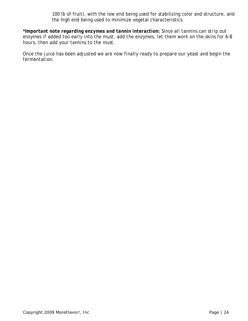100 lb of fruit), with the low end being used for stabilizing color and structure, and the high end being used to minimize vegetal characteristics.

*\*Important note regarding enzymes and tannin interaction: Since all tannins can strip out enzymes if added too early into the must, add the enzymes, let them work on the skins for 6-8 hours, then add your tannins to the must.*

*Once the juice has been adjusted we are now finally ready to prepare our yeast and begin the fermentation.*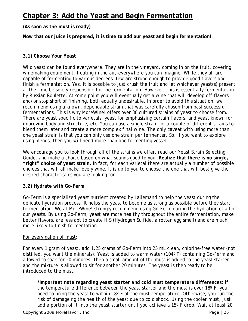# **Chapter 3: Add the Yeast and Begin Fermentation**

**(As soon as the must is ready)**

**Now that our juice is prepared, it is time to add our yeast and begin fermentation!**

#### **3.1) Choose Your Yeast**

Wild yeast can be found everywhere. They are in the vineyard, coming in on the fruit, covering winemaking equipment, floating in the air, everywhere you can imagine. While they all are capable of fermenting to various degrees, few are strong enough to provide good flavors and finish a fermentation. Yes, it is possible to just crush the fruit and let whichever yeast(s) present at the time be solely responsible for the fermentation. However, this is essentially fermentation by Russian Roulette. At some point you will eventually get a wine that will develop off-flavors and/or stop short of finishing, both equally undesirable. In order to avoid this situation, we recommend using a known, dependable strain that was carefully chosen from past successful fermentations. This is why *MoreWine!* offers over 30 cultured strains of yeast to choose from. There are yeast specific to varietals, yeast for emphasizing certain flavors, and yeast known for improving body and structure, etc. You can use a single strain, or a couple of different strains to blend them later and create a more complex final wine. The only caveat with using more than one yeast strain is that you can only use one strain per fermenter. So, if you want to explore using blends, then you will need more than one fermenting vessel.

We encourage you to look through all of the strains we offer, read our Yeast Strain Selecting Guide, and make a choice based on what sounds good to you. **Realize that there is no single, "right" choice of yeast strain.** In fact, for each varietal there are actually a number of possible choices that will all make lovely wine. It is *up to you* to choose the one that will best give the desired characteristics you are looking for.

#### **3.2) Hydrate with Go-Ferm**

Go-Ferm is a specialized yeast nutrient created by Lallemand to help the yeast during the delicate hydration process. It helps the yeast to become as strong as possible before they start fermentation. We at *MoreWine!* strongly recommend using Go-Ferm during the hydration of all of our yeasts. By using Go-Ferm, yeast are more healthy throughout the entire fermentation, make better flavors, are less apt to create  $H_2S$  (Hydrogen Sulfide, a rotten egg smell) and are much more likely to finish fermentation.

#### For every gallon of must:

For every 1 gram of yeast, add 1.25 grams of Go-Ferm into 25 mL clean, chlorine-free water (not distilled, you want the minerals). Yeast is added to warm water (104º F) containing Go-Ferm and allowed to soak for 20 minutes. Then a small amount of the must is added to the yeast starter and the mixture is allowed to sit for another 20 minutes. The yeast is then ready to be introduced to the must.

*\*Important note regarding yeast starter and cold must temperature differences: if the temperature difference between the yeast starter and the must is over 18º F, you need to bring the yeast to within 18º F of the must temperature. Otherwise, you run the risk of damageing the health of the yeast due to cold shock. Using the cooler must, just add a portion of it into the yeast starter until you achieve a 15º F drop. Wait at least 20*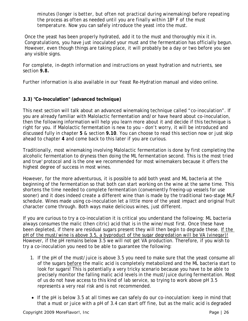*minutes (longer is better, but often not practical during winemaking) before repeating the process as often as needed until you are finally within 18º F of the must temperature. Now you can safely introduce the yeast into the must.*

Once the yeast has been properly hydrated, add it to the must and thoroughly mix it in. Congratulations, you have just inoculated your must and the fermentation has officially begun. However, even though things are taking place, it will probably be a day or two before you see any visible signs.

*For complete, in-depth information and instructions on yeast hydration and nutrients, see section 9.8.* 

*Further information is also available in our Yeast Re-Hydration manual and video online.*

# **3.3) "Co-Inoculation" (advanced technique)**

This next section will talk about an advanced winemaking technique called "co-inoculation". If you are already familiar with Malolactic fermentation and/or have heard about co-inoculation, then the following information will help you learn more about it and decide if this technique is right for you. If Malolactic fermentation is new to you – don't worry, it will be introduced and discussed fully in chapter **5** & section **9.10**. You can choose to read this section now or just skip ahead to chapter **4** and come back to this later if you are curious.

Traditionally, most winemaking involving Malolactic fermentation is done by first completing the alcoholic fermentation to dryness then doing the ML fermentation second. This is the most tried and true' protocol and is the one we recommended for most winemakers because it offers the highest degree of success in most wines.

However, for the more adventurous, it is possible to add both yeast and ML bacteria at the beginning of the fermentation so that both can start working on the wine at the same time. This shortens the time needed to complete fermentation (conveniently freeing-up vessels for use sooner) and it does indeed create a different wine than is made by the traditional two-stage MLF schedule. Wines made using co-inoculation let a little more of the yeast impact and original fruit character come through. Both ways make delicious wines, just different.

If you are curious to try a co-inoculation it is critical you understand the following: ML bacteria always consumes the malic (then citric) acid that is in the wine/must first. Once these have been depleted, if there are residual sugars present they will then begin to degrade these. *If the pH of the must/wine is above 3.5, a byproduct of the sugar degredation will be VA (vinegar)!* However, if the pH remains below 3.5 we will not get VA production. Therefore, if you wish to try a co-inoculation you need to be able to guarantee the following:

- 1. If the pH of the must/juice is above 3.5 you need to make sure that the yeast consume all of the sugars *before* the malic acid is completely metabolized and the ML bacteria start to look for sugars! This is potentially a very tricky scenario because you have to be able to precisely monitor the falling malic acid levels in the must/juice during fermentation. Most of us do not have access to this kind of lab service, so trying to work above pH 3.5 represents a very real risk and is not recommended.
- If the pH is below 3.5 at all times we can safely do our co-inoculation: keep in mind that that a must or juice with a pH of 3.4 can start off fine, but as the malic acid is degraded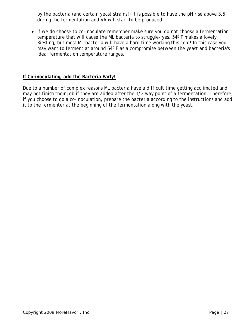by the bacteria (and certain yeast strains!) it is possible to have the pH rise above 3.5 during the fermentation and VA will start to be produced!

• If we do choose to co-inoculate remember make sure you do not choose a fermentation temperature that will cause the ML bacteria to struggle- yes, 54º F makes a lovely Riesling, but most ML bacteria will have a hard time working this cold! In this case you may want to ferment at around 64º F as a compromise between the yeast and bacteria's ideal fermentation temperature ranges.

#### **If Co-inoculating, add the Bacteria Early!**

Due to a number of complex reasons ML bacteria have a difficult time getting acclimated and may not finish their job if they are added after the 1/2 way point of a fermentation. Therefore, if you choose to do a co-inoculation, prepare the bacteria according to the instructions and add it to the fermenter at the beginning of the fermentation along with the yeast.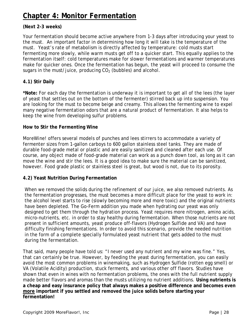# **Chapter 4: Monitor Fermentation**

# **(Next 2-3 weeks)**

Your fermentation should become active anywhere from 1-3 days after introducing your yeast to the must. An important factor in determining how long it will take is the temperature of the must. Yeast's rate of metabolism is directly affected by temperature: cold musts start fermenting more slowly, while warm musts get off to a quicker start. This equally applies to the fermentation itself: cold temperatures make for slower fermentations and warmer temperatures make for quicker ones. Once the fermentation has begun, the yeast will proceed to consume the sugars in the must/juice, producing  $CO<sub>2</sub>$  (bubbles) and alcohol.

# **4.1) Stir Daily**

**\*Note:** For each day the fermentation is underway it is important to get all of the lees (the layer of yeast that settles out on the bottom of the fermenter) stirred back up into suspension. You are looking for the must to become beige and creamy. This allows the fermenting wine to expel many negative fermentation odors that are a natural product of fermentation. It also helps to keep the wine from developing sulfur problems.

#### **How to Stir the Fermenting Wine**

*MoreWine!* offers several models of punches and lees stirrers to accommodate a variety of fermenter sizes from 1-gallon carboys to 600 gallon stainless steel tanks. They are made of durable food-grade metal or plastic and are easily sanitized and cleaned after each use. Of course, any object made of food-grade material can work as a punch down tool, as long as it can move the wine and stir the lees. It is a good idea to make sure the material can be sanitized, however. Food grade plastic or stainless steel is great, but wood is not, due to its porosity.

#### **4.2) Yeast Nutrition During Fermentation**

When we removed the solids during the refinement of our juice, we also removed nutrients. As the fermentation progresses, the must becomes a more difficult place for the yeast to work in: the alcohol level starts to rise (slowly becoming more and more toxic) and the original nutrients have been depleted. The Go-Ferm addition you made when hydrating our yeast was only designed to get them through the hydration process. Yeast requires more nitrogen, amino acids, micro-nutrients, etc. in order to stay healthy during fermentation. When those nutrients are not present in sufficient amounts, yeast produce off-flavors (Hydrogen Sulfide and VA) and have difficulty finishing fermentations. In order to avoid this scenario, provide the needed nutrition in the form of a complete specially formulated yeast nutrient that gets added to the must during the fermentation.

That said, many people have told us: "I never used any nutrient and my wine was fine." Yes, that can certainly be true. However, by feeding the yeast during fermentation, you can easily avoid the most common problems in winemaking, such as Hydrogen Sulfide (rotten egg smell) or VA (Volatile Acidity) production, stuck ferments, and various other off flavors. Studies have shown that even in wines with no fermentation problems, the ones with the full nutrient supply made better flavors and aromas than the musts utilizing no nutrient additions. **Using nutrients is a cheap and easy insurance policy that always makes a positive difference and becomes even more important if you settled and removed the juice solids before starting your fermentation!**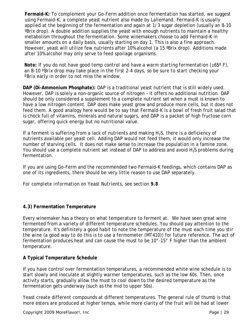**Fermaid-K:** To complement your Go-Ferm addition once fermentation has started, we suggest using Fermaid-K, a complete yeast nutrient also made by Lallemand. Fermaid-K is usually applied at the beginning of the fermentation and again at 1/3 sugar depletion (usually an 8-10 ºBrix drop). A double addition supplies the yeast with enough nutrients to maintain a healthy metabolism throughout the fermentation. Some winemakers choose to add Fermaid-K in smaller amounts on a daily basis, usually starting on day 1. This is also a fine approach. However, yeast will utilize few nutrients after 10% alcohol (a 15 ºBrix drop). Additions made after 10% alcohol may only serve to feed spoilage organisms.

*Note: If you do not have good temp control and have a warm starting fermentation (≥65º F), an 8-10 ºBrix drop may take place in the first 2-4 days, so be sure to start checking your ºBrix early in order to not miss the window.* 

**DAP (Di-Ammonium Phosphate):** DAP is a traditional yeast nutrient that is still widely used. However, DAP is solely a non-organic source of nitrogen – it offers no additional nutrition. DAP should be only considered a supplement to a complete nutrient set when a must is known to have a low nitrogen content. DAP does make yeast grow and produce more cells, but it does not feed them. A good analogy here would be to say that Fermaid-K is a bowl of fresh fruit salad that is chock full of vitamins, minerals and natural sugars, and DAP is a packet of high fructose corn sugar, offering quick energy but no nutritional value.

If a ferment is suffering from a lack of nutrients and making  $H_2S$ , there is a deficiency of nutrients available per yeast cell. Adding DAP would not feed them, it would only increase the number of starving cells. It does not make sense to increase the population in a famine zone. You should use a complete nutrient set instead of DAP to address and avoid  $H_2S$  problems during fermentation.

If you are using Go-Ferm and the recommended two Fermaid-K feedings, which contains DAP as one of its ingredients, there should be very little reason to use DAP separately.

*For complete information on Yeast Nutrients, see section 9.8*

# **4.3) Fermentation Temperature**

Every winemaker has a theory on what temperature to ferment at. We have seen great wine fermented from a variety of different temperature schedules. You should pay attention to the temperature. It's definitely a good habit to note the temperature of the must each time you stir the wine (a good way to do this is to use a fermometer (MT410)) for future reference. The act of fermentation produces heat and can cause the must to be 10°-15° F higher than the ambient temperature.

# **A Typical Temperature Schedule**

If you have control over fermentation temperatures, a recommended white wine schedule is to start slowly and inoculate at slightly warmer temperatures, such as the low 60s. Then, once activity starts, gradually allow the must to cool down to the desired temperature as the fermentation gets underway (such as the mid to upper 50s).

Yeast create different compounds at different temperatures. The general rule of thumb is that more esters are produced at higher temps, while more clarity of the fruit will be had at lower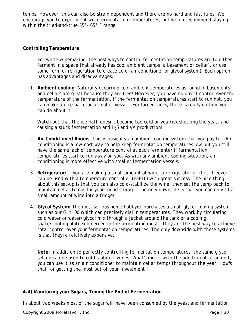temps. However, this can also be strain dependent and there are no hard and fast rules. We encourage you to experiment with fermentation temperatures, but we do recommend staying within the tried-and-true 55°-65° F range.

#### **Controlling Temperature**

For white winemaking, the best ways to control fermentation temperatures are to either ferment in a space that already has cool ambient temps (a basement or cellar), or use some form of refrigeration to create cold (air conditioner or glycol system). Each option has advantages and disadvantages:

1. **Ambient cooling:** Naturally occurring cool ambient temperatures as found in basements and cellars are great because they are free! However, you have no direct control over the temperature of the fermentation. If the fermentation temperatures start to run hot, you can make an ice bath for a smaller vessel. For larger tanks, there is really nothing you can do about it.

*Watch out that the ice bath doesn't become too cold or you risk shocking the yeast and causing a stuck fermentation and H2S and VA production!* 

- 2. **Air Conditioned Rooms:** This is basically an ambient cooling system that you pay for. Air conditioning is a low-cost way to help keep fermentation temperatures low but you still have the same lack of temperature control at each fermenter if fermentation temperatures start to run away on you. As with any ambient cooling situation, air conditioning is more effective with smaller fermentation vessels.
- 3. **Refrigerator:** If you are making a small amount of wine, a refrigerator or chest freezer can be used with a temperature controller (FE610) with great success. The nice thing about this set-up is that you can also cold-stabilize the wine, then set the temp back to maintain cellar temps for year round storage. The only downside is that you can only fit a small amount of wine into a fridge!
- 4. **Glycol System:** The most serious home hobbyist purchases a small glycol cooling system such as our GLY100 which can precisely dial in temperatures. They work by circulating cold water or water/glycol mix through a jacket around the tank or a cooling snake/cooling plate submerged in the fermenting must. They are the best way to achieve total control over your fermentation temperatures. The only downside with these systems is that they're relatively expensive.

*Note: In addition to perfectly controlling fermentation temperatures, the same glycol set-up can be used to cold stabilize wines! What's more, with the addition of a fan unit, you can use it as an air conditioner to maintain cellar temps throughout the year. How's that for getting the most out of your investment!* 

# **4.4) Monitoring your Sugars, Timing the End of Fermentation**

In about two weeks most of the sugar will have been consumed by the yeast and fermentation

Copyright 2009 *MoreFlavor!*, Inc **Page 130** and Page 130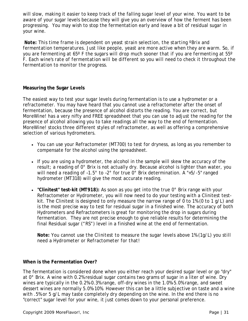will slow, making it easier to keep track of the falling sugar level of your wine. You want to be aware of your sugar levels because they will give you an overview of how the ferment has been progressing. You may wish to stop the fermentation early and leave a bit of residual sugar in your wine.

*Note: This time frame is dependent on yeast strain selection, the starting ºBrix and fermentation temperatures. Just like people, yeast are more active when they are warm. So, if you are fermenting at 65º F the sugars will drop much sooner that if you are fermenting at 55º F. Each wine's rate of fermentation will be different so you will need to check it throughout the fermentation to monitor the progress.* 

#### **Measuring the Sugar Levels**

The easiest way to test your sugar levels during fermentation is to use a hydrometer or a refractometer. You may have heard that you cannot use a refractometer after the onset of fermentation, because the presence of alcohol distorts the reading. You are correct, but *MoreWine!* has a very nifty and FREE spreadsheet that you can use to adjust the reading for the presence of alcohol allowing you to take readings all the way to the end of fermentation. *MoreWine!* stocks three different styles of refractometer, as well as offering a comprehensive selection of various hydrometers.

- You can use your Refractometer (MT700) to test for dryness, as long as you remember to compensate for the alcohol using the spreadsheet.
- If you are using a hydrometer, the alcohol in the sample will skew the accuracy of the result; a reading of 0° Brix is not actually dry. Because alcohol is lighter than water, you will need a reading of -1.5° to -2° for true 0° Brix determination. A "+5/-5" ranged hydrometer (MT318) will give the most accurate reading.
- **"Clinitest" test-kit (MT918):** As soon as you get into the true 0° Brix range with your Refractometer or Hydrometer, you will now need to do your testing with a Clinitest testkit. The Clinitest is designed to only measure the narrow range of 0 to 1% (0 to 1 g/L) and is the most precise way to test for residual sugar in a finished wine. The accuracy of both Hydrometers and Refractometers is great for monitoring the drop in sugars during fermentation. They are not precise enough to give reliable results for determining the final Residual sugar ("RS") level in a finished wine at the end of fermentation.

*Note: You cannot use the Clinitest to measure the sugar levels above 1% (1g/L) you still need a Hydrometer or Refractometer for that!*

# **When is the Fermentation Over?**

The fermentation is considered done when you either reach your desired sugar level or go "dry" at 0° Brix. A wine with 0.2% residual sugar contains two grams of sugar in a liter of wine. Dry wines are typically in the 0.2%-0.3% range, off-dry wines in the 1.0%-5.0% range, and sweet dessert wines are normally 5.0%-10%. However this can be a little subjective on taste and a wine with .5% or 5 g/L may taste completely dry depending on the wine. In the end there is no "correct" sugar level for your wine, it just comes down to your personal preference.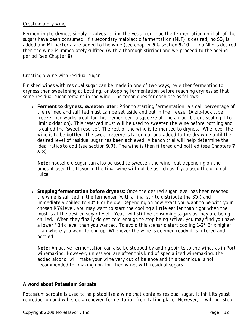#### Creating a dry wine

Fermenting to dryness simply involves letting the yeast continue the fermentation until all of the sugars have been consumed. If a secondary malolactic fermentation (MLF) is desired, no  $SO<sub>2</sub>$  is added and ML bacteria are added to the wine (see chapter **5** & section **9.10**). If no MLF is desired then the wine is immediately sulfited (with a thorough stirring) and we proceed to the ageing period (see Chapter **6**).

#### Creating a wine with residual sugar

Finished wines with residual sugar can be made in one of two ways; by either fermenting to dryness then sweetening at bottling, or stopping fermentation before reaching dryness so that some residual sugar remains in the wine. The techniques for each are as follows:

• **Ferment to dryness, sweeten later:** Prior to starting fermentation, a small percentage of the refined and sulfited must can be set aside and put in the freezer (A zip-lock type freezer bag works great for this- remember to squeeze all the air out before sealing it to limit oxidation). This reserved must will be used to sweeten the wine before bottling and is called the "sweet reserve". The rest of the wine is fermented to dryness. Whenever the wine is to be bottled, the sweet reserve is taken out and added to the dry wine until the desired level of residual sugar has been achieved. A bench trial will help determine the ideal ratios to add (see section **9.7**). The wine is then filtered and bottled (see Chapters **7 & 8**).

*Note: household sugar can also be used to sweeten the wine, but depending on the amount used the flavor in the final wine will not be as rich as if you used the original juice.* 

• **Stopping fermentation before dryness:** Once the desired sugar level has been reached the wine is sulfited in the fermenter (with a final stir to distribute the  $SO<sub>2</sub>$ ) and immediately chilled to 40° F or below. Depending on how exact you want to be with your chosen RS% level, you may want to start the cooling a little earlier than right when the must is at the desired sugar level. Yeast will still be consuming sugars as they are being chilled. When they finally do get cold enough to stop being active, you may find you have a lower °Brix level than you wanted. To avoid this scenario start cooling 1-2° Brix higher than where you want to end up. Whenever the wine is deemed ready it is filtered and bottled.

*Note: An active fermentation can also be stopped by adding spirits to the wine, as in Port winemaking. However, unless you are after this kind of specialized winemaking, the added alcohol will make your wine very out of balance and this technique is not recommended for making non-fortified wines with residual sugars.* 

#### **A word about Potassium Sorbate**

Potassium sorbate is used to help stabilize a wine that contains residual sugar. It inhibits yeast reproduction and will stop a renewed fermentation from taking place. However, it will not stop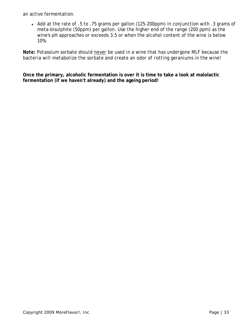an active fermentation.

• Add at the rate of .5 to .75 grams per gallon (125-200ppm) in conjunction with .3 grams of meta-bisulphite (50ppm) per gallon. Use the higher end of the range (200 ppm) as the wine's pH approaches or exceeds 3.5 or when the alcohol content of the wine is below 10%.

*Note: Potassium sorbate should never be used in a wine that has undergone MLF because the bacteria will metabolize the sorbate and create an odor of rotting geraniums in the wine!*

**Once the primary, alcoholic fermentation is over it is time to take a look at malolactic fermentation (if we haven't already) and the ageing period!**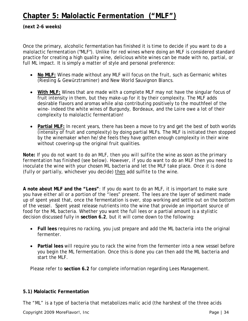# **Chapter 5: Malolactic Fermentation ("MLF")**

**(next 2-6 weeks)**

Once the primary, alcoholic fermentation has finished it is time to decide if you want to do a malolactic fermentation ("MLF"). Unlike for red wines where doing an MLF is considered standard practice for creating a high quality wine, delicious white wines can be made with no, partial, or full ML impact. It is simply a matter of style and personal preference:

- **No MLF**: Wines made without any MLF will focus on the fruit, such as Germanic whites (Riesling & Gewürztraminer) and New World Sauvignon Blancs.
- **With MLF:** Wines that are made with a complete MLF may not have the singular focus of fruit intensity in them, but they make-up for it by their complexity. The MLF adds desirable flavors and aromas while also contributing positively to the mouthfeel of the wine- indeed the white wines of Burgundy, Bordeaux, and the Loire owe a lot of their complexity to malolactic fermentation!
- **Partial MLF:** In recent years, there has been a move to try and get the best of both worlds (intensity of fruit and complexity) by doing partial MLFs. The MLF is initiated then stopped by the winemaker when he/she feels they have gotten enough complexity in their wine without covering-up the original fruit qualities.

*Note: If you do not want to do an MLF, then you will sulfite the wine as soon as the primary fermentation has finished (see below). However, if you do want to do an MLF then you need to*  inoculate the wine with your chosen ML bacteria and let the MLF take place. Once it is done *(fully or partially, whichever you decide) then add sulfite to the wine.*

**A note about MLF and the "Lees"**: If you do want to do an MLF, it is important to make sure you have either all or a portion of the "lees" present. The lees are the layer of sediment made up of spent yeast that, once the fermentation is over, stop working and settle out on the bottom of the vessel. Spent yeast release nutrients into the wine that provide an important source of food for the ML bacteria. Whether you want the full lees or a partial amount is a stylistic decision discussed fully in **section 6.2**, but it will come down to the following:

- **Full lees** requires no racking, you just prepare and add the ML bacteria into the original fermenter.
- **Partial lees** will require you to rack the wine from the fermenter into a new vessel before you begin the ML fermentation. Once this is done you can then add the ML bacteria and start the MLF.

Please refer to **section 6.2** for complete information regarding Lees Management.

# **5.1) Malolactic Fermentation**

The "ML" is a type of bacteria that metabolizes malic acid (the harshest of the three acids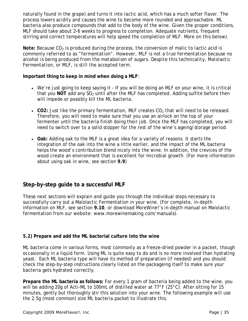naturally found in the grape) and turns it into lactic acid, which has a much softer flavor. The process lowers acidity and causes the wine to become more rounded and approachable. ML bacteria also produce compounds that add to the body of the wine. Given the proper conditions, MLF should take about 2-6 weeks to progress to completion. Adequate nutrients, frequent stirring and correct temperatures will help speed the completion of MLF. More on this below).

*Note:* Because CO<sub>2</sub> is produced during the process, the conversion of malic to lactic acid is *commonly referred to as "fermentation". However, MLF is not a true fermentation because no alcohol is being produced from the metabolism of sugars. Despite this technicality, Malolactic Fermentation, or MLF, is still the accepted term.* 

#### **Important thing to keep in mind when doing a MLF**:

- We're just going to keep saying it If you will be doing an MLF on your wine, it is critical that you NOT add any SO<sub>2</sub> until after the MLF has completed. Adding sulfite before then will impede or possibly kill the ML bacteria.
- CO2: Just like the primary fermentation, MLF creates  $CO<sub>2</sub>$  that will need to be released. Therefore, you will need to make sure that you use an airlock on the top of your fermenter until the bacteria finish doing their job. Once the MLF has completed, you will need to switch over to a solid stopper for the rest of the wine's ageing/storage period.
- **Oak:** Adding oak to the MLF is a great idea for a variety of reasons. It starts the integration of the oak into the wine a little earlier, and the impact of the ML bacteria helps the wood's contribution blend nicely into the wine. In addition, the crevices of the wood create an environment that is excellent for microbial growth. (For more information about using oak in wine, see section **9.9**)

# **Step-by-step guide to a successful MLF**

These next sections will explain and guide you through the individual steps necessary to successfully carry out a Malolactic Fermentation in your wine. (For complete, in-depth information on MLF, see section **9.10**, or download MoreWine!'s in-depth manual on Malolactic fermentation from our website: www.morewinemaking.com/manuals).

# **5.2) Prepare and add the ML bacterial culture into the wine**

ML bacteria come in various forms, most commonly as a freeze-dried powder in a packet, though occasionally in a liquid form. Using ML is quite easy to do and is no more involved than hydrating yeast. Each ML bacteria type will have its method of preparation (if needed) and you should check the step-by-step instructions clearly listed on the packageing itself to make sure your bacteria gets hydrated correctly.

**Prepare the ML bacteria as follows:** For every 1 gram of bacteria being added to the wine, you will be adding 20g of Acti-ML to 100mL of distilled water at 77°F (25°C). After sitting for 15 minutes, gently but thoroughly stir this solution into your wine. The following example will use the 2.5g (most common) size ML bacteria packet to illustrate this.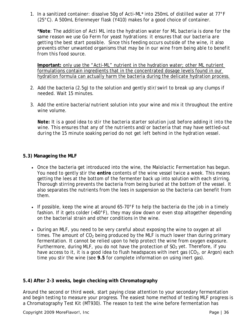1. In a sanitized container: dissolve 50g of Acti-ML\* into 250mL of distilled water at 77°F (25°C). A 500mL Erlenmeyer flask (Y410) makes for a good choice of container.

*\*Note: The addition of Acti ML into the hydration water for ML bacteria is done for the same reason we use Go Ferm for yeast hydrations: it ensures that our bacteria are getting the best start possible. Since this feeding occurs outside of the wine, it also prevents other unwanted organisms that may be in our wine from being able to benefit from this food source.*

**Important:** only use the "Acti-ML" nutrient in the hydration water; other ML nutrient formulations contain ingredients that in the concentrated dosage levels found in our hydration formula can actually harm the bacteria during the delicate hydration process.

- 2. Add the bacteria (2.5g) to the solution and gently stir/swirl to break up any clumps if needed. Wait 15 minutes.
- 3. Add the entire bacteria/nutrient solution into your wine and mix it throughout the entire wine volume.

*Note: It is a good idea to stir the bacteria starter solution just before adding it into the wine. This ensures that any of the nutrients and/or bacteria that may have settled-out during the 15 minute soaking period do not get left behind in the hydration vessel.*

#### **5.3) Manageing the MLF**

- Once the bacteria get introduced into the wine, the Malolactic Fermentation has begun. You need to gently stir the **entire** contents of the wine vessel twice a week. This means getting the lees at the bottom of the fermenter back up into solution with each stirring. Thorough stirring prevents the bacteria from being buried at the bottom of the vessel. It also separates the nutrients from the lees in suspension so the bacteria can benefit from them.
- If possible, keep the wine at around 65-70°F to help the bacteria do the job in a timely fashion. If it gets colder  $\left($ <60°F $\right)$ , they may slow down or even stop altogether depending on the bacterial strain and other conditions in the wine.
- During an MLF, you need to be very careful about exposing the wine to oxygen at all times. The amount of  $CO<sub>2</sub>$  being produced by the MLF is much lower than during primary fermentation. It cannot be relied upon to help protect the wine from oxygen exposure. Furthermore, during MLF, you do not have the protection of  $SO<sub>2</sub>$  yet. Therefore, if you have access to it, it is a good idea to flush headspaces with inert gas  $(CO<sub>2</sub>)$ , or Argon) each time you stir the wine (see **9.5** for complete information on using inert gas).

# **5.4) After 2-3 weeks, begin checking with Chromatography**

Around the second or third week, start paying close attention to your secondary fermentation and begin testing to measure your progress. The easiest home method of testing MLF progress is a Chromatography Test Kit (MT930). The reason to test the wine before fermentation has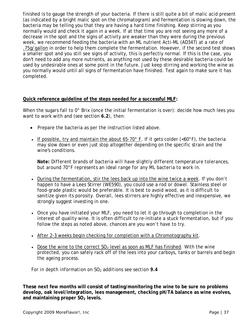finished is to gauge the strength of your bacteria. If there is still quite a bit of malic acid present (as indicated by a bright malic spot on the chromatogram) and fermentation is slowing down, the bacteria may be telling you that they are having a hard time finishing. Keep stirring as you normally would and check it again in a week. If at that time you are not seeing any more of a decrease in the spot and the signs of activity are weaker than they were during the previous week, we recommend feeding the bacteria with an ML nutrient Acti-ML (AD347) at a rate of .75g/gallon in order to help them complete the fermentation. However, if the second test shows a smaller spot and you still see signs of activity, this is perfectly normal. If this is the case, you don't need to add any more nutrients, as anything not used by these desirable bacteria could be used by undesirable ones at some point in the future. Just keep stirring and working the wine as you normally would until all signs of fermentation have finished. Test again to make sure it has completed.

#### **Quick reference guideline of the steps needed for a successful MLF:**

When the sugars fall to 0° Brix (once the initial fermentation is over): decide how much lees you want to work with and (see section **6.2**), then:

- Prepare the bacteria as per the instruction listed above.
- If possible, try and maintain the about 65-70 $^{\circ}$  F. If it gets colder (<60 $^{\circ}$ F), the bacteria may slow down or even just stop altogether depending on the specific strain and the wine's conditions.

*Note: Different brands of bacteria will have slightly different temperature tolerances, but around 70°F represents an ideal range for any ML bacteria to work in.*

- During the fermentation, stir the lees back up into the wine twice a week. If you don't happen to have a Lees Stirrer (WE590), you could use a rod or dowel. Stainless steel or food-grade plastic would be preferable. It is best to avoid wood, as it is difficult to sanitize given its porosity. Overall, lees stirrers are highly effective and inexpensive, we strongly suggest investing in one.
- Once you have initiated your MLF, you need to let it go through to completion in the interest of quality wine. It is often difficult to re-initiate a stuck fermentation, but if you follow the steps as noted above, chances are you won't have to try.
- After 2-3 weeks begin checking for completion with a Chromotography kit.
- Dose the wine to the correct  $SO<sub>2</sub>$  level as soon as MLF has finished. With the wine protected, you can safely rack off of the lees into your carboys, tanks or barrels and begin the ageing process.

*For in depth information on SO2 additions see section 9.4*

**These next few months will consist of tasting/monitoring the wine to be sure no problems develop, oak level/integration, lees management, checking pH/TA balance as wine evolves,**  and maintaining proper SO<sub>2</sub> levels.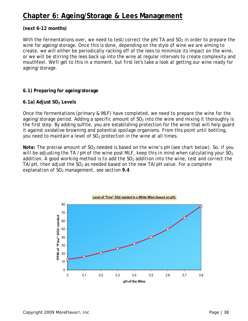# **Chapter 6: Ageing/Storage & Lees Management**

## **(next 6-12 months)**

With the fermentations over, we need to test/correct the  $pH/TA$  and  $SO<sub>2</sub>$  in order to prepare the wine for ageing/storage. Once this is done, depending on the style of wine we are aiming to create, we will either be periodically racking off of the lees to minimize its impact on the wine, or we will be stirring the lees back up into the wine at regular intervals to create complexity and mouthfeel. We'll get to this in a moment, but first let's take a look at getting our wine ready for ageing/storage.

#### **6.1) Preparing for ageing/storage**

#### **6.1a) Adjust SO2 Levels**

Once the fermentations (primary & MLF) have completed, we need to prepare the wine for the ageing/storage period. Adding a specific amount of  $SO<sub>2</sub>$  into the wine and mixing it thoroughly is the first step. By adding sulfite, you are establishing protection for the wine that will help guard it against oxidative browning and potential spoilage organisms. From this point until bottling, you need to maintain a level of  $SO<sub>2</sub>$  protection in the wine at all times.

*Note: The precise amount of SO<sub>2</sub> needed is based on the wine's pH (see chart below). So, if you will be adjusting the TA /pH of the wine post MLF, keep this in mind when calculating your SO<sub>2</sub>* addition. A good working method is to add the SO<sub>2</sub> addition into the wine, test and correct the *TA/pH, then adjust the SO<sub>2</sub> as needed based on the new TA/pH value. For a complete explanation of SO2 management, see section 9.4*

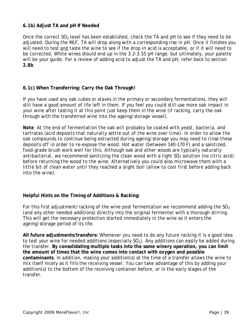#### **6.1b) Adjust TA and pH If Needed**

Once the correct  $SO<sub>2</sub>$  level has been established, check the TA and pH to see if they need to be adjusted. During the MLF, TA will drop along with a corresponding rise in pH. Once it finishes you will need to test and taste the wine to see if the drop in acid is acceptable, or if it will need to be corrected. White wines should end up in the 3.2-3.55 pH range, but ultimately, your palette will be your guide. For a review of adding acid to adjust the TA and pH, refer back to section **2.8b**.

## **6.1c) When Transferring: Carry the Oak Through!**

If you have used any oak cubes or staves in the primary or secondary fermentations, they will still have a good amount of life left in them. If you feel you could still use more oak impact in your wine after tasting it at this point just keep them in the wine (if racking, carry the oak through with the transferred wine into the ageing/storage vessel).

*Note: At the end of fermentation the oak will probably be coated with yeast, bacteria, and tartrates (acid deposits that naturally settle out of the wine over time). In order to allow the oak compounds to continue being extracted during ageing/storage you may need to rinse these deposits off in order to re-expose the wood. Hot water (between 140-170 F) and a sanitized, food-grade brush work well for this. Although oak and other woods are typically naturally*  antibacterial, we recommend sanitizing the clean wood with a light SO<sub>2</sub> solution (no citric acid) *before returning the wood to the wine. Alternatively you could also microwave them with a little bit of clean water until they reached a slight boil (allow to cool first before adding back into the wine).*

## **Helpful Hints on the Timing of Additions & Racking:**

For this first adjustment/racking of the wine post fermentation we recommend adding the  $SO<sub>2</sub>$ (and any other needed additions) directly into the original fermenter with a thorough stirring. This will get the necessary protection started immediately in the wine as it enters the ageing/storage period of its life.

**All future adjustments/transfers:** Whenever you need to do any future racking it is a good idea to test your wine for needed additions (especially  $SO<sub>2</sub>$ ). Any additions can easily be added during the transfer. **By consolidating multiple tasks into the same winery operation, you can limit the amount of times that the wine comes into contact with oxygen and possible contaminants**. In addition, making your addition(s) at the time of a transfer allows the wine to mix itself nicely as it fills the receiving vessel. You can take advantage of this by adding your addition(s) to the bottom of the receiving container before, or in the early stages of the transfer.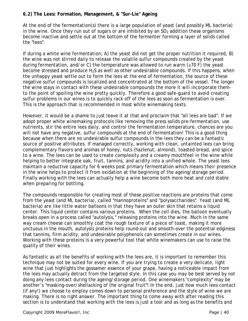# **6.2) The Lees: Formation, Management, & "Sur-Lie" Ageing**

At the end of the fermentation(s) there is a large population of yeast (and possibly ML bacteria) in the wine. Once they run out of sugars or are inhibited by an  $SO<sub>2</sub>$  addition these organisms become inactive and settle out at the bottom of the fermenter forming a layer of solids called the "lees".

If during a white wine fermentation; A) the yeast did not get the proper nutrition it required, B) the wine was not stirred daily to release the volatile sulfur compounds created by the yeast during fermentation, and/or C) the temperature was allowed to run warm (≥70 F) the yeast become stressed and produce  $H_2S$  as well as other undesirable compounds. If this happens, when the unhappy yeast settle out to form the lees at the end of fermentation, the source of these negative sulfur compounds is localized and concentrated at the bottom of the vessel. The longer the wine stays in contact with these undesirable compounds the more it will incorporate themto the point of spoiling the wine pretty quickly. Therefore a good safe-guard to avoid creating sulfur problems in our wines is to quickly rack off of the lees as soon as fermentation is over. This is the approach that is recommended in most white winemaking texts.

However, it would be a shame to just leave it at that and proclaim that "all lees are bad". If we adopt proper white winemaking protocols like removing the press solids pre-fermentation, use nutrients, stir the entire lees daily, and control the fermentation temperature, chances are you will not have any negative, sulfur compounds at the end of fermentation! This is a good thing because when there are no undesirable sulfur compounds in the lees they can be a fantastic source of positive attributes. If managed correctly, working with clean, untainted lees can bring complementary flavors and aromas of honey, nuts (hazlenut, almond), toasted bread, and spice to a wine. The lees can be used to create complexity and a creamy mouthfeel in the wine while helping to better integrate oak, fruit, tannins, and acidity into a unified whole. The yeast lees maintain a reductive capacity for 6 weeks post primary fermentation which means their presence in the wine helps to protect it from oxidation at the beginning of the ageing/storage period. Finally working with the lees can actually help a wine become both more heat and cold stable when preparing for bottling.

The compounds responsible for creating most of these positive reactions are proteins that come from the yeast (and ML bacteria), called "mannoproteins" and "polysaccharides". Yeast (and ML bacteria) are like little water balloons in that they have an outer skin that retains a liquid center. This liquid center contains various proteins. When the cell dies, the balloon eventually breaks open in a process called "autolysis," releasing proteins into the wine. Much in the same way cream cheese can smoothly coat the rough texture of a piece of toast, making it more unctuous in the mouth, autolysis proteins help round-out and smooth-over the potential edginess that tannins, firm acidity, and undesirable polyphenols can sometimes create in our wines. Working with these proteins is a very powerful tool that white winemakers can use to raise the quality of their wines.

As fantastic as all the benefits of working with the lees are, it is important to remember this technique may not be suited for every wine. If you are trying to create a very delicate, light wine that just highlights the gossamer essence of your grape, having a noticeable impact from the lees may actually detract from the targeted style. In this case you may be best served by not doing any lees contact during the ageing/storage period. One winemakers "complexity" may be another's "masking-over/shellacking of the original fruit"! In the end, just how much lees contact (if any!) we choose to employ comes down to personal preference and the style of wine we are making. There is no right answer. The important thing to come away with after reading this section is to understand that working with the lees is just a tool and as long as the benefits and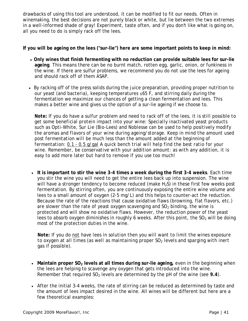drawbacks of using this tool are understood, it can be modified to fit our needs. Often in winemaking, the best decisions are not purely black or white, but lie between the two extremes in a well-informed shade of gray! Experiment, taste often, and if you don't like what is going on, all you need to do is simply rack off the lees.

**If you will be ageing on the lees ("sur-lie") here are some important points to keep in mind:**

- **Only wines that finish fermenting with no reduction can provide suitable lees for sur-lie ageing**. This means there can be no burnt match, rotten egg, garlic, onion, or funkiness in the wine. If there are sulfur problems, we recommend you do not use the lees for ageing and should rack off of them ASAP.
- By racking off of the press solids during the juice preparation, providing proper nutrition to our yeast (and bacteria), keeping temperatures ≤65 F, and stirring daily during the fermentation we maximize our chances of getting a clean fermentation and lees. This makes a better wine and gives us the option of a sur-lie ageing if we choose to.

*Note: If you do have a sulfur problem and need to rack off of the lees, it is still possible to get some beneficial protein impact into your wine: Specially inactivated yeast products such as Opti-White, Sur Lie (Bio-Lees) and Noblesse can be used to help positively modify the aromas and flavors of your wine during ageing/storage. Keep in mind the amount used*  post fermentation will be much less than the amount added at the beginning of *fermentation: 0.1 - 0.5 g/gal A quick bench trial will help find the best ratio for your wine. Remember, be conservative with your addition amount: as with any addition, it is easy to add more later but hard to remove if you use too much!* 

• **It is important to stir the wine 3-4 times a week during the first 3-4 weeks**. Each time you stir the wine you will need to get the entire lees back up into suspension. The wine will have a stronger tendency to become reduced (make  $H_2S$ ) in these first few weeks post fermentation. By stirring often, you are continuously exposing the entire wine volume and lees to a small amount of oxygen (2-5 mg/L) and this helps to counter-act the reduction. Because the rate of the reactions that cause oxidative flaws (browning, flat flavors, etc.) are slower than the rate of yeast oxygen scavenging and  $SO<sub>2</sub>$  binding, the wine is protected and will show no oxidative flaws. However, the reduction power of the yeast lees to absorb oxygen diminishes in roughly 6 weeks. After this point, the  $SO<sub>2</sub>$  will be doing most of the protection duties in the wine.

*Note: If you do not have lees in solution then you will want to limit the wines exposure*  to oxygen at all times (as well as maintaining proper SO<sub>2</sub> levels and sparging with inert *gas if possible).* 

- Maintain proper SO<sub>2</sub> levels at all times during sur-lie ageing, even in the beginning when the lees are helping to scavenge any oxygen that gets introduced into the wine. Remember that required SO<sub>2</sub> levels are determined by the pH of the wine (see 9.4).
- After the initial 3-4 weeks, the rate of stirring can be reduced as determined by taste and the amount of lees impact desired in the wine. All wines will be different but here are a few theoretical examples: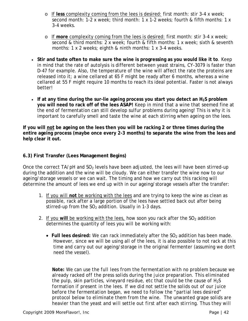- o If **less** complexity coming from the lees is desired: first month: stir 3-4 x week; second month: 1-2 x week; third month: 1 x 1-2 weeks; fourth & fifth months: 1 x 3-4 weeks.
- o If **more** complexity coming from the lees is desired: first month: stir 3-4 x week; second & third months: 2 x week; fourth & fifth months: 1 x week; sixth & seventh months: 1 x 2 weeks; eighth & ninth months: 1 x 3-4 weeks.
- **Stir and taste often to make sure the wine is progressing as you would like it to**. Keep in mind that the rate of autolysis is different between yeast strains, CY-3079 is faster than D-47 for example. Also, the temperature of the wine will affect the rate the proteins are released into it; a wine cellared at 65 F might be ready after 6 months, whereas a wine cellared at 55 F might require 10 months to reach its ideal potential. Faster is not always better!
- If at any time during the sur-lie ageing process you start you detect an H<sub>2</sub>S problem **you will need to rack off of the lees ASAP!** Keep in mind that a wine that seemed fine at the end of fermentation can still develop sulfur problems during ageing! This is why it is important to carefully smell and taste the wine at each stirring when ageing on the lees.

**If you will not be ageing on the lees then you will be racking 2 or three times during the entire ageing process (maybe once every 2-3 months) to separate the wine from the lees and help clear it out.**

# **6.3) First Transfer (Lees Management Begins)**

Once the correct  $TA/pH$  and  $SO<sub>2</sub>$  levels have been adjusted, the lees will have been stirred-up during the addition and the wine will be cloudy. We can either transfer the wine now to our ageing/storage vessels or we can wait. The timing and how we carry out this racking will determine the amount of lees we end up with in our ageing/storage vessels after the transfer:

- 1. If you will **not** be working with the lees and are trying to keep the wine as clean as possible, rack after a large portion of the lees have settled back out after being stirred-up from the  $SO<sub>2</sub>$  addition. Usually in 1-3 days.
- 2. If you will be working with the lees, how soon you rack after the SO<sub>2</sub> addition determines the quantity of lees you will be working with:
	- Full lees desired: We can rack immediately after the SO<sub>2</sub> addition has been made. However, since we will be using all of the lees, it is also possible to not rack at this time and carry out our ageing/storage in the original fermenter (assuming we don't need the vessel).

*Note: We can use the full lees from the fermentation with no problem because we already racked off the press solids during the juice preparation. This eliminated the pulp, skin particles, vineyard residue, etc that could be the cause of H2S formation if present in the lees. If we did not settle the solids out of our juice before the fermentation began, we need to follow the "partial lees desired" protocol below to eliminate them from the wine. The unwanted grape solids are heavier than the yeast and will settle out first after each stirring. Thus they will*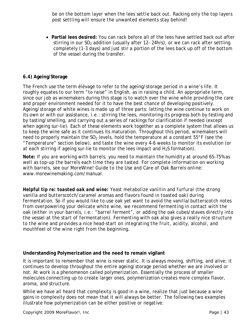*be on the bottom layer when the lees settle back out. Racking only the top layers post settling will ensure the unwanted elements stay behind!* 

• **Partial lees desired:** You can rack before all of the lees have settled back out after stirring in our  $SO<sub>2</sub>$  addition (usually after 12-24hrs), or we can rack after settling completely (1-3 days) and just stir a portion of the lees back up off of the bottom of the vessel during the transfer.

## **6.4) Ageing/Storage**

The French use the term *élévage* to refer to the ageing/storage period in a wine's life. It roughly equates to our term "to raise" in English, as in raising a child. An appropriate term, since our job as winemakers during this stage is to watch over the wine while providing the care and proper environment needed for it to have the best chance of developing positively. Ageing/storage of white wines is made up of three parts: letting the wine continue to work on its own or with our assistance, i.e.: stirring the lees, monitoring its progress both by testing and by tasting/smelling, and carrying out a series of rackings for clarification if needed (except when ageing sur-lie). Each of these elements work together as a complete system that allows us to keep the wine safe as it continues its maturation. Throughout this period, winemakers will need to properly maintain the  $SO_2$  levels, hold the temperature at a constant  $55^{\circ}$ F (see the "Temperature" section below), and taste the wine every 4-6 weeks to monitor its evolution (or at each stirring if ageing sur-lie to monitor the lees impact and  $H_2S$  formation).

*Note: If you are working with barrels, you need to maintain the humidity at around 65-75% as well as top-up the barrels each time they are tasted. For complete information on working with barrels, see our MoreWine! Guide to the Use and Care of Oak Barrels online*: www.morewinemaking.com/manual.

*Helpful tip re: toasted oak and wine: Yeast metabolize vanillin and furfural (the strong vanilla and butterscotch/caramel aromas and flavors found in toasted oak) during fermentation. So if you would like to use oak yet want to avoid the vanilla/butterscotch notes from overpowering your delicate white wine, we recommend fermenting in contact with the oak (either in your barrels, i.e.: "barrel ferment", or adding the oak cubes/staves directly into the vessel at the start of fermentation). Fermenting with oak also gives a really nice structure to the wine and provides a nice head-start on integrating the fruit, acidity, alcohol, and mouthfeel of the wine right from the beginning.* 

#### **Understanding Polymerization and the need to remain vigilant**

It is important to remember that wine is never static. It is always moving, shifting, and alive; it continues to develop throughout the entire ageing/storage period whether we are involved or not. At work is a phenomenon called *polymerization*. Essentially the process of smaller molecules connecting up to create larger ones, polymerization creates more complex flavor, aroma, and structure.

While we have all heard that complexity is good in a wine, realize that just because a wine gains in complexity does not mean that it will always be better. The following two examples illustrate how polymerization can be either positive or negative: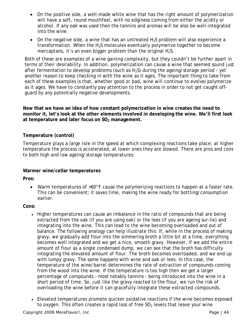- On the positive side, a well-made white wine that has the right amount of polymerization will have a soft, round mouthfeel, with no edginess coming from either the acidity or alcohol. If any oak was used then the tannins and aromas will be also be well-integrated into the wine.
- On the negative side, a wine that has an untreated  $H_2S$  problem will also experience a transformation. When the  $H_2S$  molecules eventually polymerize together to become mercaptans, it's an even bigger problem than the original  $H_2S$ .

Both of these are examples of a wine gaining complexity, but they couldn't be further apart in terms of their desirability. In addition, polymerization can cause a wine that seemed sound just after fermentation to develop problems (such as  $H_2S$ ) during the ageing/storage period - yet another reason to keep checking in with the wine as it ages. The important thing to take from each of these examples is that, whether good or bad, wine will continue to evolve/polymerize as it ages. We have to constantly pay attention to the process in order to not get caught offguard by any potentially negative developments.

**Now that we have an idea of how constant polymerization in wine creates the need to monitor it, let's look at the other elements involved in developing the wine. We'll first look**  at temperature and later focus on SO<sub>2</sub> management.

# **Temperature (control)**

Temperature plays a large role in the speed at which complexing reactions take place; at higher temperature the process is accelerated, at lower ones they are slowed. There are pros and cons to both high and low ageing/storage temperatures:

## **Warmer wine/cellar temperatures**

**Pros:**

• Warm temperatures of >60°F cause the polymerizing reactions to happen at a faster rate. This can be convenient; it saves time, making the wine ready for bottling/consumption earlier.

**Cons:**

- Higher temperatures can cause an imbalance in the ratio of compounds that are being extracted from the oak (if you are using oak) or the lees (if you are ageing sur-lie) and integrating into the wine. This can lead to the wine becoming overloaded and out of balance. The following analogy can help illustrate this: If, while in the process of making gravy, we gradually add flour into the simmering broth a little bit at a time, everything becomes well integrated and we get a nice, smooth gravy. However, if we add the entire amount of flour as a single condensed dump, we can see that the broth has difficulty integrating the elevated amount of flour. The broth becomes overloaded, and we end up with lumpy gravy. The same happens with wine and oak or lees. In this case, the temperature of the wine/barrel determines the rate of extraction of compounds coming from the wood into the wine. If the temperature is too high then we get a larger percentage of compounds – most notably tannins - being introduced into the wine in a short period of time. So, just like the gravy reacted to the flour, we run the risk of overloading the wine before it can gracefully integrate these extracted compounds.
- Elevated temperatures promote quicker oxidative reactions if the wine becomes exposed to oxygen. This often creates a rapid loss of free  $SO<sub>2</sub>$  levels that leave your wine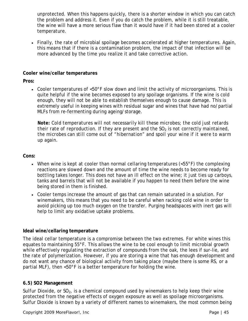unprotected. When this happens quickly, there is a shorter window in which you can catch the problem and address it. Even if you do catch the problem, while it is still treatable, the wine will have a more serious flaw than it would have if it had been stored at a cooler temperature.

• Finally, the rate of microbial spoilage becomes accelerated at higher temperatures. Again, this means that if there is a contamination problem, the impact of that infection will be more advanced by the time you realize it and take corrective action.

#### **Cooler wine/cellar temperatures**

**Pros:**

• Cooler temperatures of <50°F slow down and limit the activity of microorganisms. This is quite helpful if the wine becomes exposed to any spoilage organisms. If the wine is cold enough, they will not be able to establish themselves enough to cause damage. This is extremely useful in keeping wines with residual sugar and wines that have had no/partial MLFs from re-fermenting during ageing/storage.

*Note: Cold temperatures will not necessarily kill these microbes; the cold just retards their rate of reproduction. If they are present and the SO<sub>2</sub> is not correctly maintained, the microbes can still come out of "hibernation" and spoil your wine if it were to warm up again.*

**Cons:**

- When wine is kept at cooler than normal cellaring temperatures (<55°F) the complexing reactions are slowed down and the amount of time the wine needs to become ready for bottling takes longer. This does not have an ill effect on the wine; it just ties up carboys, tanks and barrels that will not be available if you happen to need them before the wine being stored in them is finished.
- Cooler temps increase the amount of gas that can remain saturated in a solution. For winemakers, this means that you need to be careful when racking cold wine in order to avoid picking up too much oxygen on the transfer. Purging headspaces with inert gas will help to limit any oxidative uptake problems.

## **Ideal wine/cellaring temperature**

The ideal cellar temperature is a compromise between the two extremes. For white wines this equates to maintaining 55°F. This allows the wine to be cool enough to limit microbial growth while effectively regulating the extraction of compounds from the oak, the lees if sur-lie, and the rate of polymerization. However, if you are storing a wine that has enough development and do not want any chance of biological activity from taking place (maybe there is some RS, or a partial MLF), then <50°F is a better temperature for holding the wine.

## **6.5) SO2 Management**

*Sulfur Dioxide*, or *SO2*, is a chemical compound used by winemakers to help keep their wine protected from the negative effects of oxygen exposure as well as spoilage microorganisms. Sulfur Dioxide is known by a variety of different names to winemakers, the most common being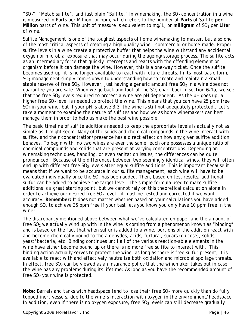"SO<sub>2</sub>", "Metabisulfite", and just plain "Sulfite." In winemaking, the SO<sub>2</sub> concentration in a wine is measured in Parts per Million, or ppm, which refers to the number of **Parts** of Sulfite **per Million** parts of wine. This unit of measure is equivalent to mg/L, or milligram of SO<sub>2</sub> per Liter of wine.

Sulfite Management is one of the toughest aspects of home winemaking to master, but also one of the most critical aspects of creating a high quality wine – commercial or home-made. Proper sulfite levels in a wine create a protective buffer that helps the wine withstand any accidental oxygen or microbial exposure that may occur during the ageing/storage process. The sulfite acts as an intermediary force that quickly intercepts and reacts with the offending element or organism before it can damage the wine. However, this is a one-way ticket. Once the sulfite becomes used-up, it is no longer available to react with future threats. In its most basic form,  $SO<sub>2</sub>$  management simply comes down to understanding how to create and maintain a small, stable reserve of *free SO<sub>2</sub>*. However, just having a generic amount free SO<sub>2</sub> in a wine does not guarantee you are safe. When we go back and look at the SO<sub>2</sub> chart back in section 6.1a, we see that the free  $SO<sub>2</sub>$  levels required to protect a wine are pH dependent. As the pH goes up, a higher free  $SO<sub>2</sub>$  level is needed to protect the wine. This means that you can have 25 ppm free  $SO<sub>2</sub>$  in your wine, but if your pH is above 3.3, the wine is still not adequately protected... Let's take a moment to examine the nature of sulfites and how we as home winemakers can best manage them in order to help us make the best wine possible.

The basic timeline of sulfite additions needed to keep the appropriate levels is actually not as simple as it might seem. Many of the solids and chemical compounds in the wine interact with sulfite, and their concentration/presence has a direct effect on how any given sulfite addition behaves. To begin with, no two wines are ever the same; each one possesses a unique ratio of chemical compounds and solids that are present at varying concentrations. Depending on winemaking techniques, handling, or even sanitation issues, the differences can be quite pronounced. Because of the differences between two seemingly identical wines, they will often end up with different free  $SO<sub>2</sub>$  levels after equal sulfite additions. This is important because it means that if we want to be accurate in our sulfite management, each wine will have to be evaluated individually once the  $SO<sub>2</sub>$  has been added. Then, based on test results, additional sulfur can be added to achieve the target level. The simple formula used to make sulfite additions is a great starting point, but we cannot rely on this theoretical calculation alone in order to achieve our desired free  $SO<sub>2</sub>$  level - it must be tested and corrected if we want accuracy. *Remember: It does not matter whether based on your calculations you have added enough SO2 to achieve 35 ppm free if your test lets you know you only have 10 ppm free in the wine!* 

The discrepancy mentioned above between what we've calculated on paper and the amount of free  $SO<sub>2</sub>$  we actually wind up with in the wine is coming from a phenomenon known as "binding" and is based on the fact that when sulfur is added to a wine, portions of the addition react with and become chemically bound to the aldehydes, acids, furfural, sugars (glucose), solids, yeast/bacteria, etc. Binding continues until all of the various reaction-able elements in the wine have either become bound up or there is no more free sulfite to interact with. This binding action actually serves to protect the wine; as long as there is free sulfur present, it is available to react with and effectively neutralize both oxidation and microbial spoilage threats. In effect, free  $SO<sub>2</sub>$  can be viewed as an insurance policy that the winemaker takes out in case the wine has any problems during its lifetime: As long as you have the recommended amount of free  $SO<sub>2</sub>$  your wine is protected.

*Note: Barrels and tanks with headspace tend to lose their free SO<sub>2</sub> more quickly than do fully topped inert vessels, due to the wine's interaction with oxygen in the environment/headspace.*  In addition, even if there is no oxygen exposure, free SO<sub>2</sub> levels can still decrease gradually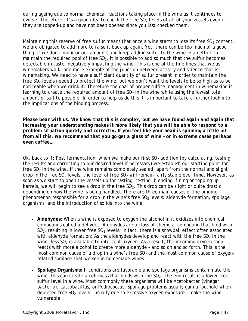*during ageing due to normal chemical reactions taking place in the wine as it continues to evolve. Therefore, it's a good idea to check the free SO<sub>2</sub> levels of all of your vessels even if they are topped-up and have not been opened since you last checked them.* 

Maintaining this reserve of free sulfur means that once a wine starts to lose its free  $SO_2$  content, we are obligated to add more to raise it back up again. Yet, there can be too much of a good thing. If we don't monitor our amounts and keep adding sulfur to the wine in an effort to maintain the required pool of free  $SO<sub>2</sub>$ , it is possible to add so much that the sulfur becomes detectable in taste, negatively impacting the wine. This is one of the fine lines that we as winemakers walk, one more example of the junction between artistry and science that is winemaking. We need to have a sufficient quantity of sulfur present in order to maintain the free  $SO<sub>2</sub>$  levels needed to protect the wine, but we don't want the levels to be so high as to be noticeable when we drink it. Therefore the goal of proper sulfite management in winemaking is learning to create the required amount of free  $SO<sub>2</sub>$  in the wine while using the lowest total amount of sulfite possible. In order to help us do this it is important to take a further look into the implications of the binding process.

*Please bear with us. We know that this is complex, but we have found again and again that increasing your understanding makes it more likely that you will be able to respond to a problem situation quickly and correctly. If you feel like your head is spinning a little bit from all this, we recommend that you go get a glass of wine – or in extreme cases perhaps even coffee…* 

Ok, back to it: Post fermentation, when we make our first  $SO<sub>2</sub>$  addition (by calculating, testing the results and correcting to our desired level if necessary) we establish our starting point for free  $SO<sub>2</sub>$  in the wine. If the wine remains completely sealed, apart from the normal and slight drop in the free SO<sub>2</sub> levels, the level of free SO<sub>2</sub> will remain fairly stable over time. However, as soon as we start to open the vessels up for tasting, testing, blending, fining or topping up barrels, we will begin to see a drop in the free  $SO<sub>2</sub>$ . This drop can be slight or quite drastic depending on how the wine is being handled. There are three main causes of the binding phenomenon responsible for a drop in the wine's free  $SO<sub>2</sub>$  levels: aldehyde formation, spoilage organisms, and the introduction of solids into the wine.

- **Aldehydes:** When a wine is exposed to oxygen the alcohol in it oxidizes into chemical compounds called aldehydes. Aldehydes are a class of chemical compound that bind with  $SO<sub>2</sub>$ , resulting in lower free  $SO<sub>2</sub>$  levels. In fact, there is a snowball effect often associated with aldehyde formation: As the aldehydes develop and react with the free  $SO<sub>2</sub>$  in the wine, less  $SO<sub>2</sub>$  is available to intercept oxygen. As a result, the incoming oxygen then reacts with more alcohol to create more aldehyde – and so on and so forth. This is the most common cause of a drop in a wine's free  $SO<sub>2</sub>$  and the most common cause of oxygenrelated spoilage that we see in homemade wines.
- **Spoilage Organisms:** If conditions are favorable and spoilage organisms contaminate the wine, this can create a cell mass that binds with the  $SO<sub>2</sub>$ . The end result is a lower free sulfur level in a wine. Most commonly these organisms will be A*cetobacter* (vinegar bacteria), *Lactobacillus*, or *Pediococcus*. Spoilage problems usually gain a foothold when depleted free  $SO<sub>2</sub>$  levels - usually due to excessive oxygen exposure - make the wine vulnerable.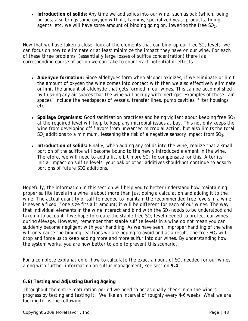• **Introduction of solids:** Any time we add solids into our wine, such as oak (which, being porous, also brings some oxygen with it), tannins, specialized yeast products, fining agents, etc. we will have some amount of binding going on, lowering the free  $SO<sub>2</sub>$ .

Now that we have taken a closer look at the elements that can bind-up our free  $SO<sub>2</sub>$  levels, we can focus on how to eliminate or at least minimize the impact they have on our wine. For each of these three problems, (essentially large losses of sulfite concentration) there is a corresponding course of action we can take to counteract potential ill effects.

- **Aldehyde formation:** Since aldehydes form when alcohol oxidizes, if we eliminate or limit the amount of oxygen the wine comes into contact with then we also effectively eliminate or limit the amount of aldehyde that gets formed in our wines. This can be accomplished by flushing any air spaces that the wine will occupy with inert gas. Examples of these "air spaces" include the headspaces of vessels, transfer lines, pump cavities, filter housings, etc.
- **Spoilage Organisms:** Good sanitization practices and being vigilant about keeping free SO<sub>2</sub> at the required level will help to keep any microbial issues at bay. This not only keeps the wine from developing off flavors from unwanted microbial action, but also limits the total  $SO<sub>2</sub>$  additions to a minimum, lessening the risk of a negative sensory impact from  $SO<sub>2</sub>$ .
- **Introduction of solids:** Finally, when adding any solids into the wine, realize that a small portion of the sulfite will become bound to the newly introduced element in the wine. Therefore, we will need to add a little bit more  $SO<sub>2</sub>$  to compensate for this. After its initial impact on sulfite levels, your oak or other additives should not continue to adsorb portions of future SO2 additions.

Hopefully, the information in this section will help you to better understand how maintaining proper sulfite levels in a wine is about more than just doing a calculation and adding it to the wine. The actual quantity of sulfite needed to maintain the recommended free levels in a wine is never a fixed, "one size fits all" amount; it will be different for each of our wines. The way that individual elements in the wine interact and bind with the  $SO<sub>2</sub>$  needs to be understood and taken into account if we hope to create the stable free  $SO<sub>2</sub>$  level needed to protect our wines during élévage. However, remember that stable sulfite levels in a wine do not mean you can suddenly become negligent with your handling. As we have seen, improper handling of the wine will only cause the binding reactions we are hoping to avoid and as a result, the free  $SO<sub>2</sub>$  will drop and force us to keep adding more and more sulfur into our wines. By understanding how the system works, you are now better to able to prevent this scenario.

For a complete explanation of how to calculate the exact amount of SO<sub>2</sub> needed for our wines, *along with further information on sulfur management, see section 9.4*

# **6.6) Tasting and Adjusting During Ageing**

Throughout the entire maturation period we need to occasionally check in on the wine's progress by testing and tasting it. We like an interval of roughly every 4-6 weeks. What we are looking for is the following: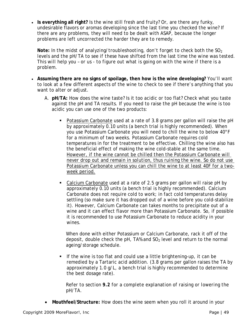• **Is everything all right?** Is the wine still fresh and fruity? Or, are there any funky, undesirable flavors or aromas developing since the last time you checked the wine? If there are any problems, they will need to be dealt with ASAP, because *the longer problems are left uncorrected the harder they are to remedy*.

*Note:* In the midst of analyzing/troubleshooting, don't forget to check both the SO<sub>2</sub> *levels and the pH/TA to see if these have shifted from the last time the wine was tested. This will help you – or us - to figure out what is going on with the wine if there is a problem.* 

- **Assuming there are no signs of spoilage, then how is the wine developing?** You'll want to look at a few different aspects of the wine to check to see if there's anything that you want to alter or adjust.
	- A. **pH/TA:** How does the wine taste? Is it too acidic or too flat? Check what you taste against the pH and TA results. If you need to raise the pH because the wine is too acidic you can use one of the two products:
		- Potassium Carbonate used at a rate of 3.8 grams per gallon will raise the pH by approximately 0.10 units (a bench trial is highly recommended). When you use Potassium Carbonate you will need to chill the wine to below 40°F for a minimum of two weeks. Potassium Carbonate requires cold temperatures in for the treatment to be effective. Chilling the wine also has the beneficial effect of making the wine cold-stable at the same time. *However, if the wine cannot be chilled then the Potassium Carbonate will never drop out and remain in solution, thus ruining the wine. So do not use Potassium Carbonate unless you can chill the wine to at least 40F for a twoweek period.*
		- Calcium Carbonate used at a rate of 2.5 grams per gallon will raise pH by approximately 0.10 units (a bench trial is highly recommended). Calcium Carbonate does not require cold to work; in fact cold temperatures delay settling (so make sure it has dropped out of a wine before you cold-stabilize it). However, Calcium Carbonate can takes months to precipitate out of a wine and it can effect flavor more than Potassium Carbonate. So, if possible it is recommended to use Potassium Carbonate to reduce acidity in your wines.

When done with either Potassium or Calcium Carbonate, rack it off of the deposit, double check the pH, TA% and  $SO<sub>2</sub>$  level and return to the normal ageing/storage schedule.

 If the wine is too flat and could use a little brightening-up, it can be remedied by a Tartaric acid addition. (3.8 grams per gallon raises the TA by approximately 1.0 g/L, a bench trial is highly recommended to determine the best dosage rate).

*Refer to section 9.2 for a complete explanation of raising or lowering the pH/TA.*

• **Mouthfeel/Structure:** How does the wine seem when you roll it around in your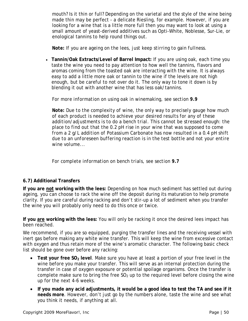mouth? Is it thin or full? Depending on the varietal and the style of the wine being made thin may be perfect - a delicate Riesling, for example. However, if you are looking for a wine that is a little more full then you may want to look at using a small amount of yeast-derived additives such as Opti-White, Noblesse, Sur-Lie, or enological tannins to help round things out.

*Note: If you are ageing on the lees, just keep stirring to gain fullness.*

• **Tannin/Oak Extracts/Level of Barrel Impact:** If you are using oak, each time you taste the wine you need to pay attention to how well the tannins, flavors and aromas coming from the toasted oak are interacting with the wine. It is always easy to add a little more oak or tannin to the wine if the levels are not high enough, but be careful to not over do it. The only way to tone it down is by blending it out with another wine that has less oak/tannins.

#### *For more information on using oak in winemaking, see section 9.9*

*Note: Due to the complexity of wine, the only way to precisely gauge how much of each product is needed to achieve your desired results for any of these addition/adjustments is to do a bench trial. This cannot be stressed enough: the place to find out that the 0.2 pH rise in your wine that was supposed to come from a 2 g/L addition of Potassium Carbonate has now resulted in a 0.4 pH shift due to an unforeseen buffering reaction is in the test bottle and not your entire wine volume...* 

*For complete information on bench trials, see section 9.7*

## **6.7) Additional Transfers**

**If you are not working with the lees:** Depending on how much sediment has settled out during ageing, you can choose to rack the wine off the deposit during its maturation to help promote clarity. If you are careful during racking and don't stir-up a lot of sediment when you transfer the wine you will probably only need to do this once or twice.

**If you are working with the lees:** You will only be racking it once the desired lees impact has been reached.

We recommend, if you are so equipped, purging the transfer lines and the receiving vessel with inert gas before making any white wine transfer. This will keep the wine from excessive contact with oxygen and thus retain more of the wine's aromatic character. The following basic check list should be gone over before any racking:

- Test your free SO<sub>2</sub> level. Make sure you have at least a portion of your free level in the wine *before* you make your transfer. This will serve as an internal protection during the transfer in case of oxygen exposure or potential spoilage organisms. Once the transfer is complete make sure to bring the free  $SO<sub>2</sub>$  up to the required level before closing the wine up for the next 4-6 weeks.
- **If you made any acid adjustments, it would be a good idea to test the TA and see if it needs more**. However, don't just go by the numbers alone, taste the wine and see what you think it needs, if anything at all.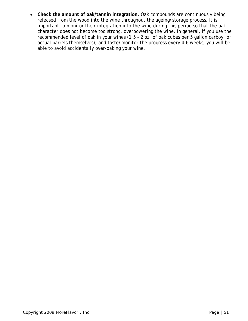• **Check the amount of oak/tannin integration.** Oak compounds are continuously being released from the wood into the wine throughout the ageing/storage process. It is important to monitor their integration into the wine during this period so that the oak character does not become too strong, overpowering the wine. In general, if you use the recommended level of oak in your wines (1.5 - 2 oz. of oak cubes per 5 gallon carboy, or actual barrels themselves), and taste/monitor the progress every 4-6 weeks, you will be able to avoid accidentally over-oaking your wine.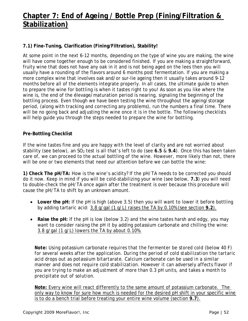# **Chapter 7: End of Ageing / Bottle Prep (Fining/Filtration & Stabilization)**

# **7.1) Fine-Tuning, Clarification (Fining/Filtration), Stability!**

At some point in the next 6-12 months, depending on the type of wine you are making, the wine will have come together enough to be considered finished. If you are making a straightforward, fruity wine that does not have any oak in it and is not being aged on the lees then you will usually have a rounding of the flavors around 6 months post fermentation. If you are making a more complex wine that involves oak and/or sur-lie ageing then it usually takes around 9-12 months before all of the elements integrate properly. In all cases, the ultimate guide to when to prepare the wine for bottling is when it tastes right to you! As soon as you like where the wine is, the end of the élevage/maturation period is nearing, signaling the beginning of the bottling process. Even though we have been testing the wine throughout the ageing/storage period, (along with tracking and correcting any problems), run the numbers a final time. There will be no going back and adjusting the wine once it is in the bottle. The following checklists will help guide you through the steps needed to prepare the wine for bottling.

## **Pre-Bottling Checklist**

If the wine tastes fine and you are happy with the level of clarity and are not worried about stability (see below), an SO<sub>2</sub> test is all that's left to do (see 6.5 & 9.4). Once this has been taken care of, we can proceed to the actual bottling of the wine. However, more likely than not, there will be one or two elements that need our attention before we can bottle the wine:

**1) Check The pH/TA:** How is the wine's acidity? If the pH/TA needs to be corrected you should do it now. Keep in mind if you will be cold-stabilizing your wine (see below, **7.3**) you will need to double-check the pH/TA once again after the treatment is over because this procedure will cause the pH/TA to shift by an unknown amount.

- Lower the pH: If the pH is high (above 3.5) then you will want to lower it before bottling by adding tartaric acid: 3.8 g/gal (1 g/L) raises the TA by 0.10% (see section **9.2**).
- Raise the pH: If the pH is low (below 3.2) and the wine tastes harsh and edgy, you may want to consider raising the pH it by adding potassium carbonate and chilling the wine: 3.8 g/gal (1 g/L) lowers the TA by *about* 0.10%.

*Note: Using potassium carbonate requires that the fermenter be stored cold (below 40 F) for several weeks after the application. During the period of cold stabilization the tartaric acid drops out as potassium bitartarate. Calcium carbonate can be used in a similar manner and does not require cold stabilization. However it can adversely affects flavor if you are trying to make an adjustment of more than 0.3 pH units, and takes a month to precipitate out of solution.* 

**Note:** Every wine will react differently to the same amount of potassium carbonate. The only way to know for sure how much is needed for the desired pH shift in your specific wine is to do a bench trial before treating your entire wine volume (section **9.7**).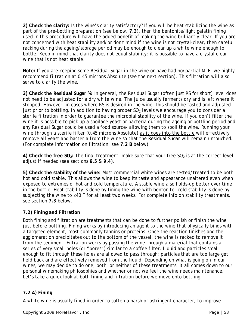**2) Check the clarity:** Is the wine's clarity satisfactory? If you will be heat stabilizing the wine as part of the pre-bottling preparation (see below, **7.3**), then the bentonite/light gelatin fining used in this procedure will have the added benefit of making the wine brilliantly clear. If you are not concerned with heat stability and/or don't mind if the wine is not crystal-clear, then careful racking during the ageing/storage period may be enough to clear up a white wine enough to bottle. Keep in mind that clarity does not equal stability: it is possible to have a crystal clear wine that is not heat stable.

*Note: If you are keeping some Residual Sugar in the wine or have had no/partial MLF, we highly recommend filtration at 0.45 microns Absolute (see the next section). This filtration will also serve to clarify the wine.*

**3) Check the Residual Sugar %:** In general, the Residual Sugar (often just RS for short) level does not need to be adjusted for a dry white wine. The juice usually ferments dry and is left where it stopped. However, in cases where RS is desired in the wine, this should be tasted and adjusted just prior to bottling. In addition to having proper  $SO<sub>2</sub>$  levels we encourage you to consider a sterile filtration in order to guarantee the microbial stability of the wine. If you don't filter the wine it is possible to pick up a spoilage yeast or bacteria during the ageing or bottling period and any Residual Sugar could be used a food source- allowing them to spoil the wine. *Running your wine through a sterile filter (0.45 microns Absolute) as it goes into the bottle will effectively remove all yeast and bacteria from the wine so that the Residual Sugar will remain untouched.* (For complete information on filtration, see **7.2 B** below)

**4) Check the free SO<sub>2</sub>:** The final treatment: make sure that your free SO<sub>2</sub> is at the correct level; adjust if needed (see *sections 6.5 & 9.4).* 

**5) Check the stability of the wine:** Most commercial white wines are tested/treated to be both hot and cold stable. This allows the wine to keep its taste and appearance unaltered even when exposed to extremes of hot and cold temperature. A stable wine also holds-up better over time in the bottle. Heat stability is done by fining the wine with bentonite, cold stability is done by subjecting the wine to ≤40 F for at least two weeks. For complete info on stability treatments, see section **7.3** below.

# **7.2) Fining and Filtration**

Both fining and filtration are treatments that can be done to further polish or finish the wine just before bottling. Fining works by introducing an agent to the wine that physically binds with a targeted element, most commonly tannins or proteins. Once the reaction finishes and the agglomeration precipitates out to the bottom of the vessel, the wine is racked to remove it from the sediment. Filtration works by passing the wine through a material that contains a series of very small holes (or "pores") similar to a coffee filter. Liquid and particles small enough to fit through these holes are allowed to pass through; particles that are too large get held back and are effectively removed from the liquid. Depending on what is going on in our wines, we may decide to do one, both, or neither of these treatments. It all comes down to our personal winemaking philosophies and whether or not we feel the wine needs maintenance. Let's take a quick look at both fining and filtration before we move onto bottling.

## **7.2 A) Fining**

A white wine is usually fined in order to soften a harsh or astringent character, to improve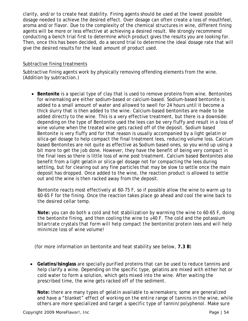clarity, and/or to create heat stability. Fining agents should be used at the lowest possible dosage needed to achieve the desired effect. Over dosage can often create a loss of mouthfeel, aroma and/or flavor. Due to the complexity of the chemical structures in wine, different fining agents will be more or less effective at achieving a desired result. We strongly recommend conducting a bench trial first to determine which product gives the results you are looking for. Then, once this has been decided, do a second trial to determine the ideal dosage rate that will give the desired results for the least amount of product used.

## Subtractive fining treatments

Subtractive fining agents work by physically removing offending elements from the wine. (Addition by subtraction.)

• **Bentonite** is a special type of clay that is used to remove proteins from wine. Bentonites for winemaking are either sodium-based or calcium-based. Sodium-based bentonite is added to a small amount of water and allowed to swell for 24 hours until it become a thick slurry that is then added to the wine. Calcium-based bentonites are made to be added directly to the wine. This is a very effective treatment, but there is a downside: depending on the type of Bentonite used the lees can be very fluffy and result in a loss of wine volume when the treated wine gets racked off of the deposit. Sodium based Bentonite is very fluffy and for that reason is usually accompanied by a light gelatin or silica-gel dosage to help compact the final treatment lees, reducing volume loss. Calcium based Bentonites are not quite as effective as Sodium based ones, so you wind up using a bit more to get the job done. However, they have the benefit of being very compact in the final lees so there is little loss of wine post treatment. Calcium based Bentonites also benefit from a light gelatin or silica-gel dosage not for compacting the lees during settling, but for clearing out any fine particles that may be slow to settle once the main deposit has dropped. Once added to the wine, the reaction product is allowed to settle out and the wine is then racked away from the deposit.

Bentonite reacts most effectively at 60-75 F, so if possible allow the wine to warm up to 60-65 F for the fining. Once the reaction takes place go ahead and cool the wine back to the desired cellar temp.

*Note: you can do both a cold and hot stabilization by warming the wine to 60-65 F, doing the bentonite fining, and then cooling the wine to ≤40 F. The cold and the potassium bitartrate crystals that form will help compact the bentonite/protein lees and will help minimize loss of wine volume!* 

(for more information on bentonite and heat stability see below, **7.3 B**)

• **Gelatins/Isinglass** are specially purified proteins that can be used to reduce tannins and help clarify a wine. Depending on the specific type, gelatins are mixed with either hot or cold water to form a solution, which gets mixed into the wine. After waiting the prescribed time, the wine gets racked off of the sediment.

*Note: there are many types of gelatin available to winemakers; some are generalized and have a "blanket" effect of working on the entire range of tannins in the wine, while others are more specialized and target a specific type of tannin/polyphenol. Make sure*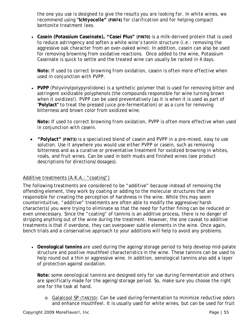*the one you use is designed to give the results you are looking for. In white wines, we recommend using "Ichtyocolle"* **(FIN74)** *for clarification and for helping compact bentonite treatment lees.* 

• **Casein (Potassium Caseinate), "Casei Plus" (FIN70)** is a milk-derived protein that is used to reduce astringency and soften a white wine's tannin structure (i.e.: removing the aggressive oak character from an over-oaked wine). In addition, casein can also be used for removing browning from oxidative reactions. Once added to the wine, Potassium Caseinate is quick to settle and the treated wine can usually be racked in 4 days.

#### *Note: If used to correct browning from oxidation, casein is often more effective when used in conjunction with PVPP*.

• **PVPP** (Polyvinylpolypyrolidone) is a synthetic polymer that is used for removing bitter and astringent oxidizable polyphenols (the compounds responsible for wine turning brown when it oxidizes!). PVPP can be used preventatively (as it is when it is used as part of "**Polylact"** to treat the pressed juice pre-fermentation) or as a cure for removing bitterness and brown color from oxidized wine.

#### *Note: If used to correct browning from oxidation, PVPP is often more effective when used in conjunction with casein*.

• **"Polylact" (FIN73)** is a specialized blend of casein and PVPP in a pre-mixed, easy to use solution. Use it anywhere you would use either PVPP or casein, such as removing bitterness and as a curative or preventative treatment for oxidized browning in whites, rosés, and fruit wines. Can be used in both musts and finished wines (see product descriptions for directions/dosages).

## Additive treatments (A.K.A.: "coating")

The following treatments are considered to be "additive" because instead of removing the offending element, they work by coating or adding to the molecular structures that are responsible for creating the perception of harshness in the wine. While this may seem counterintuitive, "additive" treatments are often able to modify the aggressive/harsh character(s) you were trying to eliminate so that the need for further fining can be reduced or even unnecessary. Since the "coating" of tannins is an additive process, there is no danger of stripping anything out of the wine during the treatment. However, the one caveat to additive treatments is that if overdone, they can overpower subtle elements in the wine. Once again, bench trials and a conservative approach to your additions will help to avoid any problems.

• **Oenological tannins** are used during the ageing/storage period to help develop mid-palate structure and positive mouthfeel characteristics in the wine. These tannins can be used to help round out a thin or aggressive wine. In addition, oenological tannins also add a layer of protection against oxidation.

*Note: some oenological tannins are designed only for use during fermentation and others are specifically made for the ageing/storage period. So, make sure you choose the right one for the task at hand.* 

o Galalcool SP (TAN150): Can be used during fermentation to minimize reductive odors and enhance mouthfeel. It is usually used for white wines, but can be used for fruit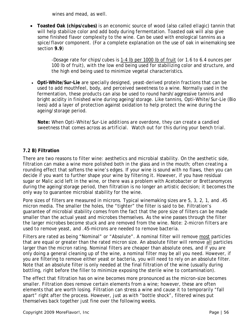wines and mead, as well.

• **Toasted Oak (chips/cubes)** is an economic source of wood (also called *ellagic*) tannin that will help stabilize color and add body during fermentation. Toasted oak will also give some finished flavor complexity to the wine. Can be used with enological tannins as a spice/flavor component. (For a complete explanation on the use of oak in winemaking see section **9.9**)

> -Dosage rate for chips/cubes is 1-4 lb per 1000 lb of fruit (or 1.6 to 6.4 ounces per 100 lb of fruit), with the low end being used for stabilizing color and structure, and the high end being used to minimize vegetal characteristics.

• **Opti-White/Sur-Lie** are specially designed, yeast-derived protein fractions that can be used to add mouthfeel, body, and perceived sweetness to a wine. Normally used in the fermentation, these products can also be used to round harsh/aggressive tannins and bright acidity in finished wine during ageing/storage. Like tannins, Opti-White/Sur-Lie (Bio lees) add a layer of protection against oxidation to help protect the wine during the ageing/storage period.

*Note: When Opti-White/*Sur-Lie *additions are overdone, they can create a candied sweetness that comes across as artificial. Watch out for this during your bench trial.*

## **7.2 B) Filtration**

There are two reasons to filter wine: aesthetics and microbial stability. On the aesthetic side, filtration can make a wine more polished both in the glass and in the mouth; often creating a rounding effect that softens the wine's edges. If your wine is sound with no flaws, then you can decide if you want to further shape your wine by filtering it. However, if you have residual sugar or Malic acid left in the wine, or there was a problem with Acetobacter or Brettanomyces during the ageing/storage period, then filtration is no longer an artistic decision; it becomes the only way to guarantee microbial stability for the wine.

Pore sizes of filters are measured in microns. Typical winemaking sizes are 5, 3, 2, 1, and .45 micron media. The smaller the holes, the "tighter" the filter is said to be. Filtration's guarantee of microbial stability comes from the fact that the pore size of filters can be made smaller than the actual yeast and microbes themselves. As the wine passes through the filter the larger microbes become stuck and are removed from the wine. *Note: 2-micron filters are used to remove yeast, and .45-microns are needed to remove bacteria.*

Filters are rated as being "Nominal" or "Absolute". A nominal filter will remove most particles that are equal or greater than the rated micron size. An absolute filter will remove all particles larger than the micron rating. Nominal filters are cheaper than absolute ones, and if you are only doing a general cleaning up of the wine, a nominal filter may be all you need. However, if you are filtering to remove either yeast or bacteria, you will need to rely on an absolute filter. Note that an absolute filter is only needed at the final filtration of the wine (usually during bottling, right before the filler to minimize exposing the sterile wine to contamination).

The effect that filtration has on wine becomes more pronounced as the micron-size becomes smaller. Filtration does remove certain elements from a wine; however, these are often elements that are worth losing. Filtration can stress a wine and cause it to temporarily "fall apart" right after the process. However, just as with "bottle shock", filtered wines put themselves back together just fine over the following weeks.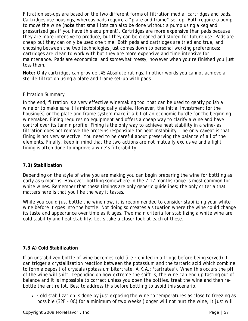Filtration set-ups are based on the two different forms of filtration media: cartridges and pads. Cartridges use housings, whereas pads require a "plate and frame" set-up. Both require a pump to move the wine (*note that small lots can also be done without a pump using a keg and pressurized gas if you have this equipment*). Cartridges are more expensive than pads because they are more intensive to produce, but they can be cleaned and stored for future use. Pads are cheap but they can only be used one time. Both pads and cartridges are tried and true, and choosing between the two technologies just comes down to personal working preferences: cartridges are clean to work with but they are more expensive and time intensive for maintenance. Pads are economical and somewhat messy, however when you're finished you just toss them.

*Note:* O*nly cartridges can provide .45 Absolute ratings. In other words you cannot achieve a sterile filtration using a plate and frame set-up with pads.* 

## Filtration Summary

In the end, filtration is a very effective winemaking tool that can be used to gently polish a wine or to make sure it is microbiologically stable. However, the initial investment for the housing(s) or the plate and frame system make it a bit of an economic hurdle for the beginning winemaker. Fining requires no equipment and offers a cheap way to clarify a wine and have control over its tannin profile. Fining is the only way to achieve heat stability in a wine- as filtration does not remove the proteins responsible for heat instability. The only caveat is that fining is not very selective. You need to be careful about preserving the balance of all of the elements. Finally, keep in mind that the two actions are not mutually exclusive and a light fining is often done to improve a wine's filterability.

#### **7.3) Stabilization**

Depending on the style of wine you are making you can begin preparing the wine for bottling as early as 6 months. However, bottling somewhere in the 7-12 months range is most common for white wines. Remember that these timings are only generic guidelines; the only criteria that matters here is that you like the way it tastes.

While you could just bottle the wine now, it is recommended to consider stabilizing your white wine before it goes into the bottle. Not doing so creates a situation where the wine could change its taste and appearance over time as it ages. Two main criteria for stabilizing a white wine are cold stability and heat stability. Let's take a closer look at each of these.

## **7.3 A) Cold Stabilization**

If an unstabilized bottle of wine becomes cold (i.e.: chilled in a fridge before being served) it can trigger a crystallization reaction between the potassium and the tartaric acid which combine to form a deposit of crystals (potassium bitartrate, A.K.A.: "tartrates"). When this occurs the pH of the wine will shift. Depending on how extreme the shift is, the wine can end up tasting out of balance and it is impossible to correct unless you open the bottles, treat the wine and then rebottle the entire lot. Best to address this before bottling to avoid this scenario.

• Cold stabilization is done by just exposing the wine to temperatures as close to freezing as possible (32F - 0C) for a minimum of two weeks (longer will not hurt the wine, it just will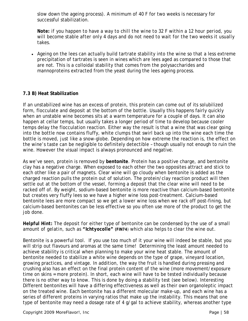slow down the ageing process). A minimum of 40 F for two weeks is necessary for successful stabilization.

*Note: if you happen to have a way to chill the wine to 32 F within a 12 hour period, you will become stable after only 4 days and do not need to wait for the two weeks it usually takes.* 

• Ageing on the lees can actually build tartrate stability into the wine so that a less extreme precipitation of tartrates is seen in wines which are lees aged as compared to those that are not. This is a colloidal stability that comes from the polysaccharides and mannoproteins extracted from the yeast during the lees ageing process.

## **7.3 B) Heat Stabilization**

If an unstabilized wine has an excess of protein, this protein can come out of its solubilized form, flocculate and deposit at the bottom of the bottle. Usually this happens fairly quickly when an unstable wine becomes sits at a warm temperature for a couple of days. It can also happen at cellar temps, but usually takes a longer period of time to develop because cooler temps delay the flocculation reaction. Either way the result is that a wine that was clear going into the bottle now contains fluffy, white clumps that swirl back up into the wine each time the bottle is moved, just like a snow-globe. Depending on how extreme the reaction is, the effect on the wine's taste can be negligible to definitely detectible – though usually not enough to ruin the wine. However the visual impact is always pronounced and negative.

As we've seen, protein is removed by **bentonite**. Protein has a positive charge, and bentonite clay has a negative charge. When exposed to each other the two opposites attract and stick to each other like a pair of magnets. Clear wine will go cloudy when bentonite is added as the charged reaction pulls the protein out of solution. The protein/clay reaction product will then settle out at the bottom of the vessel, forming a deposit that the clear wine will need to be racked off of. By weight, sodium-based bentonite is more reactive than calcium-based bentonite but creates very fluffy lees so we have a higher wine loss post-treatment. Calcium-based bentonite lees are more compact so we get a lower wine loss when we rack off post-fining, but calcium-based bentonites can be less effective so you often use more of the product to get the job done.

#### *Helpful Hint: The deposit for either type of bentonite can be condensed by the use of a small amount of gelatin, such as "Ichtyocolle" (FIN74) which also helps to clear the wine out.*

Bentonite is a powerful tool. If you use too much of it your wine will indeed be stable, but you will strip out flavours and aromas at the same time! Determining the least amount needed to achieve stability is critical when planning to make your wine heat stable. The amount of bentonite needed to stabilize a white wine depends on the type of grape, vineyard location, growing practices, and vintage. In addition, the way the fruit is handled during pressing and crushing also has an effect on the final protein content of the wine (more movement/exposure time on skins = more protein). In short, each wine will have to be tested individually because there is no other way to know. This is done by doing a stability test (see below). Interesting Different bentonites will have a differing effectiveness as well as their own organoleptic impact on the treated wine. Each bentonite has a different molecular make-up, and each wine has a series of different proteins in varying ratios that make up the instability. This means that one type of bentonite may need a dosage rate of 4 g/gal to achieve stability, whereas another type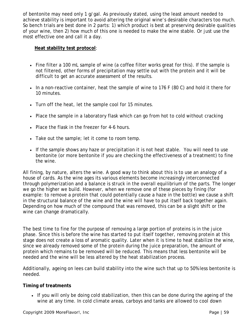of bentonite may need only 1 g/gal. As previously stated, using the least amount needed to achieve stability is important to avoid altering the original wine's desirable characters too much. So bench trials are best done in 2 parts: 1) which product is best at preserving desirable qualities of your wine, then 2) how much of this one is needed to make the wine stable. Or just use the most effective one and call it a day.

#### **Heat stability test protocol**:

- Fine filter a 100 mL sample of wine (a coffee filter works great for this). If the sample is not filtered, other forms of precipitation may settle out with the protein and it will be difficult to get an accurate assessment of the results.
- In a non-reactive container, heat the sample of wine to 176 F (80 C) and hold it there for 10 minutes.
- Turn off the heat, let the sample cool for 15 minutes.
- Place the sample in a laboratory flask which can go from hot to cold without cracking
- Place the flask in the freezer for 4-6 hours.
- Take out the sample; let it come to room temp.
- If the sample shows any haze or precipitation it is not heat stable. You will need to use bentonite (or more bentonite if you are checking the effectiveness of a treatment) to fine the wine.

All fining, by nature, alters the wine. A good way to think about this is to use an analogy of a house of cards. As the wine ages its various elements become increasingly interconnected through polymerization and a balance is struck in the overall equilibrium of the parts. The longer we go the higher we build. However, when we remove one of these pieces by fining (for example: to remove a protein that could potentially cause a haze in the bottle) we cause a shift in the structural balance of the wine and the wine will have to put itself back together again. Depending on how much of the compound that was removed, this can be a slight shift or the wine can change dramatically.

The best time to fine for the purpose of removing a large portion of proteins is in the juice phase. Since this is before the wine has started to put itself together, removing protein at this stage does not create a loss of aromatic quality. Later when it is time to heat stabilize the wine, since we already removed some of the protein during the juice preparation, the amount of protein which remains to be removed will be reduced. This means that less bentonite will be needed and the wine will be less altered by the heat stabilization process.

Additionally, ageing on lees can build stability into the wine such that up to 50% less bentonite is needed.

## **Timing of treatments**

• If you will only be doing cold stabilization, then this can be done during the ageing of the wine at any time. In cold climate areas, carboys and tanks are allowed to cool down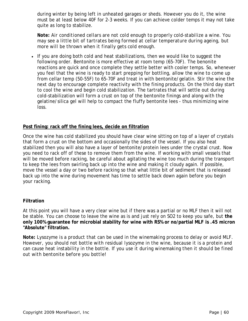during winter by being left in unheated garages or sheds. However you do it, the wine must be at least below 40F for 2-3 weeks. If you can achieve colder temps it may not take quite as long to stabilize.

*Note: Air conditioned cellars are not cold enough to properly cold-stabilize a wine. You may see a little bit of tartrates being formed at cellar temperature during ageing, but more will be thrown when it finally gets cold enough.* 

• If you are doing both cold and heat stabilizations, then we would like to suggest the following order. Bentonite is more effective at room temp (65-70F). The benonite reactions are quick and once complete they settle better with cooler temps. So, whenever you feel that the wine is ready to start prepping for bottling, allow the wine to come up from cellar temp (50-55F) to 65-70F and treat in with bentonite/gelatin. Stir the wine the next day to encourage complete reactivity with the fining products. On the third day start to cool the wine and begin cold stabilization. The tartrates that will settle out during cold-stabilization will form a crust on top of the bentonite finings and along with the gelatine/silica gel will help to compact the fluffy bentonite lees - thus minimizing wine loss.

#### **Post fining: rack off the fining lees, decide on filtration**

Once the wine has cold stabilized you should have clear wine sitting on top of a layer of crystals that form a crust on the bottom and occasionally the sides of the vessel. If you also heat stabilized then you will also have a layer of bentonite/protein lees under the crystal crust. Now you need to rack off of these to remove them from the wine. If working with small vessels that will be moved before racking, be careful about agitating the wine too much during the transport to keep the lees from swirling back up into the wine and making it cloudy again. If possible, move the vessel a day or two before racking so that what little bit of sediment that is released back up into the wine during movement has time to settle back down again before you begin your racking.

#### **Filtration**

At this point you will have a very clear wine but if there was a partial or no MLF then it will not be stable. You can choose to leave the wine as is and just rely on SO2 to keep you safe, but **the only 100% guarantee for microbial stability for wine with RS% or no/partial MLF is .45 micron "Absolute" filtration.** 

*Note: Lysozyme is a product that can be used in the winemaking process to delay or avoid MLF. However, you should not bottle with residual lysozyme in the wine, because it is a protein and can cause heat instability in the bottle. If you use it during winemaking then it should be fined out with bentonite before you bottle!*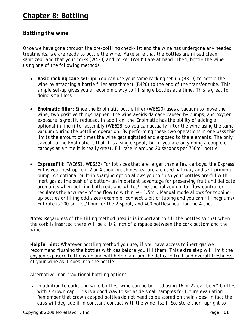# **Chapter 8: Bottling**

# **Bottling the wine**

Once we have gone through the pre-bottling check-list and the wine has undergone any needed treatments, we are ready to bottle the wine. Make sure that the bottles are rinsed clean, sanitized, and that your corks (W430) and corker (W405) are at hand. Then, bottle the wine using one of the following methods:

- **Basic racking cane set-up:** You can use your same racking set-up (R310) to bottle the wine by attaching a bottle filler attachment (B420) to the end of the transfer tube. This simple set-up gives you an economic way to fill single bottles at a time. This is great for doing small lots.
- **Enolmatic filler:** Since the Enolmatic bottle filler (WE620) uses a vacuum to move the wine, two positive things happen; the wine avoids damage caused by pumps, and oxygen exposure is greatly reduced. In addition, the Enolmatic has the ability of adding an optional in-line filter assembly (WE628) so you can actually filter the wine using the same vacuum during the bottling operation. By performing these two operations in one pass this limits the amount of times the wine gets agitated and exposed to the elements. The only caveat to the Enolmatic is that it is a single spout, but if you are only doing a couple of carboys at a time it is really great. Fill rate is around 20 seconds per 750mL bottle.
- **Express Fill:** (WE651, WE652) For lot sizes that are larger than a few carboys, the Express Fill is your best option. 2 or 4 spout machines feature a closed pathway and self-priming pump. An optional built-in sparging option allows you to flush your bottles pre-fill with inert gas at the push of a button- an important advantage for preserving fruit and delicate aromatics when bottling both reds and whites! The specialized digital flow controller regulates the accuracy of the flow to within +/- 1.5mL. Manual mode allows for toppingup bottles or filling odd sizes (example: connect a bit of tubing and you can fill magnums). Fill rate is 200 bottles/hour for the 2-spout, and 400 bottles/hour for the 4-spout.

*Note: Regardless of the filling method used it is important to fill the bottles so that when the cork is inserted there will be a 1/2 inch of airspace between the cork bottom and the wine.*

*Helpful hint: Whatever bottling method you use, if you have access to inert gas we recommend flushing the bottles with gas before you fill them. This extra step will limit the oxygen exposure to the wine and will help maintain the delicate fruit and overall freshness of your wine as it goes into the bottle!*

#### Alternative, non-traditional bottling options

• In addition to corks and wine bottles, wine can be bottled using 16 or 22 oz "beer" bottles with a crown cap. This is a good way to set aside small samples for future evaluation. Remember that crown capped bottles do not need to be stored on their sides- in fact the caps will degrade if in constant contact with the wine itself. So, store them upright to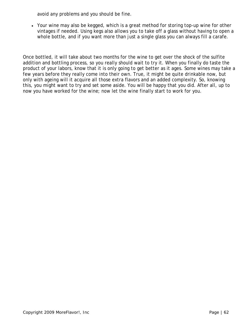avoid any problems and you should be fine.

• Your wine may also be kegged, which is a great method for storing top-up wine for other vintages if needed. Using kegs also allows you to take off a glass without having to open a whole bottle, and if you want more than just a single glass you can always fill a carafe.

Once bottled, it will take about two months for the wine to get over the shock of the sulfite addition and bottling process, so you really should wait to try it. When you finally do taste the product of your labors, know that it is only going to get better as it ages. Some wines may take a few years before they really come into their own. True, it might be quite drinkable now, but only with ageing will it acquire all those extra flavors and an added complexity. So, knowing this, you might want to try and set some aside. You will be happy that you did. After all, up to now you have worked for the wine; now let the wine finally start to work for you.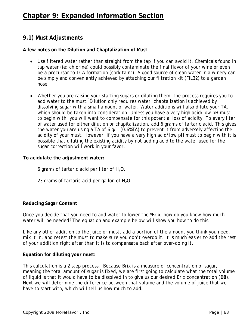# **Chapter 9: Expanded Information Section**

# **9.1) Must Adjustments**

#### **A few notes on the Dilution and Chaptalization of Must**

- Use filtered water rather than straight from the tap if you can avoid it. Chemicals found in tap water (ie: chlorine) could possibly contaminate the final flavor of your wine or even be a precursor to TCA formation (cork taint)! A good source of clean water in a winery can be simply and conveniently achieved by attaching our filtration kit (FIL32) to a garden hose.
- Whether you are raising your starting sugars or diluting them, the process requires you to add water to the must. Dilution only requires water; chaptalization is achieved by dissolving sugar with a small amount of water. Water additions will also dilute your TA, which should be taken into consideration. Unless you have a very high acid/low pH must to begin with, you will want to compensate for this potential loss of acidity. To every liter of water used for either dilution or chapitalization, add 6 grams of tartaric acid. This gives the water you are using a TA of 6 g/L (0.6%TA) to prevent it from adversely affecting the acidity of your must. However, if you have a very high acid/low pH must to begin with it is possible that diluting the existing acidity by not adding acid to the water used for the sugar correction will work in your favor.

#### **To** *acidulate* **the adjustment water:**

6 grams of tartaric acid per liter of  $H_2O$ ,

23 grams of tartaric acid per gallon of  $H_2O$ .

#### **Reducing Sugar Content**

Once you decide that you need to add water to lower the ºBrix, how do you know how much water will be needed? The equation and example below will show you how to do this.

*Like any other addition to the juice or must, add a portion of the amount you think you need, mix it in, and retest the must to make sure you don't overdo it. It is much easier to add the rest of your addition right after than it is to compensate back after over-doing it.*

#### **Equation for diluting your must:**

This calculation is a 2 step process. Because Brix is a measure of *concentration* of sugar, meaning the total amount of sugar is fixed, we are first going to calculate what the total volume of liquid is that it would have to be dissolved in to give us our desired Brix concentration (**DB**). Next we will determine the difference between that volume and the volume of juice that we have to start with, which will tell us how much to add.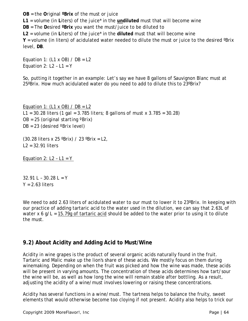**OB** = the **O**riginal **ºBrix** of the must or juice

**L1** = volume (in **L**iters) of the juice\* in the **undiluted** must that will become wine

**DB** = The **D**esired **ºBrix** you want the must/juice to be diluted to

**L2** = volume (in **L**iters) of the juice\* in the **diluted** must that will become wine

**Y** = volume (in liters) of acidulated water needed to dilute the must or juice to the desired ºBrix level, **DB**.

Equation 1: *(L1 x OB) / DB = L2* Equation 2: *L2 – L1 = Y*

So, putting it together in an example: Let's say we have 8 gallons of Sauvignon Blanc must at 25ºBrix. How much acidulated water do you need to add to dilute this to 23ºBrix?

Equation 1: *(L1 x OB) / DB = L2* L1 = 30.28 liters *(1 gal = 3.785 liters; 8 gallons of must x 3.785 = 30.28)* OB = 25 *(original starting ºBrix)* DB = 23 *(desired ºBrix level)*

(30.28 liters x 25 ºBrix) / 23 ºBrix = L2, L2 = 32.91 liters

Equation 2: *L2 – L1 = Y*

 $32.91 L - 30.28 L = Y$  $Y = 2.63$  liters

We need to add 2.63 liters of acidulated water to our must to lower it to 23°Brix. In keeping with our practice of adding tartaric acid to the water used in the dilution, we can say that 2.63L of water x 6 g/L =  $15.79g$  of tartaric acid should be added to the water prior to using it to dilute the must.

# **9.2) About Acidity and Adding Acid to Must/Wine**

Acidity in wine grapes is the product of several organic acids naturally found in the fruit. Tartaric and Malic make up the lion's share of these acids. We mostly focus on them during winemaking. Depending on when the fruit was picked and how the wine was made, these acids will be present in varying amounts. The concentration of these acids determines how tart/sour the wine will be, as well as how long the wine will remain stable after bottling. As a result, adjusting the acidity of a wine/must involves lowering or raising these concentrations.

Acidity has several functions in a wine/must. The tartness helps to balance the fruity, sweet elements that would otherwise become too cloying if not present. Acidity also helps to trick our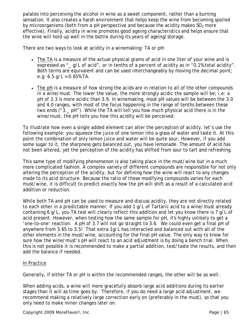palates into perceiving the alcohol in wine as a sweet component, rather than a burning sensation. It also creates a harsh environment that helps keep the wine from becoming spoiled by microorganisms (both from a pH perspective and because the acidity makes  $SO<sub>2</sub>$  more effective). Finally, acidity in wine promotes good ageing characteristics and helps ensure that the wine will hold up well in the bottle during its years of ageing/storage.

There are two ways to look at acidity in a winemaking: TA or pH:

- The TA is a measure of the actual physical grams of acid in one liter of your wine and is expressed as "\_q/L of acid", or in tenths of a percent of acidity as in "0.1% total acidity". Both terms are equivalent and can be used interchangeably by moving the decimal point; e.g:  $6.5$  g/L = 0.65% TA.
- The pH is a measure of how strong the acids are in relation to all of the other compounds in a wine/must. The lower the value, the more strongly acidic the sample will be; i.e: a pH of 3.3 is more acidic than 3.9. In winemaking, most pH values will be between the 3.0 and 4.0 ranges, with most of the focus happening in the range of tenths between these two ends ("3.\_ pH"). While the TA will tell you how much physical acid there is in the wine/must, the pH tells you how this acidity will be perceived.

To illustrate how even a single added element can alter the perception of acidity, let's use the following example: you squeeze the juice of one lemon into a glass of water and taste it. At this point the combination of only lemon juice and water will be quite sour. However, if you add some sugar to it, the sharpness gets balanced out, you have lemonade. The amount of acid has not been altered, yet the perception of the acidity has shifted from sour to tart and refreshing.

This same type of modifying phenomenon is also taking place in the must/wine but in a much more complicated fashion. A complex variety of different compounds are responsible for not only altering the perception of the acidity, but for defining how the wine will react to any changes made to its acid structure. Because the ratio of these modifying compounds varies for each must/wine, it is difficult to predict exactly how the pH will shift as a result of a calculated acid addition or reduction.

While both TA and pH can be used to measure and discuss acidity, they are not directly related to each other in a predictable manner. If you add 1 g/L of Tartaric acid to a wine/must already containing 6 g/L, you TA test will clearly reflect this addition and let you know there is 7 g/L of acid present. However, when testing how the same sample for pH, it's highly unlikely to get a 'one-to-one' reaction. A pH of 3.7 will not go straight to 3.6. We could even get a final pH of anywhere from 3.65 to 3.5! That extra 1g/L has interacted and balanced out with all of the other elements in the must/wine, accounting for the final pH value. The only way to know for sure how the wine/must's pH will react to an acid adjustment is by doing a bench trial. When this is not possible it is recommended to make a partial addition, test/taste the results, and then add the balance if needed.

#### In Practice

Generally, if either TA or pH is within the recommended ranges, the other will be as well.

When adding acids, a wine will more gracefully absorb large acid additions during its earlier stages than it will as time goes by. Therefore, if you do need a large acid adjustment, we recommend making a relatively large correction early on (preferably in the must), so that you only need to make minor changes later on.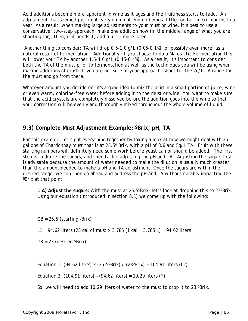Acid additions become more apparent in wine as it ages and the fruitiness starts to fade. An adjustment that seemed just right early on might end up being a little too tart in six months to a year. As a result, when making large adjustments to your must or wine, it's best to use a conservative, two-step approach: make one addition now (in the middle range of what you are shooting for), then, if it needs it, add a little more later.

 Another thing to consider: TA will drop 0.5-1.0 g/L (0.05-0.1%), or possibly even more, as a natural result of fermentation. Additionally, if you choose to do a Malolactic Fermentation this will lower your TA by another 1.5-4.0 g/L (0.15-0.4%). As a result, it's important to consider both the TA of the must prior to fermentation as well as the techniques you will be using when making additions at crush. If you are not sure of your approach, shoot for the 7g/L TA range for the must and go from there.

Whatever amount you decide on, it's a good idea to mix the acid in a small portion of juice, wine or even warm, chlorine-free water before adding it to the must or wine. You want to make sure that the acid crystals are completely dissolved before the addition goes into the wine so that your correction will be evenly and thoroughly mixed throughout the whole volume of liquid.

# **9.3) Complete Must Adjustment Example: ºBrix, pH, TA**

For this example, let's put everything together by taking a look at how we might deal with 25 gallons of Chardonnay must that is at 25.5º Brix, with a pH of 3.6 and 5g/L TA. Fruit with these starting numbers will definitely need some work before yeast can or should be added. The first step is to dilute the sugars, and *then* tackle adjusting the pH and TA. Adjusting the sugars first is advisable because the amount of water needed to make the dilution is usually much greater than the amount needed to make a pH and TA adjustment. Once the sugars are within the desired range, we can then go ahead and address the pH and TA without notably impacting the ºBrix at that point.

**1 A) Adjust the sugars:** With the must at 25.5ºBrix, let's look at dropping this to 23ºBrix. Using our equation (introduced in section 8.1) we come up with the following:

 $OB = 25.5$  (starting  $\text{?Brix}$ )

L1 = 94.62 liters (25 gal of must x 3.785 (1 gal = 3.785 L) =  $94.62$  liters

 $DB = 23$  (desired  $\textdegree$ Brix)

Equation 1: (94.62 liters) x (25.5°Brix) / (23°Brix) = 104.91 liters (L2)

Equation 2:  $(104.91$  liters) -  $(94.62$  liters) = 10.29 liters  $(Y)$ 

So, we will need to add 10.29 liters of water to the must to drop it to 23 ºBrix.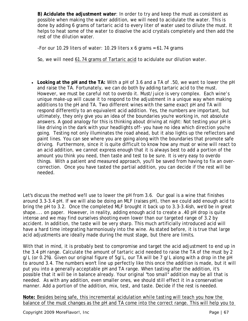**B) Acidulate the adjustment water**: In order to try and keep the must as consistent as possible when making the water addition, we will need to acidulate the water. This is done by adding 6 grams of tartaric acid to every liter of water used to dilute the must. It helps to heat some of the water to dissolve the acid crystals completely and then add the rest of the dilution water.

-For our 10.29 liters of water: 10.29 liters x 6 grams =  $61.74$  grams

So, we will need 61.74 grams of Tartaric acid to acidulate our dilution water.

• **Looking at the pH and the TA:** With a pH of 3.6 and a TA of .50, we want to lower the pH and raise the TA. Fortunately, we can do both by adding tartaric acid to the must. However, we must be careful not to overdo it. Must/juice is very complex. Each wine's unique make-up will cause it to respond to the adjustment in a unique way when making additions to the pH and TA. Two different wines with the same exact pH and TA will respond differently to an equivalent acid addition. Yes, the numbers are important, but ultimately, they only give you an idea of the boundaries you're working in, not absolute answers. A good analogy for this is thinking about driving at night: Not testing your pH is like driving in the dark with your headlights off- you have no idea which direction you're going. Testing not only illuminates the road ahead, but it also lights up the reflectors and paint lines. You can see where you are going along with the boundaries that promote safe driving. Furthermore, since it is quite difficult to know how any must or wine will react to an acid addition, we cannot express enough that it is always best to add a portion of the amount you think you need, then taste and test to be sure. It is very easy to overdo things. With a patient and measured approach, you'll be saved from having to fix an overcorrection. Once you have tasted the partial addition, you can decide if the rest will be needed.

Let's discuss the method we'll use to lower the pH from 3.6. Our goal is a wine that finishes around 3.3-3.4 pH. If we will also be doing an MLF (raises pH), then we could add enough acid to bring the pH to 3.2. Once the completed MLF brought it back up to 3.3-3.4ish, we'd be in great shape.... on paper. However, in reality, adding enough acid to create a .40 pH drop is quite intense and we may find ourselves shooting even lower than our targeted range of 3.2 by accident. In addition, the taste will be very sharp. This much artificially introduced acid will have a hard time integrating harmoniously into the wine. As stated before, it is true that large acid adjustments are ideally made during the must stage, but there are limits.

With that in mind, it is probably best to compromise and target the acid adjustment to end up in the 3.4 pH range. Calculate the amount of tartaric acid needed to raise the TA of the must by 2 g/L (or 0.2%). Given our original figure of 5g/L, our TA will be 7 g/L along with a drop in the pH to around 3.4. The numbers won't line up perfectly like this once the addition is made, but it will put you into a generally acceptable pH and TA range. When tasting after the addition, it's possible that it will be in balance already. Your original "too small" addition may be all that is needed. As with any addition, even smaller ones, we should still effect it in a conservative manner. Add a portion of the addition, mix, test, and taste. Decide if the rest is needed.

**Note:** Besides being safe, this incremental acidulation *while tasting* will teach you how the balance of the must changes as the pH and TA come into the correct range. This will help you to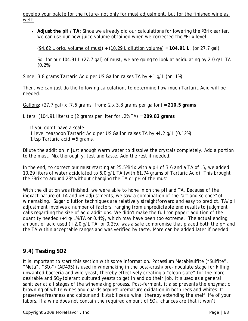develop your palate for the future- not only for must adjustment, but for the finished wine as well!

• Adjust the pH / TA: Since we already did our calculations for lowering the <sup>o</sup>Brix earlier, we can use our new juice volume obtained when we corrected the ºBrix level:

(94.62 L orig. volume of must) + (10.29 L dilution volume) = **104.91 L**. (or 27.7 gal)

So, for our  $104.91 \text{ L}$  (27.7 gal) of must, we are going to look at acidulating by 2.0 g/L TA (0.2%)

Since: 3.8 grams Tartaric Acid per US Gallon raises TA by + 1 g/L (or .1%)

Then, we can just do the following calculations to determine how much Tartaric Acid will be needed:

Gallons: (27.7 gal) x (7.6 grams, from: 2 x 3.8 grams per gallon) = **210.5 grams**

Liters: (104.91 liters) x (2 grams per liter for .2% TA) = **209.82 grams**

*If you don't have a scale:* 1 level teaspoon Tartaric Acid per US Gallon raises TA by +1.2 g/L (0.12%) 1 tsp Tartaric acid = 5 grams.

Dilute the addition in just enough warm water to dissolve the crystals completely. Add a portion to the must. Mix thoroughly, test and taste. Add the rest if needed.

In the end, to correct our must starting at 25.5°Brix with a pH of 3.6 and a TA of .5, we added 10.29 liters of water acidulated to 6.0 g/L TA (with 61.74 grams of Tartaric Acid). This brought the ºBrix to around 23º without changing the TA or pH of the must.

With the dilution was finished, we were able to hone in on the pH and TA. Because of the inexact nature of TA and pH adjustments, we saw a combination of the "art and science" of winemaking. Sugar dilution techniques are relatively straightforward and easy to predict. TA/pH adjustment involves a number of factors, ranging from unpredictable end results to judgment calls regarding the size of acid additions. We didn't make the full "on paper" addition of the quantity needed (+4 g/L% TA or 0.4%), which may have been too extreme. The actual ending amount of acid used (+ 2.0 g/L TA, or 0.2%), was a safe compromise that placed both the pH and the TA within acceptable ranges and was verified by taste. More can be added later if needed.

# **9.4) Testing SO2**

It is important to start this section with some information. Potassium Metabisulfite ("Sulfite", "Meta", "SO<sub>2</sub>") (AD495) is used in winemaking in the post-crush/pre-inoculate stage for killing unwanted bacteria and wild yeast, thereby effectively creating a "clean slate" for the more desirable and  $SO<sub>2</sub>$ -tolerant cultured yeasts to get in and do their job. It's used as a general sanitizer at all stages of the winemaking process. Post-ferment, it also prevents the enzymatic browning of white wines and guards against premature oxidation in both reds and whites. It preserves freshness and colour and it stabilizes a wine, thereby extending the shelf life of your labors. If a wine does not contain the required amount of  $SO<sub>2</sub>$ , chances are that it won't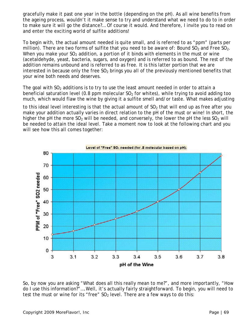gracefully make it past one year in the bottle (depending on the pH). As all wine benefits from the ageing process, wouldn't it make sense to try and understand what we need to do to in order to make sure it will go the distance?… Of course it would. And therefore, I invite you to read on and enter the exciting world of sulfite additions!

To begin with, the actual amount needed is quite small, and is referred to as "ppm" (parts per million). There are two forms of sulfite that you need to be aware of: *Bound SO<sub>2</sub>* and *Free SO<sub>2</sub>*. When you make your  $SO<sub>2</sub>$  addition, a portion of it binds with elements in the must or wine (acetaldehyde, yeast, bacteria, sugars, and oxygen) and is referred to as *bound*. The rest of the addition remains unbound and is referred to as *free*. It is this latter portion that we are interested in because only the free  $SO<sub>2</sub>$  brings you all of the previously mentioned benefits that your wine both needs and deserves.

The goal with  $SO<sub>2</sub>$  additions is to try to use the least amount needed in order to attain a beneficial saturation level (0.8 ppm molecular  $SO<sub>2</sub>$  for whites), while trying to avoid adding too much, which would flaw the wine by giving it a sulfite smell and/or taste. What makes adjusting

to this ideal level interesting is that the actual amount of  $SO<sub>2</sub>$  that will end up as free after you make your addition actually varies in direct relation to the pH of the must or wine! In short, the higher the pH the more  $SO_2$  will be needed, and conversely, the lower the pH the less  $SO_2$  will be needed to attain the ideal level. Take a moment now to look at the following chart and you will see how this all comes together:



So, by now you are asking "What does all this really mean to me?", and more importantly, "How do I use this information?"….Well, it's actually fairly straightforward. To begin, you will need to test the must or wine for its "free"  $SO<sub>2</sub>$  level. There are a few ways to do this: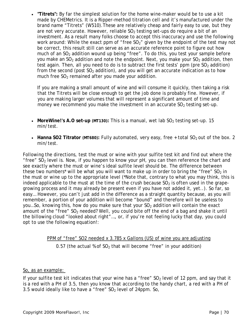• **"Titrets":** By far the simplest solution for the home wine-maker would be to use a kit made by CHEMetrics. It is a Ripper-method titration cell and it's manufactured under the brand name "Titrets" (W510).These are relatively cheap and fairly easy to use, but they are not very accurate. However, reliable  $SO<sub>2</sub>$  testing set-ups do require a bit of an investment. As a result many folks choose to accept this inaccuracy and use the following work around: While the exact ppm of "free  $SO_2$ " given by the endpoint of the test may not be correct, this result still can serve as an accurate reference point to figure out how much of an  $SO<sub>2</sub>$  addition wound up being "free". To do this, you test your sample before you make an  $SO_2$  addition and note the endpoint. Next, you make your  $SO_2$  addition, then test again. Then, all you need to do is to subtract the first tests' ppm (pre  $SO<sub>2</sub>$  addition) from the second (post  $SO_2$  addition), and you will get an accurate indication as to how much free  $SO<sub>2</sub>$  remained after you made your addition.

If you are making a small amount of wine and will consume it quickly, then taking a risk that the Titrets will be close enough to get the job done is probably fine. However, if you are making larger volumes that will represent a significant amount of time and money we recommend you make the investment in an accurate  $SO<sub>2</sub>$  testing set-up.

- More Wine!'s A.O set-up (MT130): This is a manual, wet lab  $SO<sub>2</sub>$  testing set-up. 15 min/test.
- Hanna SO2 Titrator (MT680): Fully automated, very easy, free  $+$  total SO<sub>2</sub> out of the box. 2 min/test.

Following the directions, test the must or wine with your sulfite test kit and find out where the "free"  $SO<sub>2</sub>$  level is. Now, if you happen to know your pH, you can then reference the chart and see exactly where the must or wine's ideal sulfite level should be. The difference between these two numbers<sup>\*</sup> will be what you will want to make up in order to bring the "free"  $SO_2$  in the must or wine up to the appropriate level (\*Note that, contrary to what you may think, this is indeed applicable to the must at the time of the crush because  $SO<sub>2</sub>$  is often used in the grapegrowing process and it may already be present even if you have not added it, yet..). So far, so easy… However, you can't just add in the difference as a straight quantity because, as you will remember, a portion of your addition will become "bound" and therefore will be useless to you...So, knowing this, how do you make sure that your  $SO<sub>2</sub>$  addition will contain the exact amount of the "free"  $SO<sub>2</sub>$  needed? Well, you could bite off the end of a bag and shake it until the billowing cloud "looked about right"…, or, if you're not feeling lucky that day, you could opt to use the following equation!:

> PPM of "free" SO2 needed x 3.785 x Gallons (US) of wine you are adjusting 0.57 (the actual % of  $SO<sub>2</sub>$  that will become "free" in your addition)

#### So, as an example:

If your sulfite test kit indicates that your wine has a "free"  $SO<sub>2</sub>$  level of 12 ppm, and say that it is a red with a PH of 3.5, then you know that according to the handy chart, a red with a PH of 3.5 would ideally like to have a "free"  $SO<sub>2</sub>$  level of 24ppm. So,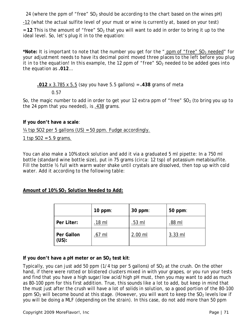24 (where the ppm of "free"  $SO_2$  should be according to the chart based on the wines pH)

-12 (what the actual sulfite level of your must or wine is currently at, based on your test)

= 12 This is the amount of "free" SO<sub>2</sub> that you will want to add in order to bring it up to the ideal level. So, let's plug it in to the equation:

**\****Note: It is important to note that the number you get for the " ppm of "free" SO2 needed" for your adjustment needs to have its decimal point moved three places to the left before you plug it in to the equation! In this example, the 12 ppm of "free" SO<sub>2</sub> needed to be added goes into the equation as .012…*

**.012** x 3.785 x 5.5 (say you have 5.5 gallons) = **.438** grams of meta

0.57

So, the magic number to add in order to get your 12 extra ppm of "free"  $SO<sub>2</sub>$  (to bring you up to the 24 ppm that you needed), is .438 grams.

# **If you don't have a scale**:

 $\frac{1}{4}$  tsp SO2 per 5 gallons (US) = 50 ppm. Fudge accordingly.

1 tsp  $SO2 = 5.9$  grams.

You can also make a 10% stock solution and add it via a graduated 5 ml pipette: In a 750 ml bottle (standard wine bottle size), put in 75 grams (circa: 12 tsp) of potassium metabisulfite. Fill the bottle ½ full with warm water shake until crystals are dissolved, then top up with cold water. Add it according to the following table:

**Amount of 10% SO2 Solution Needed to Add:**

|                     | 10 ppm: | $30$ ppm: | 50 ppm:   |
|---------------------|---------|-----------|-----------|
| Per Liter:          | .18 ml  | .53 ml    | .88 ml    |
| Per Gallon<br>(US): | .67 ml  | $2.00$ ml | $3.33$ ml |

# If you don't have a pH meter or an SO<sub>2</sub> test kit:

Typically, you can just add 50 ppm  $(1/4$  tsp per 5 gallons) of SO<sub>2</sub> at the crush. On the other hand, if there were rotted or blistered clusters mixed in with your grapes, or you run your tests and find that you have a high sugar/low acid/high pH must, then you may want to add as much as 80-100 ppm for this first addition. True, this sounds like a lot to add, but keep in mind that the must just after the crush will have a lot of solids in solution, so a good portion of the 80-100 ppm  $SO<sub>2</sub>$  will become bound at this stage. (However, you will want to keep the  $SO<sub>2</sub>$  levels low if you will be doing a MLF (depending on the strain). In this case, do not add more than 50 ppm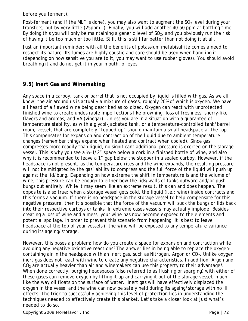before you ferment).

Post-ferment (and if the MLF is done), you may also want to augment the  $SO<sub>2</sub>$  level during your transfers, but by very little (25ppm…). Finally, you will add another 40-50 ppm at bottling time. By doing this you will only be maintaining a generic level of  $SO<sub>2</sub>$ , and you obviously run the risk of having it be too much or too little. Still, this is still far better than not doing it at all.

Just an important reminder: with all the benefits of potassium metabisulfite comes a need to respect its nature. Its fumes are highly caustic and care should be used when handling it (depending on how sensitive you are to it, you may want to use rubber gloves). You should avoid breathing it and do not get it in your mouth, or eyes.

# **9.5) Inert Gas and Winemaking**

Any space in a carboy, tank or barrel that is not occupied by liquid is filled with gas. As we all know, the air around us is actually a mixture of gases, roughly 20% of which is oxygen. We have all heard of a flawed wine being described as *oxidized*. Oxygen can react with unprotected finished wine to create undesirable imperfections like browning, loss of freshness, sherry-like flavors and aromas, and VA (vinegar). Unless you are in a situation with a guarantee of temperature stability, as with a glycol-jacketed tank, or a temperature-controlled tank/barrel room, vessels that are completely "topped-up" should maintain a small headspace at the top. This compensates for expansion and contraction of the liquid due to ambient temperature changes (remember things expand when heated and contract when cooled). Since gas compresses more readily than liquid, no significant additional pressure is exerted on the storage vessel. This is why you see a ¼-1/2" space below a cork in a finished bottle of wine, and also why it is recommended to leave a 1" gap below the stopper in a sealed carboy. However, if the headspace is not present, as the temperature rises and the wine expands, the resulting pressure will not be mitigated by the gas' ability to compress and the full force of the liquid will push up against the lid/bung. Depending on how extreme the shift in temperature is and the volume of wine, this pressure can be enough to either bow the lids/walls of tanks outward and/or push bungs out entirely. While it may seem like an extreme result, this can and does happen. The opposite is also true: when a storage vessel gets cold, the liquid (i.e.: wine) inside contracts and this forms a vacuum. If there is no headspace in the storage vessel to help compensate for this negative pressure, then it's possible that the force of the vacuum will suck the bungs or lids back into their respective carboys or tanks. In extreme cases vessels may actually implode! Besides creating a loss of wine and a mess, your wine has now become exposed to the elements and potential spoilage. In order to prevent this scenario from happening, it is best to leave headspace at the top of your vessels if the wine will be exposed to any temperature variance during its ageing/storage.

However, this poses a problem: how do you create a space for expansion and contraction while avoiding any negative oxidative reactions? The answer lies in being able to replace the oxygencontaining air in the headspace with an *inert gas*, such as Nitrogen, Argon or CO<sub>2</sub>. Unlike oxygen, inert gas does not react with wine to create any negative characteristics. In addition, Argon and  $CO<sub>2</sub>$  are actually heavier than air and winemakers can use this property to their advantage<sup>\*</sup>. When done correctly, purging headspaces (also referred to as *flushing* or *sparging*) with either of these gases can remove oxygen by lifting it up and carrying it out of the storage vessel, much like the way oil floats on the surface of water. Inert gas will have effectively displaced the oxygen in the vessel and the wine can now be safely held during its ageing/storage with no ill effects. The trick to successfully achieving this level of protection lies in understanding the techniques needed to effectively create this blanket. Let's take a closer look at just what's needed to do so.

Copyright 2009 *MoreFlavor!*, Inc **Page 172**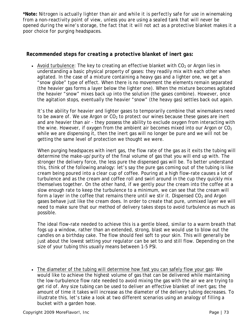**\*Note:** *Nitrogen is actually lighter than air and while it is perfectly safe for use in winemaking from a non-reactivity point of view, unless you are using a sealed tank that will never be opened during the wine's storage, the fact that it will not act as a protective blanket makes it a poor choice for purging headspaces.*

## *Recommended steps for creating a protective blanket of inert gas:*

• Avoid turbulence: The key to creating an effective blanket with  $CO<sub>2</sub>$  or Argon lies in understanding a basic physical property of gases: they readily mix with each other when agitated. In the case of a mixture containing a heavy gas and a lighter one, we get a "snow globe" type of effect. When there is no movement the elements remain separated (the heavier gas forms a layer below the lighter one). When the mixture becomes agitated the heavier "snow" mixes back up into the solution (the gases combine). However, once the agitation stops, eventually the heavier "snow" (the heavy gas) settles back out again.

It's the ability for heavier and lighter gases to temporarily combine that winemakers need to be aware of. We use Argon or  $CO<sub>2</sub>$  to protect our wines because these gases are inert and are heavier than air - they possess the ability to exclude oxygen from interacting with the wine. However, if oxygen from the ambient air becomes mixed into our Argon or  $CO<sub>2</sub>$ while we are dispensing it, then the inert gas will no longer be pure and we will not be getting the same level of protection we thought we were.

When purging headspaces with inert gas, the flow rate of the gas as it exits the tubing will determine the make-up/purity of the final volume of gas that you will end up with. The stronger the delivery force, the less pure the dispensed gas will be. To better understand this, think of the following analogy: let's say the pure gas coming out of the tubing is like cream being poured into a clear cup of coffee. Pouring at a high flow-rate causes a lot of turbulence and as the cream and coffee roll and swirl around in the cup they quickly mix themselves together. On the other hand, if we gently pour the cream into the coffee at a slow enough rate to keep the turbulence to a minimum, we can see that the cream will form a layer in the coffee that remains there until we stir it. Dispensed  $CO<sub>2</sub>$  and Argon gases behave just like the cream does. In order to create that pure, unmixed layer we will need to make sure that our method of delivery takes steps to avoid turbulence as much as possible.

The ideal flow-rate needed to achieve this is a gentle bleed, similar to a warm breath that fogs up a window, rather than an extended, strong, blast we would use to blow out the candles on a birthday cake. The flow should feel soft to your skin. This will generally be just about the lowest setting your regulator can be set to and still flow. Depending on the size of your tubing this usually means between 1-5 PSI.

• The diameter of the tubing will determine how fast you can safely flow your gas: We would like to achieve the highest volume of gas that can be delivered while maintaining the low-turbulence flow rate needed to avoid mixing the gas with the air we are trying to get rid of. Any size tubing can be used to deliver an effective blanket of inert gas; the amount of time it takes will increase as the diameter of the delivery tubing decreases. To illustrate this, let's take a look at two different scenarios using an analogy of filling a bucket with a garden hose.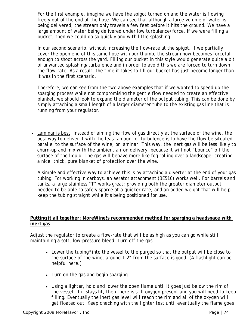For the first example, imagine we have the spigot turned on and the water is flowing freely out of the end of the hose. We can see that although a large volume of water is being delivered, the stream only travels a few feet before it hits the ground. We have a large amount of water being delivered under low turbulence/force. If we were filling a bucket, then we could do so quickly and with little splashing.

In our second scenario, without increasing the flow-rate at the spigot, if we partially cover the open end of this same hose with our thumb, the stream now becomes forceful enough to shoot across the yard. Filling our bucket in this style would generate quite a bit of unwanted splashing/turbulence and in order to avoid this we are forced to turn down the flow-rate. As a result, the time it takes to fill our bucket has just become longer than it was in the first scenario.

Therefore, we can see from the two above examples that if we wanted to speed up the sparging process while not compromising the gentle flow needed to create an effective blanket, we should look to expand the diameter of the output tubing. This can be done by simply attaching a small length of a larger diameter tube to the existing gas line that is running from your regulator.

• Laminar is best: Instead of aiming the flow of gas directly at the surface of the wine, the best way to deliver it with the least amount of turbulence is to have the flow be situated parallel to the surface of the wine, or *laminar*. This way, the inert gas will be less likely to churn-up and mix with the ambient air on delivery, because it will not "bounce" off the surface of the liquid. The gas will behave more like fog rolling over a landscape- creating a nice, thick, pure blanket of protection over the wine.

A simple and effective way to achieve this is by attaching a diverter at the end of your gas tubing. For working in carboys, an aerator attachment (BE510) works well. For barrels and tanks, a large stainless "T" works great: providing both the greater diameter output needed to be able to safely sparge at a quicker rate, and an added weight that will help keep the tubing straight while it's being positioned for use.

#### **Putting it all together:** *MoreWine!s* **recommended method for sparging a headspace with inert gas**

Adjust the regulator to create a flow-rate that will be as high as you can go while still maintaining a soft, low-pressure bleed. Turn off the gas.

- Lower the tubing<sup>\*</sup> into the vessel to the purged so that the output will be close to the surface of the wine, around 1-2" from the surface is good. (A flashlight can be helpful here.)
- Turn on the gas and begin sparging
- Using a lighter, hold and lower the open flame until it goes just below the rim of the vessel. If it stays lit, then there is still oxygen present and you will need to keep filling. Eventually the inert gas level will reach the rim and all of the oxygen will get floated out. Keep checking with the lighter test until eventually the flame goes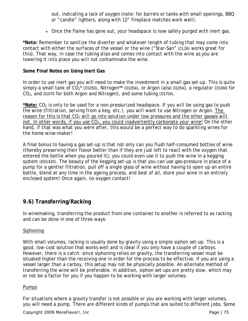out, indicating a lack of oxygen (note: for barrels or tanks with small openings, BBQ or "candle" lighters, along with 12" fireplace matches work well).

• Once the flame has gone out, your headspace is now safely purged with inert gas.

*\*Note: Remember to sanitize the diverter and whatever length of tubing that may come into contact with either the surfaces of the vessel or the wine ("Star-San" (CL26) works great for this). That way, in case the tubing slips and comes into contact with the wine as you are lowering it into place you will not contaminate the wine.*

#### **Some Final Notes on Using Inert Gas**

In order to use inert gas you will need to make the investment in a small gas set-up. This is quite simply a small tank of  $CO_2^*$  (D1050), Nitrogen<sup>\*\*</sup> (D1054), or Argon (also D1054), a regulator (D1060 for  $CO<sub>2</sub>$ , and D1070 for both Argon and Nitrogen), and some tubing (D1704).

**\*Note:** *CO*<sup>2</sup> *is only to be used for a non-pressurized headspace. If you will be using gas to push the wine (filtration, serving from a keg, etc.), you will want to use Nitrogen or Argon. The reason for this is that CO<sub>2</sub> will go into solution under low pressures and the other gasses will not. In other words, if you use CO*2*, you could inadvertently carbonate your wine! On the other hand, if that was what you were after, this would be a perfect way to do sparkling wines for the home wine-maker!*

A final bonus to having a gas set-up is that not only can you flush half-consumed bottles of wine (thereby preserving their flavor better than if they are just left to react with the oxygen that entered the bottle when you poured it); you could even use it to push the wine in a kegging system (KEG420). The beauty of the kegging set-up is that you can use gas-pressure in place of a pump for a gentler filtration, pull off a single glass of wine without having to open up an entire bottle, blend at any time in the ageing process, and best of all, store your wine in an entirely enclosed system! Once again, no oxygen contact!

## **9.6) Transferring/Racking**

In winemaking, transferring the product from one container to another is referred to as *racking* and can be done in one of three ways:

## Siphoning

With small volumes, racking is usually done by gravity using a simple siphon set-up. This is a good, low-cost solution that works well and is ideal if you only have a couple of carboys. However, there is a catch: since siphoning relies on gravity, the transferring vessel must be situated higher than the receiving one in order for the process to be effective. If you are using a vessel larger than a carboy, this setup may not be physically possible. An alternate method of transferring the wine will be preferable. In addition, siphon set-ups are pretty slow, which may or not be a factor for you if you happen to be working with larger volumes.

#### Pumps

For situations where a gravity transfer is not possible or you are working with larger volumes, you will need a pump. There are different kinds of pumps that are suited to different jobs. Some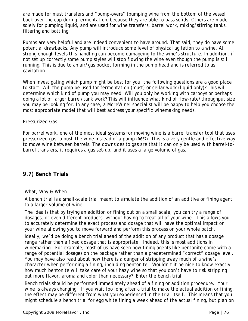are made for must transfers and "pump-overs" (pumping wine from the bottom of the vessel back over the cap during fermentation) because they are able to pass solids. Others are made solely for pumping liquid, and are used for wine transfers, barrel work, mixing/stirring tanks, filtering and bottling.

Pumps are very helpful and are indeed convenient to have around. That said, they do have some potential drawbacks. Any pump will introduce some level of physical agitation to a wine. At strong enough levels this handling can become damageing to the wine's structure. In addition, if not set up correctly some pump styles will stop flowing the wine even though the pump is still running. This is due to an air/gas pocket forming in the pump head and is referred to as *cavitation*.

When investigating which pump might be best for you, the following questions are a good place to start: Will the pump be used for fermentation (must) or cellar work (liquid only)? This will determine which kind of pump you may need. Will you only be working with carboys or perhaps doing a lot of larger barrel/tank work? This will influence what kind of flow-rate/throughput size you may be looking for. In any case, a *MoreWine!* specialist will be happy to help you choose the most appropriate model that will best address your specific winemaking needs.

#### Pressurized Gas

For barrel work, one of the most ideal systems for moving wine is a barrel transfer tool that uses pressurized gas to push the wine instead of a pump (R657). This is a very gentle and effective way to move wine between barrels. The downsides to gas are that it can only be used with barrel-tobarrel transfers, it requires a gas set-up, and it uses a large volume of gas.

## **9.7) Bench Trials**

## What, Why & When

A bench trial is a small-scale trial meant to simulate the addition of an additive or fining agent to a larger volume of wine.

The idea is that by trying an addition or fining out on a small scale, you can try a range of dosages, or even different products, without having to treat all of your wine. This allows you to accurately determine the exact process and dosage that will have the optimal impact on your wine allowing you to move forward and perform this process on your whole batch.

Ideally, we'd be doing a bench trial ahead of the addition of any product that has a dosage *range* rather than a fixed dosage that is appropriate. Indeed, this is most additions in winemaking. For example, most of us have seen how fining agents like bentonite come with a range of potential dosages on the package rather than a predetermined "correct" dosage level. You may have also read about how there is a danger of stripping away much of a wine's character when performing a fining, including bentonite. Wouldn't it be nice to know exactly how much bentonite will take care of your hazy wine so that you don't have to risk stripping out more flavor, aroma and color than necessary? Enter the bench trial.

Bench trials should be performed immediately ahead of a fining or addition procedure. Your wine is always changing. If you wait too long after a trial to make the actual addition or fining, the effect may be different from what you experienced in the trial itself. This means that you might schedule a bench trial for egg white fining a week ahead of the actual fining, but plan on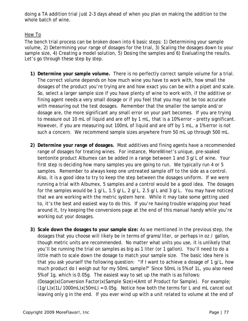doing a TA addition trial just 2-3 days ahead of when you plan on making the addition to the whole batch of wine.

## How To

The bench trial process can be broken down into 6 basic steps: 1) Determining your sample volume, 2) Determining your range of dosages for the trial, 3) Scaling the dosages down to your sample size, 4) Creating a model solution, 5) Dosing the samples and 6) Evaluating the results. Let's go through these step by step.

- **1) Determine your sample volume.** There is no perfectly correct sample volume for a trial. The correct volume depends on how much wine you have to work with, how small the dosages of the product you're trying are and how exact you can be with a pipet and scale. So, select a larger sample size if you have plenty of wine to work with, if the additive or fining agent needs a very small dosage or if you feel that you may not be too accurate with measuring out the test dosages. Remember that the smaller the sample and/or dosage are, the more significant any small error on your part becomes. If you are trying to measure out 10 mL of liquid and are off by 1 mL, that is a 10% error – pretty significant. However, if you are measuring out 100mL of liquid and are off by 1 mL, a 1% error is not such a concern. We recommend sample sizes anywhere from 50 mL up through 500 mL.
- **2) Determine your range of dosages.** Most additives and fining agents have a recommended range of dosages for treating wines.For instance, *MoreWine!*'s unique, pre-soaked bentonite product Albumex can be added in a range between 1 and 3 g/L of wine. Your first step is deciding how many samples you are going to run. We typically run 4 or 5 samples. Remember to always keep one untreated sample off to the side as a control. Also, it is a good idea to try to keep the step between the dosages uniform. If we were running a trial with Albumex, 5 samples and a control would be a good idea. The dosages for the samples would be 1 g/L, 1.5 g/L, 2 g/L, 2.5 g/L and 3 g/L. You may have noticed that we are working with the metric system here. While it may take some getting used to, it's the best and easiest way to do this. If you're having trouble wrapping your head around it, try keeping the conversions page at the end of this manual handy while you're working out your dosages.
- **3) Scale down the dosages to your sample size:** As we mentioned in the previous step, the dosages that you choose will likely be in terms of grams/liter, or perhaps in oz / gallon, though metric units are recommended. No matter what units you use, it is unlikely that you'll be running the trial on samples as big as 1 liter (or 1 gallon). You'll need to do a little math to scale down the dosage to match your sample size. The basic idea here is that you ask yourself the following question: "If I want to achieve a dosage of 1 g/L, how much product do I weigh out for my 50mL sample?" Since 50mL is 5% of 1L, you also need 5% of 1g, which is 0.05g. The easiest way to set up the math is as follows: (Dosage)x(Conversion Factor)x(Sample Size)=(Amt of Product for Sample). For example;  $(1g/L)x(1L/1000mL)x(50mL) = 0.05g$ . Notice how both the terms for L and mL cancel out leaving only g in the end. If you ever wind up with a unit related to volume at the end of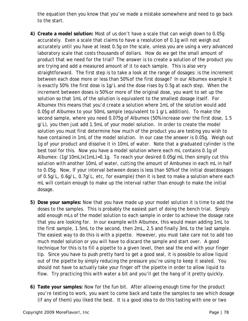the equation then you know that you've made a mistake somewhere and need to go back to the start.

- **4) Create a model solution:** Most of us don't have a scale that can weigh down to 0.05g accurately. Even a scale that claims to have a resolution of 0.1g will not weigh out accurately until you have at least 0.5g on the scale, unless you are using a very advanced laboratory scale that costs thousands of dollars. How do we get the small amount of product that we need for the trial? The answer is to create a solution of the product you are trying and add a measured amount of it to each sample. This is also very straightforward. The first step is to take a look at the range of dosages: is the increment between each dose more or less than 50% of the first dosage? In our Albumex example it is exactly 50%: the first dose is 1g/L and the dose rises by 0.5g at each step. When the increment between doses is 50% or more of the original dose, you want to set up the solution so that 1mL of the solution is equivalent to the smallest dosage itself. For Albumex this means that you'd create a solution where 1mL of the solution would add 0.05g of Albumex to your 50mL sample (equivalent to 1 g/L addition). To make the second sample, where you need 0.075g of Albumex (50% increase over the first dose, 1.5 g/L), you then just add 1.5mL of your model solution. In order to create the model solution you must first determine how much of the product you are testing you wish to have contained in 1mL of the model solution. In our case the answer is 0.05g. Weigh out 1g of your product and dissolve it in 10mL of water. Note that a graduated cylinder is the best tool for this. Now you have a model solution where each mL contains 0.1g of Albumex: (1g/10mL)x(1mL)=0.1g. To reach your desired 0.05g/mL then simply cut this solution with another 10mL of water, cutting the amount of Ambumex in each mL in half to 0.05g. Now, If your interval between doses is less than 50% of the initial dose(dosages of 0.5g/L, 0.6g/L, 0.7g/L, etc, for example) then it is best to make a solution where each mL will contain enough to make up the interval rather than enough to make the initial dosage.
- **5) Dose your samples:** Now that you have made up your model solution it is time to add the doses to the samples. This is probably the easiest part of doing the bench trial. Simply add enough mLs of the model solution to each sample in order to achieve the dosage rate that you are looking for. In our example with Albumex, this would mean adding 1mL to the first sample, 1.5mL to the second, then 2mL, 2.5 and finally 3mL to the last sample. The easiest way to do this is with a pipette. However, you must take care not to add too much model solution or you will have to discard the sample and start over. A good technique for this is to fill a pipette to a given level, then seal the end with your finger tip. Since you have to push pretty hard to get a good seal, it is possible to allow liquid out of the pipette by simply reducing the pressure you're using to keep it sealed. You should not have to actually take your finger off the pipette in order to allow liquid to flow. Try practicing this with water a bit and you'll get the hang of it pretty quickly.
- **6) Taste your samples:** Now for the fun bit. After allowing enough time for the product you're testing to work, you want to come back and taste the samples to see which dosage (if any of them) you liked the best. It is a good idea to do this tasting with one or two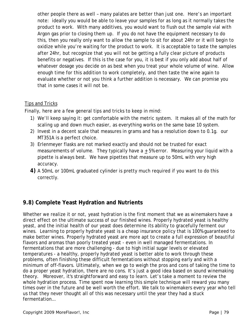other people there as well – many palates are better than just one. Here's an important note: ideally you would be able to leave your samples for as long as it normally takes the product to work. With many additives, you would want to flush out the sample vial with Argon gas prior to closing them up. If you do not have the equipment necessary to do this, then you really only want to allow the sample to sit for about 24hr or it will begin to oxidize while you're waiting for the product to work. It is acceptable to taste the samples after 24hr, but recognize that you will not be getting a fully clear picture of products benefits or negatives. If this is the case for you, it is best if you only add about half of whatever dosage you decide on as best when you treat your whole volume of wine. Allow enough time for this addition to work completely, and then taste the wine again to evaluate whether or not you think a further addition is necessary. We can promise you that in some cases it will not be.

## Tips and Tricks

Finally, here are a few general tips and tricks to keep in mind:

- 1) We'll keep saying it: get comfortable with the metric system. It makes all of the math for scaling up and down much easier, as everything works on the same base 10 system.
- 2) Invest in a decent scale that measures in grams and has a resolution down to 0.1g. our MT351A is a perfect choice.
- 3) Erlenmeyer flasks are not marked exactly and should not be trusted for exact measurements of volume. They typically have  $a + 5%$  error. Measuring your liquid with a pipette is always best. We have pipettes that measure up to 50mL with very high accuracy.
- **4)** A 50mL or 100mL graduated cylinder is pretty much required if you want to do this correctly.

# **9.8) Complete Yeast Hydration and Nutrients**

Whether we realize it or not, yeast hydration is the first moment that we as winemakers have a direct effect on the ultimate success of our finished wines. Properly hydrated yeast is healthy yeast, and the initial health of our yeast does determine its ability to gracefully ferment our wines. Learning to properly hydrate yeast is a cheap insurance policy that is 100% guaranteed to make better wines. Properly hydrated yeast are more apt to create a full expression of beautiful flavors and aromas than poorly treated yeast - even in well managed fermentations. In fermentations that are more challenging - due to high initial sugar levels or elevated temperatures - a healthy, properly hydrated yeast is better able to work through these problems, often finishing these difficult fermentations without stopping early and with a minimum of off-flavors. Ultimately, when we go to weigh the pros and cons of taking the time to do a proper yeast hydration, there are no cons. It's just a good idea based on sound winemaking theory. Moreover, it's straightforward and easy to learn. Let's take a moment to review the whole hydration process. Time spent now learning this simple technique will reward you many times over in the future and be well worth the effort. We talk to winemakers every year who tell us that they never thought all of this was necessary until the year they had a stuck fermentation…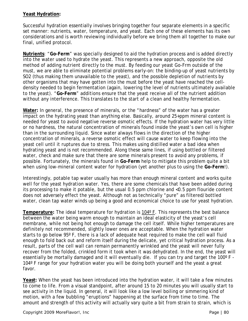#### **Yeast Hydration:**

Successful hydration essentially involves bringing together four separate elements in a specific set manner: nutrients, water, temperature, and yeast. Each one of these elements has its own considerations and is worth reviewing individually before we bring them all together to make our final, unified protocol.

**Nutrients**: "**Go-Ferm**" was specially designed to aid the hydration process and is added directly into the water used to hydrate the yeast. This represents a new approach, opposite the old method of adding nutrient directly to the must. By feeding our yeast Go-Frm outside of the must, we are able to eliminate potential problems early-on: the binding-up of yeast nutrients by SO2 (thus making them unavailable to the yeast), and the possible depletion of nutrients by other organisms that may have gotten into the must before the yeast have reached the celldensity needed to begin fermentation (again, lowering the level of nutrients ultimately available to the yeast). "**Go-Ferm**" additions ensure that the yeast receive all of the nutrient addition without any interference. This translates to the start of a clean and healthy fermentation.

**Water:** In general, the presence of minerals, or the "hardness" of the water has a greater impact on the hydrating yeast than anything else. Basically, around 25+ppm mineral content is needed for yeast to avoid negative reverse osmotic effects. If the hydration water has very little or no hardness, the natural concentration of minerals found inside the yeast's own cell is higher than in the surrounding liquid. Since water always flows in the direction of the higher concentration of minerals, a reverse osmotic effect will cause water to keep flowing into the yeast cell until it ruptures due to stress. This makes using distilled water a bad idea when hydrating yeast and is not recommended. Along these same lines, if using bottled or filtered water, check and make sure that there are some minerals present to avoid any problems, if possible. Fortunately, the minerals found in **Go-Ferm** help to mitigate this problem quite a bit when using low-mineral content water for hydration (yet another plus to using the **Go-Ferm**!).

Interestingly, potable tap water usually has more than enough mineral content and works quite well for the yeast hydration water. Yes, there are some chemicals that have been added during its processing to make it potable, but the usual 0.5 ppm chlorine and <0.5 ppm flouride content does not adversely effect the yeast. Although not as technically "pure" as filtered/bottled water, clean tap water winds up being a good and economical choice to use for yeast hydration.

**Temperature:** The ideal temperature for hydration is 104º F. This represents the best balance between the water being warm enough to maintain an ideal elasticity of the yeast's cell membrane, while not being hot enough to damage the cell itself. While higher temperatures are definitely not recommended, slightly lower ones are acceptable. When the hydration water starts to go below 95º F, there is a lack of adequate heat required to make the cell wall fluid enough to fold back out and reform itself during the delicate, yet critical hydration process. As a result, parts of the cell wall can remain permanently wrinkled and the yeast will never fully recover from the folded, crinkled form it took when it was dehydrated. In the end, the yeast will essentially be mortally damaged and it will eventually die. If you can try and target the 100º F - 104º F range for your hydration water you will be doing both yourself and the yeast a great favor.

**Yeast:** When the yeast has been introduced into the hydration water, it will take a few minutes to come to life. From a visual standpoint, after around 15 to 20 minutes you will usually start to see activity in the liquid. In general, it will look like a low level boiling or simmering kind of motion, with a few bubbling "eruptions" happening at the surface from time to time. The amount and strength of this activity will actually vary quite a bit from strain to strain, which is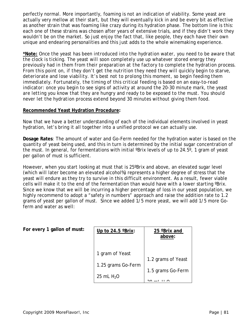perfectly normal. More importantly, foaming is not an indication of viability. Some yeast are actually very mellow at their start, but they will eventually kick in and be every bit as effective as another strain that was foaming like crazy during its hydration phase. The bottom line is this: each one of these strains was chosen after years of extensive trials, and if they didn't work they wouldn't be on the market. So just enjoy the fact that, like people, they each have their own unique and endearing personalities and this just adds to the whole winemaking experience.

**\*Note:** *Once the yeast has been introduced into the hydration water, you need to be aware that the clock is ticking. The yeast will soon completely use up whatever stored energy they previously had in them from their preparation at the factory to complete the hydration process. From this point on, if they don't get the nutrition they need they will quickly begin to starve, deteriorate and lose viability. It's best not to prolong this moment, so begin feeding them immediately. Fortunately, the timing of this critical feeding is based on an easy-to-read indicator: once you begin to see signs of activity at around the 20-30 minute mark, the yeast are letting you know that they are hungry and ready to be exposed to the must. You should never let the hydration process extend beyond 30 minutes without giving them food.*

#### **Recommended Yeast Hydration Procedure:**

Now that we have a better understanding of each of the individual elements involved in yeast hydration, let's bring it all together into a unified protocol we can actually use.

**Dosage Rates**: The amount of water and Go-Ferm needed for the hydration water is based on the quantity of yeast being used, and this in turn is determined by the initial sugar concentration of the must. In general, for fermentations with initial ºBrix levels of up to 24.5º, 1 gram of yeast per gallon of must is sufficient.

However, when you start looking at must that is 25ºBrix and above, an elevated sugar level (which will later become an elevated alcohol%) represents a higher degree of stress that the yeast will endure as they try to survive in this difficult environment. As a result, fewer viable cells will make it to the end of the fermentation than would have with a lower starting ºBrix. Since we know that we will be incurring a higher percentage of loss in our yeast population, we highly recommend to adopt a "safety in numbers" approach and raise the addition rate to 1.2 grams of yeast per gallon of must. Since we added 1/5 more yeast, we will add 1/5 more Goferm and water as well:

**For every 1 gallon of must:** 

| Up to $24.5$ $\textdegree$ Brix: | 25 °Brix and<br>above: |
|----------------------------------|------------------------|
|                                  |                        |
| 1 gram of Yeast                  | 1.2 grams of Yeast     |
| 1.25 grams Go-Ferm               |                        |
| 25 mL $H2O$                      | 1.5 grams Go-Ferm      |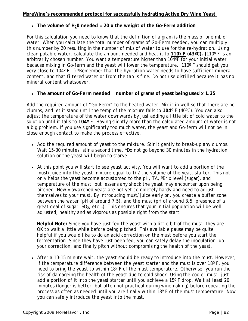#### **MoreWine's recommended protocol for successfully hydrating Active Dry Wine Yeast**

#### • **The volume of H20 needed = 20 x the weight of the Go-Ferm addition**

For this calculation you need to know that the definition of a gram is the mass of one mL of water. When you calculate the total number of grams of Go-Ferm needed, you can multiply this number by 20 resulting in the number of mLs of water to use for the re-hydration. Using clean potable water, calculate the amount needed and heat it to **110º F (43ºC). (**110º F is an arbitrarily chosen number. You want a temperature higher than 104ºF for your initial water because mixing in Go-ferm and the yeast will lower the temperature. 110º F should get you very close to 104º F. ) *\*Remember that the hydration water needs to have sufficient mineral content, and that filtered water or from the tap is fine. Do not use distilled because it has no mineral content whatsoever.* 

## • **The amount of Go-Ferm needed = number of grams of yeast being used x 1.25**

Add the required amount of "Go-Ferm" to the heated water. Mix it in well so that there are no clumps, and let it stand until the temp of the mixture falls to **104º** F (40ºC). You can also adjust the temperature of the water downwards by just adding a little bit of cold water to the solution until it falls to **104º** F. Having slightly more than the calculated amount of water is not a big problem. If you use significantly too much water, the yeast and Go-ferm will not be in close enough contact to make the process effective.

- Add the required amount of yeast to the mixture. Stir it gently to break-up any clumps. Wait 15-30 minutes, stir a second time. *\*Do not go beyond 30 minutes in the hydration solution or the yeast will begin to starve.*
- At this point you will start to see yeast activity. You will want to add a portion of the must/juice into the yeast mixture equal to 1/2 the volume of the yeast starter. This not only helps the yeast become accustomed to the pH, TA, ºBrix level (sugar), and temperature of the must, but lessens any shock the yeast may encounter upon being pitched. Newly awakened yeast are not yet completely hardy and need to adjust themselves to your must. By introducing must/juice early on, you create a buffer zone between the water (pH of around 7.5), and the must (pH of around 3.5, presence of a great deal of sugar,  $SO_2$ , etc...). This ensures that your initial population will be well adjusted, healthy and as vigorous as possible right from the start.

 **Helpful Note:** Since you have just fed the yeast with a little bit of the must, they are OK to wait a little while before being pitched. This available pause may be quite helpful if you would like to do an acid correction on the must before you start the fermentation. Since they have just been fed, you can safely delay the inoculation, do your correction, and finally pitch without compromising the health of the yeast.

• After a 10-15 minute wait, the yeast should be ready to introduce into the must. However, if the temperature difference between the yeast starter and the must is over  $18^{\circ}$  F, you need to bring the yeast to within 18º F of the must temperature. Otherwise, you run the risk of damageing the health of the yeast due to cold shock. Using the cooler must, just add a portion of it into the yeast starter until you achieve a 15º F drop. Wait at least 20 minutes (longer is better, but often not practical during winemaking) before repeating the process as often as needed until you are finally within 18º F of the must temperature. Now you can safely introduce the yeast into the must.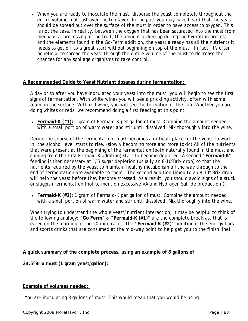• When you are ready to inoculate the must, disperse the yeast completely throughout the entire volume, not just over the top layer. In the past you may have heard that the yeast should be spread out over the surface of the must in order to have access to oxygen. This is not the case. In reality, between the oxygen that has been saturated into the must from mechanical processing of the fruit, the amount picked up during the hydration process, and the elements found in the Go-Ferm addition, the yeast already has all the nutrients it needs to get off to a great start without beginning on top of the must. In fact, it's often beneficial to spread the yeast through the entire volume of the must to decrease the chances for any spoilage organisms to take control.

#### **A Recommended Guide to Yeast Nutrient dosages during fermentation:**

A day or so after you have inoculated your yeast into the must, you will begin to see the first signs of fermentation. With white wines you will see a prickling activity, often with some foam on the surface. With red wine, you will see the formation of the cap. Whether you are doing whites or reds, we recommend doing a first feeding at this point.

• **Fermaid-K (#1):** 1 gram of Fermaid-K per gallon of must. Combine the amount needed with a small portion of warm water and stir until dissolved. Mix thoroughly into the wine.

During the course of the fermentation, must becomes a difficult place for the yeast to work in: the alcohol level starts to rise. (slowly becoming more and more toxic) All of the nutrients that were present at the beginning of the fermentation (both naturally found in the must and coming from the first Fermaid-K addition) start to become depleted. A second "**Fermaid-K**" feeding is then necessary at 1/3 sugar depletion (usually an 8-10ºBrix drop) so that the nutrients required by the yeast to maintain healthy metabolism all the way through to the end of fermentation are available to them. The second addition timed to an 8-10º Brix drop will help the yeast before they become stressed. As a result, you should avoid signs of a stuck or sluggish fermentation (not to mention excessive VA and Hydrogen Sulfide production!).

• **Fermaid-K (#2):** 1 gram of Fermaid-K per gallon of must. Combine the amount needed with a small portion of warm water and stir until dissolved. Mix thoroughly into the wine.

When trying to understand the whole yeast/nutrient interaction, it may be helpful to think of the following analogy: "**Go Ferm**" & "**Fermaid-K (#1)**" are the complete breakfast that is eaten on the morning of the 20-mile race. The "**Fermaid-K (#2)**" addition is the energy bars and sports drinks that are consumed at the mid-way point to help get you to the finish line!

**A quick summary of the complete process, using an example of 8 gallons of** 

**24.5ºBrix must (1 gram yeast/gallon):**

#### **Example of volumes needed:**

-You are inoculating 8 gallons of must. This would mean that you would be using: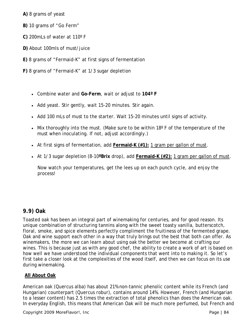**A)** 8 grams of yeast

- **B)** 10 grams of "Go Ferm"
- **C)** 200mLs of water at 110º F
- **D)** About 100mls of must/juice
- **E)** 8 grams of "Fermaid-K" at first signs of fermentation
- **F)** 8 grams of "Fermaid-K" at 1/3 sugar depletion
	- Combine water and **Go-Ferm**, wait or adjust to **104º F**
	- Add yeast. Stir gently, wait 15-20 minutes. Stir again.
	- Add 100 mLs of must to the starter. Wait 15-20 minutes until signs of activity.
	- Mix thoroughly into the must. (Make sure to be within 18° F of the temperature of the must when inoculating. If not, adjust accordingly.)
	- At first signs of fermentation, add **Fermaid-K (#1):** 1 gram per gallon of must.
	- At 1/3 sugar depletion (8-10**ºBrix** drop), add **Fermaid-K (#2):** 1 gram per gallon of must.

Now watch your temperatures, get the lees up on each punch cycle, and enjoy the process!

## **9.9) Oak**

Toasted oak has been an integral part of winemaking for centuries, and for good reason. Its unique combination of structuring tannins along with the sweet toasty vanilla, butterscotch, floral, smoke, and spice elements perfectly compliment the fruitiness of the fermented grape. Oak and wine support each other in a way that truly brings out the best that both can offer. As winemakers, the more we can learn about using oak the better we become at crafting our wines. This is because just as with any good chef, the ability to create a work of art is based on how well we have understood the individual components that went into to making it. So let's first take a closer look at the complexities of the wood itself, and then we can focus on its use during winemaking.

## **All About Oak**

American oak (*Quercus alba*) has about 21% non-tannic phenolic content while its French (and Hungarian) counterpart (*Quercus robur*), contains around 14%. However, French (and Hungarian to a lesser content) has 2.5 times the extraction of total phenolics than does the American oak. In everyday English, this means that American Oak will be much more perfumed, but French and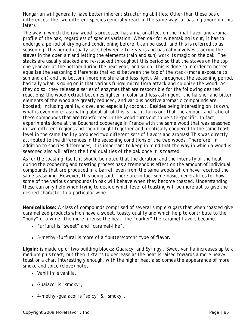Hungarian will generally have better inherent structuring abilities. Other than these basic differences, the two different species generally react in the same way to toasting (more on this later).

The way in which the raw wood is processed has a major affect on the final flavor and aroma profile of the oak, regardless of species variation. When oak for winemaking is cut, it has to undergo a period of drying and conditioning before it can be used, and this is referred to as *seasoning*. This period usually lasts between 2 to 3 years and basically involves stacking the staves in the open air and letting the elements (rain and sun) work its magic on the oak. The stacks are usually stacked and re-stacked throughout this period so that the staves on the top one year are at the bottom during the next year, and so on. This is done to in order to better equalize the seasoning differences that exist between the top of the stack (more exposure to sun and air) and the bottom (more moisture and less light). All throughout the seasoning period, basically what is going on is that various fungal micro flora attack and colonize the wood. As they do so, they release a series of enzymes that are responsible for the following desired reactions: the wood extract becomes lighter in color and less astringent, the harsher and bitter elements of the wood are greatly reduced, and various positive aromatic compounds are boosted; including vanilla, clove, and especially coconut. Besides being interesting on its own, what is even more fascinating about all of this is that it turns out that the amount and ratio of these compounds that are transformed in the wood turns out to be site-specific. In fact, experiments done at the Bouchard cooperage in France with the same wood that was seasoned in two different regions and then brought together and identically coopered to the same toast level in the same facility produced two different sets of flavors and aromas! This was directly attributed to the differences in the seasoning conditions of the two woods. Therefore, in addition to species differences, it is important to keep in mind that the way in which a wood is seasoned also will affect the final qualities of the oak once it is toasted.

As for the toasting itself, it should be noted that the duration and the intensity of the heat during the coopering and toasting process has a tremendous effect on the amount of individual compounds that are produced in a barrel, even from the same woods which have received the same seasoning. However, this being said, there are in fact some basic, generalities for how some of the various compounds in oak will behave when they become toasted. Understanding these can only help when trying to decide which level of toasting will be more apt to give the desired character to a particular wine:

**Hemicellulose:** A class of compounds comprised of several simple sugars that when toasted give caramelized products which have a sweet, toasty quality and which help to contribute to the "body" of a wine. The more intense the heat, the "darker" the caramel flavors become.

- *Furfural* is "sweet" and "caramel-like",
- *5-methyl-furfural* is more of a "butterscotch" type of flavor.

**Lignin:** is made up of two building blocks: *Guaiacyl* and *Syringyl*. Sweet vanilla increases up to a medium plus toast, but then it starts to decrease as the heat is raised towards a more heavy toast or a char. Interestingly enough, with the higher heat also comes the appearance of more smoke and spice (clove) notes.

- *Vanillin* is vanilla,
- *Guaiacol* is "smoky",
- *4-methyl-guaiacol* is "spicy" & "smoky",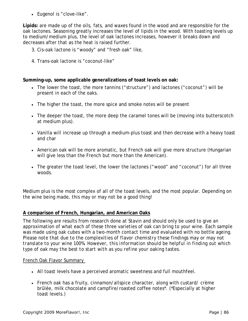• *Eugenol* is "clove-like".

**Lipids:** are made up of the oils, fats, and waxes found in the wood and are responsible for the oak lactones. Seasoning greatly increases the level of lipids in the wood. With toasting levels up to medium/medium plus, the level of oak lactones increases, however it breaks down and decreases after that as the heat is raised further.

- 3. *Cis-oak lactone* is "woody" and "fresh oak" like,
- 4. *Trans-oak lactone* is "coconut-like"

#### **Summing-up, some applicable generalizations of toast levels on oak:**

- The lower the toast, the more tannins ("structure") and lactones ("coconut") will be present in each of the oaks.
- The higher the toast, the more spice and smoke notes will be present
- The deeper the toast, the more deep the caramel tones will be (moving into butterscotch at medium plus).
- Vanilla will increase up through a medium-plus toast and then decrease with a heavy toast and char
- American oak will be more aromatic, but French oak will give more structure (Hungarian will give less than the French but more than the American).
- The greater the toast level, the lower the lactones ("wood" and "coconut") for all three woods.

Medium plus is the most complex of all of the toast levels, and the most popular. Depending on the wine being made, this may or may not be a good thing!

#### **A comparison of French, Hungarian, and American Oaks**

The following are results from research done at Stavin and should only be used to give an approximation of what each of these three varieties of oak can bring to your wine. Each sample was made using oak cubes with a two-month contact time and evaluated with no bottle ageing. *Please note that due to the complexities of flavor chemistry these findings may or may not translate to your wine 100%. However, this information should be helpful in finding out which type of oak may the best to start with as you refine your oaking tastes.*

#### French Oak Flavor Summary

- All toast levels have a perceived aromatic sweetness and full mouthfeel.
- French oak has a fruity, cinnamon/allspice character, along with custard/ crème brûlée, milk chocolate and campfire/roasted coffee notes\*. (\*Especially at higher toast levels.)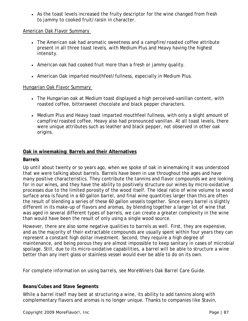• As the toast levels increased the fruity descriptor for the wine changed from fresh to jammy to cooked fruit/raisin in character.

#### American Oak Flavor Summary

- The American oak had aromatic sweetness and a campfire/roasted coffee attribute present in all three toast levels, with Medium Plus and Heavy having the highest intensity.
- American oak had cooked fruit more than a fresh or jammy quality.
- American Oak imparted mouthfeel/fullness, especially in Medium Plus.

#### Hungarian Oak Flavor Summary

- The Hungarian oak at Medium toast displayed a high perceived-vanillan content, with roasted coffee, bittersweet chocolate and black pepper characters.
- Medium Plus and Heavy toast imparted mouthfeel fullness, with only a slight amount of campfire/roasted coffee. Heavy also had pronounced vanillan. At all toast levels, there were unique attributes such as leather and black pepper, not observed in other oak origins.

## **Oak in winemaking: Barrels and their Alternatives**

#### **Barrels**

Up until about twenty or so years ago, when we spoke of oak in winemaking it was understood that we were talking about barrels. Barrels have been in use throughout the ages and have many positive characteristics. They contribute the tannins and flavor compounds we are looking for in our wines, and they have the ability to positively structure our wines by micro-oxidative processes due to the limited porosity of the wood itself. The ideal ratio of wine volume to wood surface area is found in a 60 gallon barrel, and final wine quantities larger than this are often the result of blending a series of these 60 gallon vessels together. Since every barrel is slightly different in its make-up of flavors and aromas, by blending together a larger lot of wine that was aged in several different types of barrels, we can create a greater complexity in the wine than would have been the result of only using a single wood source.

However, there are also some negative qualities to barrels as well. First, they are expensive, and as the majority of their extractable compounds are usually spent within four years they can represent a constant high dollar investment. Second, they require a high degree of maintenance, and being porous they are almost impossible to keep sanitary in cases of microbial spoilage. Still, due to its micro-oxidative capabilities, a barrel will be able to structure a wine better than any inert glass or stainless vessel would ever be able to do on its own.

*For complete information on using barrels, see MoreWine!s Oak Barrel Care Guide.*

## **Beans/Cubes and Stave Segments**

While a barrel itself may best at structuring a wine, its ability to add tannins along with complementary flavors and aromas is no longer unique. Thanks to companies like Stavin,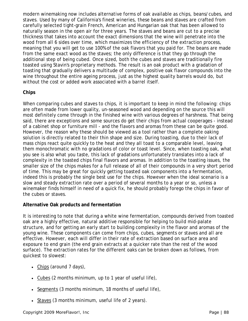modern winemaking now includes alternative forms of oak available as chips, beans/cubes, and staves. Used by many of California's finest wineries, these beans and staves are crafted from carefully selected tight-grain French, American and Hungarian oak that has been allowed to naturally season in the open air for three years. The staves and beans are cut to a precise thickness that takes into account the exact dimensions that the wine will penetrate into the wood from all 6 sides over time, which maximizes the efficiency of the extraction process, meaning that you will get to use 100% of the oak flavors that you paid for. The beans are made from the same exact wood as the staves; the only difference is that they go through the additional step of being cubed. Once sized, both the cubes and staves are traditionally fire toasted using Stavin's proprietary methods. The result is an oak product with a gradation of toasting that gradually delivers a multitude of complex, positive oak flavor compounds into the wine throughout the entire ageing process, just as the highest quality barrels would do, but without the cost or added work associated with a barrel itself.

## **Chips**

When comparing cubes and staves to chips, it is important to keep in mind the following: chips are often made from lower quality, un-seasoned wood and depending on the source this will most definitely come through in the finished wine with various degrees of harshness. That being said, there are exceptions and some sources do get their chips from actual cooperages - instead of a cabinet shop or furniture mill - and the flavors and aromas from these can be quite good. However, the reason why these should be viewed as a tool rather than a complete oaking solution is directly related to their thin shape and size. During toasting, due to their lack of mass chips react quite quickly to the heat and they all toast to a comparable level, leaving them monochromatic with no gradations of color or toast level. Since, when toasting oak, what you see is also what you taste, this lack of gradations unfortunately translates into a lack of complexity in the toasted chips final flavors and aromas. In addition to the toasting issues, the smaller size of the chips makes for a full release of all of their compounds in a very short period of time. This may be great for quickly getting toasted oak components into a fermentation, indeed this is probably the single best use for the chips. However when the ideal scenario is a slow and steady extraction rate over a period of several months to a year or so, unless a winemaker finds himself in need of a quick fix, he should probably forego the chips in favor of the cubes or staves.

## **Alternative Oak products and fermentation**

It is interesting to note that during a white wine fermentation, compounds derived from toasted oak are a highly effective, natural additive responsible for helping to build mid-palate structure, and for getting an early start to building complexity in the flavor and aromas of the young wine. These components can come from chips, cubes, segments or staves and all are effective. However, each will differ in their rate of extraction based on surface area and exposure to end grain (the end grain extracts at a quicker rate than the rest of the wood surface). The extraction rates for the different oaks can be broken down as follows, from quickest to slowest:

- Chips (around 7 days),
- Cubes (2 months minimum, up to 1 year of useful life),
- Segments (3 months minimum, 18 months of useful life),
- Staves (3 months minimum, useful life of 2 years).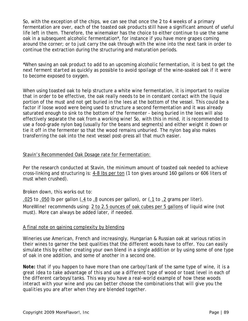So, with the exception of the chips, we can see that once the 2 to 4 weeks of a primary fermentation are over, each of the toasted oak products still have a significant amount of useful life left in them. Therefore, the winemaker has the choice to either continue to use the same oak in a subsequent alcoholic fermentation\*, for instance if you have more grapes coming around the corner; or to just carry the oak through with the wine into the next tank in order to continue the extraction during the structuring and maturation periods.

*\*When saving an oak product to add to an upcoming alcoholic fermentation, it is best to get the next ferment started as quickly as possible to avoid spoilage of the wine-soaked oak if it were to become exposed to oxygen.*

When using toasted oak to help structure a white wine fermentation, it is important to realize that in order to be effective, the oak really needs to be in constant contact with the liquid portion of the must and not get buried in the lees at the bottom of the vessel. This could be a factor if loose wood were being used to structure a second fermentation and it was already saturated enough to sink to the bottom of the fermenter - being buried in the lees will also effectively separate the oak from a working wine! So, with this in mind, it is recommended to use a food-grade nylon bag (usually for the beans and segments) and either weight it down or tie it off in the fermenter so that the wood remains unburied. The nylon bag also makes transferring the oak into the next vessel post-press all that much easier.

#### Stavin's Recommended Oak Dosage rate for Fermentation:

Per the research conducted at Stavin, the minimum amount of toasted oak needed to achieve cross-linking and structuring is: 4-8 lbs per ton (1 ton gives around 160 gallons or 606 liters of must when crushed).

Broken down, this works out to:

.025 to .050 lb per gallon (.4 to .8 ounces per gallon), or (.1 to .2 grams per liter).

*MoreWine!* recommends using: 2 to 2.5 ounces of oak cubes per 5 gallons of liquid wine (not must). More can always be added later, if needed.

## A final note on gaining complexity by blending

Wineries use American, French and increasingly, Hungarian & Russian oak at various ratios in their wines to garner the best qualities that the different woods have to offer. You can easily simulate this by either creating your own blend in a single addition or by using some of one type of oak in one addition, and some of another in a second one.

*Note: that if you happen to have more than one carboy/tank of the same type of wine, it is a great idea to take advantage of this and use a different type of wood or toast level in each of the different carboys/tanks. This way you have a real-world example of how these woods interact with your wine and you can better choose the combinations that will give you the qualities you are after when they are blended together.*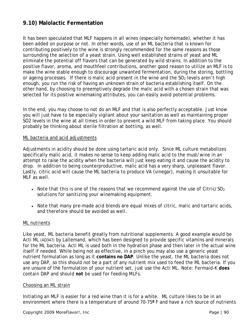## **9.10) Malolactic Fermentation**

It has been speculated that MLF happens in all wines (especially homemade), whether it has been added on purpose or not. In other words, use of an ML bacteria that is known for contributing positively to the wine is strongly recommended for the same reasons as those surrounding the selection of a yeast strain. Using well established strains of yeast and ML eliminate the potential off flavors that can be generated by wild strains. In addition to the positive flavor, aroma, and mouthfeel contributions, another good reason to utilize an MLF is to make the wine stable enough to discourage unwanted fermentation, during the storing, bottling or ageing processes. If there is malic acid present in the wine and the  $SO<sub>2</sub>$  levels aren't high enough, you run the risk of having an unknown strain of bacteria establishing itself. On the other hand, by choosing to preemptively degrade the malic acid with a chosen strain that was selected for its positive winemaking attributes, you can easily avoid potential problems.

In the end, you may choose to not do an MLF and that is also perfectly acceptable. Just know you will just have to be especially vigilant about your sanitation as well as maintaining proper SO2 levels in the wine at all times in order to prevent a wild MLF from taking place. You should probably be thinking about sterile filtration at bottling, as well.

#### ML bacteria and acid adjustments

Adjustments in acidity should be done using tartaric acid only. Since ML culture metabolizes specifically malic acid, it makes no sense to keep adding malic acid to the must/wine in an attempt to raise the acidity when the bacteria will just keep eating it and cause the acidity to drop. In addition to being counterproductive, malic acid has a very sharp, unpleasant flavor. Lastly, citric acid will cause the ML bacteria to produce VA (vinegar), making it unsuitable for MLF as well.

- *Note that this is one of the reasons that we recommend against the use of Citric/SO<sub>2</sub> solutions for sanitizing your winemaking equipment.*
- *Note that many pre-made acid blends are equal mixes of citric, malic and tartaric acids, and therefore should be avoided as well.*

#### ML nutrients

Like yeast, ML bacteria benefit greatly from nutritional supplements. A good example would be Acti ML (AD347) by Lallemand, which has been designed to provide specific vitamins and minerals for the ML bacteria. Acti ML is used both in the hydration phase and then later in the actual wine itself if needed. While being not as effective, in a pinch you may also use a generic yeast nutrient formulation as long as it **contains no DAP**. Unlike the yeast, the ML bacteria does not use any DAP, so this should not be a part of any nutrient mix used to feed the ML bacteria. If you are unsure of the formulation of your nutrient set, just use the Acti ML. *Note: Fermaid-K does contain DAP and should not be used for feeding MLFs*.

#### Choosing an ML strain

Initiating an MLF is easier for a red wine than it is for a white. ML culture likes to be in an environment where there is a temperature of around 70-75**º** F and have a rich source of nutrients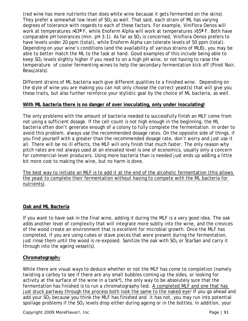(red wine has more nutrients than does white wine because it gets fermented on the skins). They prefer a somewhat low level of  $SO<sub>2</sub>$  as well. That said, each strain of ML has varying degrees of tolerance with regards to each of these factors. For example, Viniflora Oenos will work at temperatures >63**º** F, while Enoferm Alpha will work at temperatures >55**º** F. Both have comparable pH tolerances (min. pH 3.1). As far as  $SO<sub>2</sub>$  is concerned, Viniflora Oenos prefers to have levels under 20 ppm (total), while Enoferm Alpha can tolerate levels of 50 ppm (total). Depending on your wine's conditions (and the availability of various strains of MLB), you may be able to better match the ML to the task at hand. Good examples of this include being able to keep  $SO<sub>2</sub>$  levels slightly higher if you need to on a high pH wine, or not having to raise the temperature of cooler fermenting wines to help the secondary fermentation kick off (Pinot Noir, Beaujolais).

Different strains of ML bacteria each give different qualities to a finished wine. Depending on the style of wine you are making you can not only choose the correct yeast(s) that will give you these traits, but also further reinforce your stylistic goal by the choice of ML bacteria, as well.

## **With ML bacteria there is no danger of over inoculating, only under inoculating!**

The only problems with the amount of bacteria needed to successfully finish an MLF come from not using a sufficient dosage. If the cell count is not high enough in the beginning, the ML bacteria often don't generate enough of a colony to fully complete the fermentation. In order to avoid this problem, always use the recommended dosage rates. On the opposite side of things, if you find yourself with a greater than the recommended dosage rate, don't worry and just use it all. There will be no ill effects, the MLF will only finish that much faster. The only reason why pitch rates are not always used at an elevated level is one of economics, usually only a concern for commercial-level producers. Using more bacteria than is needed just ends up adding a little bit more cost to making the wine, but no harm is done.

The best way to initiate an MLF is to add it at the end of the alcoholic fermentation (this allows the yeast to complete their fermentation without having to compete with the ML bacteria for nutrients).

#### **Oak and ML Bacteria**

If you want to have oak in the final wine, adding it during the MLF is a very good idea. The oak adds another level of complexity that will integrate more subtly into the wine, and the crevices of the wood create an environment that is excellent for microbial growth. Once the MLF has completed, if you are using cubes or stave pieces that were present during the fermentation, just rinse them until the wood is re-exposed. Sanitize the oak with  $SO<sub>2</sub>$  or StarSan and carry it through into the ageing vessel(s).

#### **Chromatograph**y

While there are visual ways to deduce whether or not the MLF has come to completion (namely twisting a carboy to see if there are any small bubbles coming up the sides, or looking for activity at the surface of the wine in a tank\*), the only way to be absolutely sure that the fermentation has finished is to run a chromatography test. A completed MLF and one that has just stuck partway through the process *both look the same to the naked eye*! If you go ahead and add your  $SO<sub>2</sub>$  because you think the MLF has finished and it has not, you may run into potential spoilage problems if the  $SO<sub>2</sub>$  levels drop either during ageing or in the bottles. In addition, your